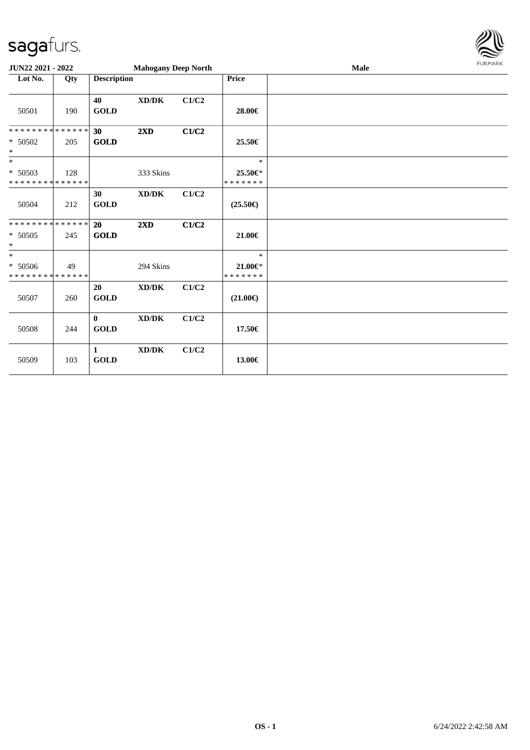

| JUN22 2021 - 2022                                  |     |                             | <b>Mahogany Deep North</b>          |       |                                    | Male | <b>FURMARK</b> |
|----------------------------------------------------|-----|-----------------------------|-------------------------------------|-------|------------------------------------|------|----------------|
| Lot No.                                            | Qty | <b>Description</b>          |                                     |       | Price                              |      |                |
| 50501                                              | 190 | 40<br><b>GOLD</b>           | $\bold{X}\bold{D}/\bold{D}\bold{K}$ | C1/C2 | 28.00€                             |      |                |
| * * * * * * * * * * * * * *<br>* 50502<br>$\ast$   | 205 | 30<br>GOLD                  | $2\mathbf{X}\mathbf{D}$             | C1/C2 | 25.50€                             |      |                |
| $\ast$<br>$* 50503$<br>* * * * * * * * * * * * * * | 128 |                             | 333 Skins                           |       | $\ast$<br>25.50€*<br>* * * * * * * |      |                |
| 50504                                              | 212 | 30<br><b>GOLD</b>           | XD/DK                               | C1/C2 | $(25.50\epsilon)$                  |      |                |
| * * * * * * * * * * * * * *<br>$* 50505$<br>$\ast$ | 245 | 20<br>GOLD                  | $2\mathbf{X}\mathbf{D}$             | C1/C2 | 21.00€                             |      |                |
| $\ast$<br>* 50506<br>* * * * * * * * * * * * * *   | 49  |                             | 294 Skins                           |       | $\ast$<br>21.00€*<br>* * * * * * * |      |                |
| 50507                                              | 260 | 20<br>$\operatorname{GOLD}$ | $\bold{X}\bold{D}/\bold{D}\bold{K}$ | C1/C2 | $(21.00\epsilon)$                  |      |                |
| 50508                                              | 244 | $\mathbf{0}$<br><b>GOLD</b> | XD/DK                               | C1/C2 | 17.50€                             |      |                |
| 50509                                              | 103 | $\mathbf{1}$<br><b>GOLD</b> | XD/DK                               | C1/C2 | 13.00€                             |      |                |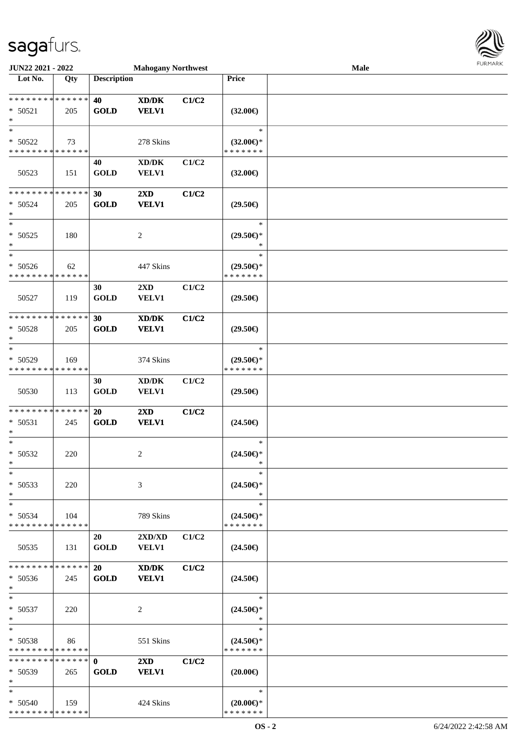

| JUN22 2021 - 2022            |     |                    | <b>Mahogany Northwest</b>                   |       |                     | Male | 1.911171717 |
|------------------------------|-----|--------------------|---------------------------------------------|-------|---------------------|------|-------------|
| Lot No.                      | Qty | <b>Description</b> |                                             |       | Price               |      |             |
|                              |     |                    |                                             |       |                     |      |             |
| ******** <mark>******</mark> |     | 40                 | $\mathbf{X}\mathbf{D}/\mathbf{D}\mathbf{K}$ | C1/C2 |                     |      |             |
| $* 50521$                    | 205 | <b>GOLD</b>        | <b>VELV1</b>                                |       | $(32.00\epsilon)$   |      |             |
| $\ast$                       |     |                    |                                             |       |                     |      |             |
| $\ast$                       |     |                    |                                             |       | $\ast$              |      |             |
| $* 50522$                    | 73  |                    | 278 Skins                                   |       | $(32.00\epsilon)$ * |      |             |
| * * * * * * * * * * * * * *  |     |                    |                                             |       | * * * * * * *       |      |             |
|                              |     | 40                 | $\bold{X}\bold{D}/\bold{D}\bold{K}$         | C1/C2 |                     |      |             |
| 50523                        | 151 | <b>GOLD</b>        | VELV1                                       |       | $(32.00\epsilon)$   |      |             |
|                              |     |                    |                                             |       |                     |      |             |
| * * * * * * * * * * * * * *  |     | 30                 | $2\mathbf{X}\mathbf{D}$                     | C1/C2 |                     |      |             |
| $* 50524$                    | 205 | <b>GOLD</b>        | <b>VELV1</b>                                |       | $(29.50\epsilon)$   |      |             |
| $\ast$                       |     |                    |                                             |       |                     |      |             |
| $\overline{\ast}$            |     |                    |                                             |       | $\ast$              |      |             |
| $* 50525$                    | 180 |                    | $\overline{c}$                              |       | $(29.50\epsilon)$ * |      |             |
| $\ast$                       |     |                    |                                             |       | $\ast$              |      |             |
| $\ast$                       |     |                    |                                             |       | $\ast$              |      |             |
| $* 50526$                    | 62  |                    | 447 Skins                                   |       | $(29.50\epsilon)$ * |      |             |
| * * * * * * * * * * * * * *  |     |                    |                                             |       | * * * * * * *       |      |             |
|                              |     | 30                 | 2XD                                         | C1/C2 |                     |      |             |
| 50527                        | 119 | <b>GOLD</b>        | <b>VELV1</b>                                |       | $(29.50\epsilon)$   |      |             |
|                              |     |                    |                                             |       |                     |      |             |
| * * * * * * * * * * * * * *  |     | 30                 | $\bold{X}\bold{D}/\bold{D}\bold{K}$         | C1/C2 |                     |      |             |
| * 50528                      | 205 | <b>GOLD</b>        | <b>VELV1</b>                                |       | $(29.50\epsilon)$   |      |             |
| $\ast$                       |     |                    |                                             |       |                     |      |             |
| $\ast$                       |     |                    |                                             |       | $\ast$              |      |             |
| * 50529                      | 169 |                    | 374 Skins                                   |       | $(29.50\epsilon)$ * |      |             |
| * * * * * * * * * * * * * *  |     |                    |                                             |       | * * * * * * *       |      |             |
|                              |     | 30                 | XD/DK                                       | C1/C2 |                     |      |             |
| 50530                        | 113 | <b>GOLD</b>        | <b>VELV1</b>                                |       | $(29.50\epsilon)$   |      |             |
|                              |     |                    |                                             |       |                     |      |             |
| * * * * * * * * * * * * * *  |     | 20                 | $2\mathbf{X}\mathbf{D}$                     | C1/C2 |                     |      |             |
| * 50531                      | 245 | <b>GOLD</b>        | <b>VELV1</b>                                |       | $(24.50\epsilon)$   |      |             |
| $\ast$                       |     |                    |                                             |       |                     |      |             |
| $\ast$                       |     |                    |                                             |       | $\ast$              |      |             |
| $* 50532$                    | 220 |                    | $\overline{c}$                              |       | $(24.50\epsilon)$ * |      |             |
| $*$                          |     |                    |                                             |       |                     |      |             |
| $\ast$                       |     |                    |                                             |       | $\ast$              |      |             |
| $* 50533$                    | 220 |                    | 3                                           |       | $(24.50\epsilon)$ * |      |             |
| $\ast$                       |     |                    |                                             |       | $\ast$              |      |             |
| $\ast$                       |     |                    |                                             |       | $\ast$              |      |             |
| $* 50534$                    | 104 |                    | 789 Skins                                   |       | $(24.50\epsilon)$ * |      |             |
| * * * * * * * * * * * * * *  |     |                    |                                             |       | * * * * * * *       |      |             |
|                              |     | 20                 | $2{\bf X}{\bf D}/{\bf X}{\bf D}$            | C1/C2 |                     |      |             |
| 50535                        | 131 | <b>GOLD</b>        | <b>VELV1</b>                                |       | $(24.50\epsilon)$   |      |             |
|                              |     |                    |                                             |       |                     |      |             |
| * * * * * * * * * * * * * *  |     | <b>20</b>          | XD/DK                                       | C1/C2 |                     |      |             |
| $* 50536$                    | 245 | <b>GOLD</b>        | <b>VELV1</b>                                |       | $(24.50\epsilon)$   |      |             |
| $\ast$                       |     |                    |                                             |       |                     |      |             |
| $\ast$                       |     |                    |                                             |       | $\ast$              |      |             |
| $* 50537$                    | 220 |                    | 2                                           |       | $(24.50\epsilon)$ * |      |             |
| $*$                          |     |                    |                                             |       | $\ast$              |      |             |
| $\ast$                       |     |                    |                                             |       | $\ast$              |      |             |
| $* 50538$                    | 86  |                    | 551 Skins                                   |       | $(24.50\epsilon)$ * |      |             |
| * * * * * * * * * * * * * *  |     |                    |                                             |       | * * * * * * *       |      |             |
| **************               |     | $\mathbf{0}$       | $2\mathbf{X}\mathbf{D}$                     | C1/C2 |                     |      |             |
| $* 50539$                    | 265 | <b>GOLD</b>        | <b>VELV1</b>                                |       | $(20.00\epsilon)$   |      |             |
| $*$                          |     |                    |                                             |       |                     |      |             |
| $\ast$                       |     |                    |                                             |       | $\ast$              |      |             |
| * 50540                      | 159 |                    | 424 Skins                                   |       | $(20.00\epsilon)$ * |      |             |
| * * * * * * * * * * * * * *  |     |                    |                                             |       | * * * * * * *       |      |             |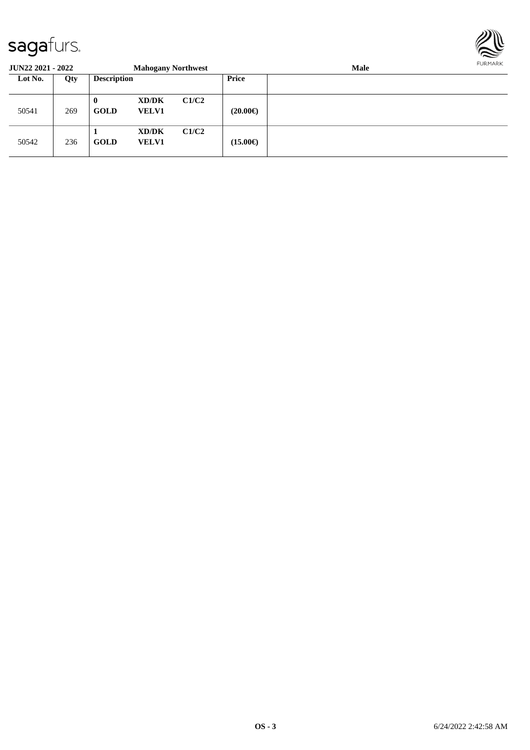

| <b>JUN22 2021 - 2022</b> |     |                    | <b>Mahogany Northwest</b> |       |                   | Male |  |  |  |
|--------------------------|-----|--------------------|---------------------------|-------|-------------------|------|--|--|--|
| Lot No.                  | Qty | <b>Description</b> |                           |       | Price             |      |  |  |  |
| 50541                    | 269 | 0<br>GOLD          | XD/DK<br><b>VELV1</b>     | C1/C2 | $(20.00\epsilon)$ |      |  |  |  |
| 50542                    | 236 | <b>GOLD</b>        | XD/DK<br><b>VELV1</b>     | C1/C2 | $(15.00\epsilon)$ |      |  |  |  |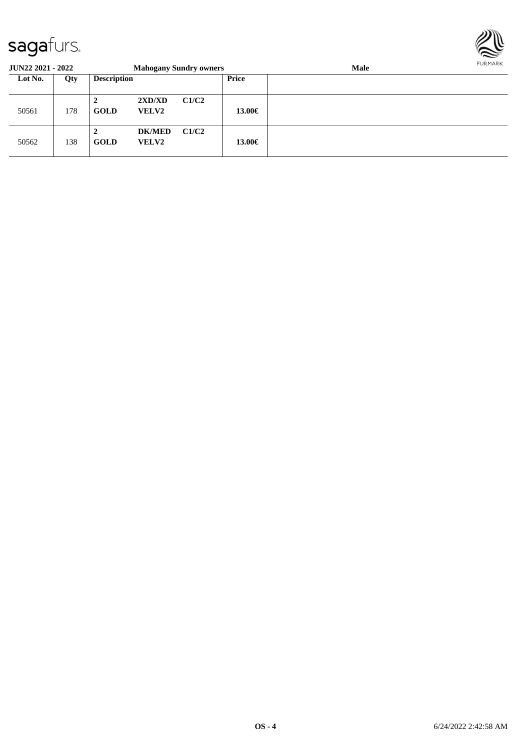

| JUN22 2021 - 2022 |     |                    |                               | <b>Mahogany Sundry owners</b> |        | <b>Male</b> | <b>FURPIARR</b> |
|-------------------|-----|--------------------|-------------------------------|-------------------------------|--------|-------------|-----------------|
| Lot No.           | Qty | <b>Description</b> |                               |                               | Price  |             |                 |
| 50561             | 178 | ◢<br><b>GOLD</b>   | 2XD/XD<br><b>VELV2</b>        | C1/C2                         | 13.00€ |             |                 |
| 50562             | 138 | 2<br><b>GOLD</b>   | <b>DK/MED</b><br><b>VELV2</b> | C1/C2                         | 13.00€ |             |                 |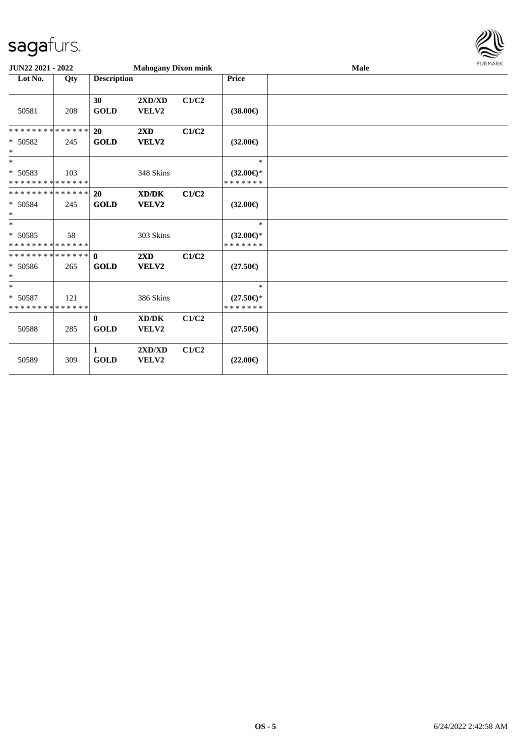

| <b>JUN22 2021 - 2022</b>                          |     |                             | <b>Mahogany Dixon mink</b>       |       |                                                | Male | <b>FURMARK</b> |
|---------------------------------------------------|-----|-----------------------------|----------------------------------|-------|------------------------------------------------|------|----------------|
| Lot No.                                           | Qty | <b>Description</b>          |                                  |       | <b>Price</b>                                   |      |                |
| 50581                                             | 208 | 30<br><b>GOLD</b>           | 2XD/XD<br>VELV2                  | C1/C2 | $(38.00\epsilon)$                              |      |                |
| * * * * * * * * * * * * * * *<br>$* 50582$<br>$*$ | 245 | 20<br><b>GOLD</b>           | $2\mathbf{X}\mathbf{D}$<br>VELV2 | C1/C2 | $(32.00\epsilon)$                              |      |                |
| $\ast$<br>* 50583<br>* * * * * * * * * * * * * *  | 103 |                             | 348 Skins                        |       | $\ast$<br>$(32.00\epsilon)$ *<br>* * * * * * * |      |                |
| * * * * * * * * * * * * * * *<br>* 50584<br>$*$   | 245 | 20<br><b>GOLD</b>           | XD/DK<br>VELV2                   | C1/C2 | $(32.00\epsilon)$                              |      |                |
| $*$<br>* 50585<br>* * * * * * * * * * * * * *     | 58  |                             | 303 Skins                        |       | $\ast$<br>$(32.00\epsilon)$ *<br>* * * * * * * |      |                |
| * 50586<br>$*$                                    | 265 | <b>GOLD</b>                 | $2\mathbf{X}\mathbf{D}$<br>VELV2 | C1/C2 | $(27.50\epsilon)$                              |      |                |
| $\ast$<br>* 50587<br>* * * * * * * * * * * * * *  | 121 |                             | 386 Skins                        |       | $\ast$<br>$(27.50\epsilon)$ *<br>* * * * * * * |      |                |
| 50588                                             | 285 | $\mathbf{0}$<br><b>GOLD</b> | XD/DK<br>VELV2                   | C1/C2 | $(27.50\epsilon)$                              |      |                |
| 50589                                             | 309 | $\mathbf{1}$<br><b>GOLD</b> | 2XD/XD<br>VELV2                  | C1/C2 | $(22.00\epsilon)$                              |      |                |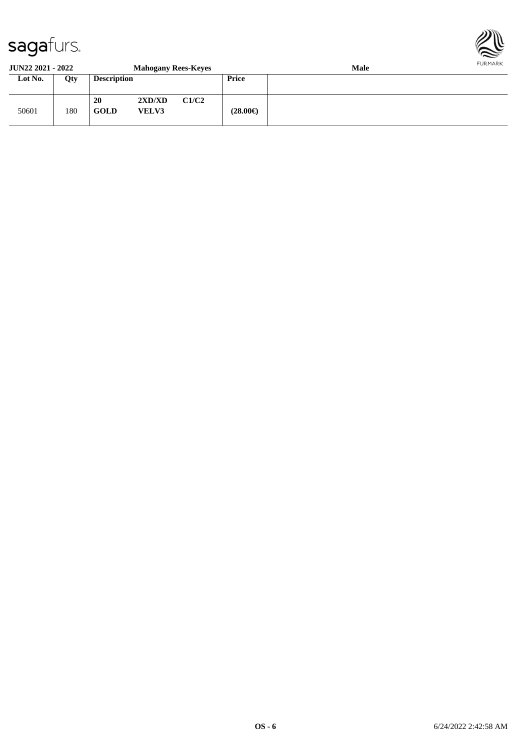

#### **JUN22 2021 - 2022 Mahogany Rees-Keyes Male Lot No. Qty Description Price**

| Lot No. | Qty | <b>Description</b> |                        |       | Price             |  |
|---------|-----|--------------------|------------------------|-------|-------------------|--|
| 50601   | 180 | 20<br><b>GOLD</b>  | 2XD/XD<br><b>VELV3</b> | C1/C2 | $(28.00\epsilon)$ |  |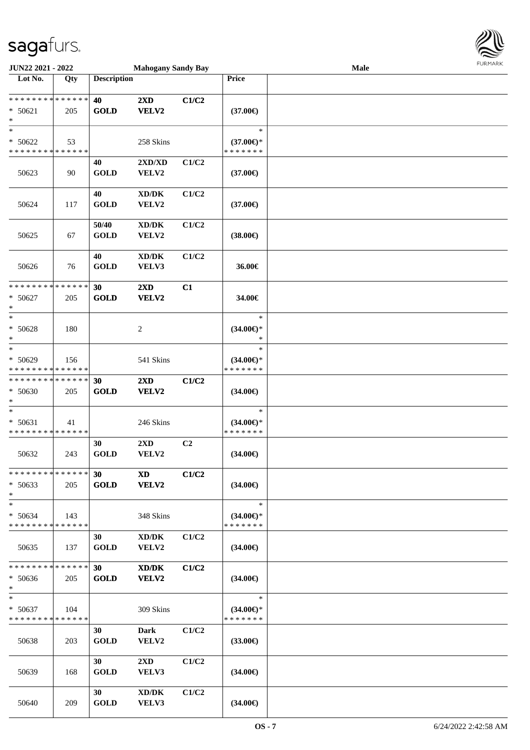

| JUN22 2021 - 2022                          |             |                    | <b>Mahogany Sandy Bay</b>           |                |                       | <b>Male</b> | $1 \times 1$ |
|--------------------------------------------|-------------|--------------------|-------------------------------------|----------------|-----------------------|-------------|--------------|
| Lot No.                                    | Qty         | <b>Description</b> |                                     |                | Price                 |             |              |
|                                            |             |                    |                                     |                |                       |             |              |
| * * * * * * * * * * * * * *                |             | 40                 | 2XD                                 | C1/C2          |                       |             |              |
| $* 50621$                                  | 205         | <b>GOLD</b>        | VELV2                               |                | $(37.00\epsilon)$     |             |              |
| $*$                                        |             |                    |                                     |                |                       |             |              |
| $_{*}^{-}$                                 |             |                    |                                     |                | $\ast$                |             |              |
| $* 50622$                                  | 53          |                    | 258 Skins                           |                | $(37.00\epsilon)$ *   |             |              |
| * * * * * * * * * * * * * *                |             |                    |                                     |                | * * * * * * *         |             |              |
|                                            |             | 40                 | 2XD/XD                              | C1/C2          |                       |             |              |
| 50623                                      | 90          | <b>GOLD</b>        | VELV2                               |                | $(37.00\epsilon)$     |             |              |
|                                            |             |                    |                                     |                |                       |             |              |
|                                            |             | 40                 | XD/DK                               | C1/C2          |                       |             |              |
| 50624                                      | 117         | <b>GOLD</b>        | VELV2                               |                | $(37.00\epsilon)$     |             |              |
|                                            |             |                    |                                     |                |                       |             |              |
|                                            |             | 50/40              | XD/DK                               | C1/C2          |                       |             |              |
| 50625                                      | 67          | <b>GOLD</b>        | VELV2                               |                | $(38.00\epsilon)$     |             |              |
|                                            |             |                    |                                     |                |                       |             |              |
|                                            |             | 40                 | $\boldsymbol{\text{XD}/\text{DK}}$  | C1/C2          |                       |             |              |
| 50626                                      | 76          | <b>GOLD</b>        | VELV3                               |                | 36.00€                |             |              |
|                                            |             |                    |                                     |                |                       |             |              |
| * * * * * * * * <mark>* * * * * * *</mark> |             | 30                 | 2XD                                 | C1             |                       |             |              |
| $* 50627$                                  | 205         | <b>GOLD</b>        | VELV2                               |                | 34.00€                |             |              |
| $*$                                        |             |                    |                                     |                |                       |             |              |
| $*$                                        |             |                    |                                     |                | $\ast$                |             |              |
|                                            |             |                    |                                     |                |                       |             |              |
| $* 50628$                                  | 180         |                    | 2                                   |                | $(34.00\epsilon)$ *   |             |              |
| $*$                                        |             |                    |                                     |                | ∗                     |             |              |
| $*$                                        |             |                    |                                     |                | $\ast$                |             |              |
| $* 50629$                                  | 156         |                    | 541 Skins                           |                | $(34.00\epsilon)$ *   |             |              |
| * * * * * * * * * * * * * *                |             |                    |                                     |                | * * * * * * *         |             |              |
| * * * * * * * * * * * * * *                |             | 30                 | 2XD                                 | C1/C2          |                       |             |              |
| $* 50630$                                  | 205         | <b>GOLD</b>        | VELV2                               |                | $(34.00\epsilon)$     |             |              |
| $\ast$                                     |             |                    |                                     |                |                       |             |              |
| $*$                                        |             |                    |                                     |                | $\ast$                |             |              |
| $* 50631$                                  | 41          |                    | 246 Skins                           |                | $(34.00\epsilon)$ *   |             |              |
| * * * * * * * * * * * * * *                |             |                    |                                     |                | * * * * * * *         |             |              |
|                                            |             | 30                 | $2\mathbf{X}\mathbf{D}$             | C <sub>2</sub> |                       |             |              |
| 50632                                      | 243         | <b>GOLD</b>        | VELV2                               |                | $(34.00\epsilon)$     |             |              |
|                                            |             |                    |                                     |                |                       |             |              |
| * * * * * * * * * * * * * * *              |             | 30                 | <b>XD</b>                           | C1/C2          |                       |             |              |
| $* 50633$                                  | 205         | <b>GOLD</b>        | VELV2                               |                | $(34.00\epsilon)$     |             |              |
| $*$                                        |             |                    |                                     |                |                       |             |              |
| $\ast$                                     |             |                    |                                     |                | $\ast$                |             |              |
| $* 50634$                                  | 143         |                    | 348 Skins                           |                | $(34.00\epsilon)$ *   |             |              |
| * * * * * * * * <mark>* * * * * * *</mark> |             |                    |                                     |                | * * * * * * *         |             |              |
|                                            |             | 30                 | $\bold{X}\bold{D}/\bold{D}\bold{K}$ | C1/C2          |                       |             |              |
| 50635                                      | 137         | <b>GOLD</b>        | <b>VELV2</b>                        |                | (34.00 <sup>ε</sup> ) |             |              |
|                                            |             |                    |                                     |                |                       |             |              |
| * * * * * * * *                            | * * * * * * | 30                 | XD/DK                               | C1/C2          |                       |             |              |
| $* 50636$                                  | 205         | <b>GOLD</b>        | VELV2                               |                | $(34.00\epsilon)$     |             |              |
| $\ast$                                     |             |                    |                                     |                |                       |             |              |
| $*$                                        |             |                    |                                     |                | $\ast$                |             |              |
| $* 50637$                                  | 104         |                    | 309 Skins                           |                | $(34.00\epsilon)$ *   |             |              |
| * * * * * * * * * * * * * *                |             |                    |                                     |                | * * * * * * *         |             |              |
|                                            |             | 30                 | <b>Dark</b>                         | C1/C2          |                       |             |              |
| 50638                                      | 203         | <b>GOLD</b>        | VELV2                               |                | $(33.00\epsilon)$     |             |              |
|                                            |             |                    |                                     |                |                       |             |              |
|                                            |             | 30                 | $2\mathbf{X}\mathbf{D}$             | C1/C2          |                       |             |              |
| 50639                                      | 168         | <b>GOLD</b>        | <b>VELV3</b>                        |                | $(34.00\epsilon)$     |             |              |
|                                            |             |                    |                                     |                |                       |             |              |
|                                            |             | 30 <sup>1</sup>    | $\bold{X}\bold{D}/\bold{D}\bold{K}$ | C1/C2          |                       |             |              |
| 50640                                      | 209         | <b>GOLD</b>        | VELV3                               |                | $(34.00\epsilon)$     |             |              |
|                                            |             |                    |                                     |                |                       |             |              |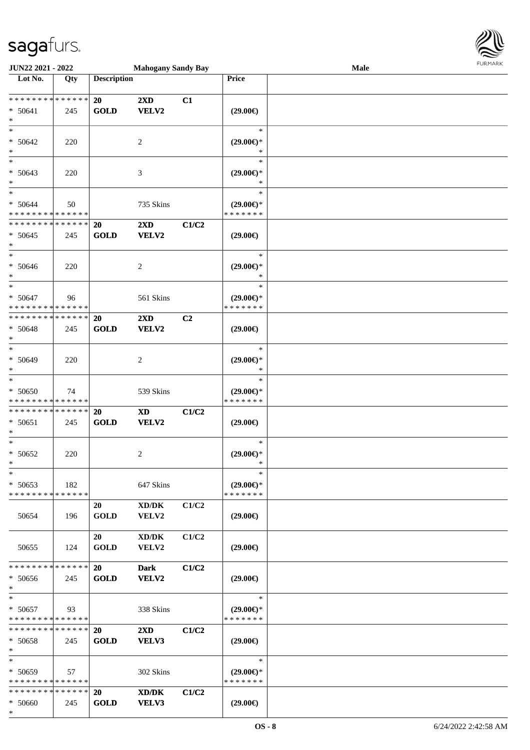

| JUN22 2021 - 2022             |     |                    | <b>Mahogany Sandy Bay</b>           |       |                     | Male | <b>FURITARR</b> |
|-------------------------------|-----|--------------------|-------------------------------------|-------|---------------------|------|-----------------|
| Lot No.                       | Qty | <b>Description</b> |                                     |       | Price               |      |                 |
|                               |     |                    |                                     |       |                     |      |                 |
| * * * * * * * * * * * * * *   |     | 20                 | $2\mathbf{X}\mathbf{D}$             | C1    |                     |      |                 |
| $* 50641$                     | 245 | <b>GOLD</b>        | VELV2                               |       | $(29.00\epsilon)$   |      |                 |
| $*$                           |     |                    |                                     |       |                     |      |                 |
| $*$                           |     |                    |                                     |       | $\ast$              |      |                 |
| $* 50642$                     | 220 |                    | 2                                   |       | $(29.00\epsilon)$ * |      |                 |
| $*$                           |     |                    |                                     |       | $\ast$              |      |                 |
| $\ast$                        |     |                    |                                     |       | $\ast$              |      |                 |
| $* 50643$                     | 220 |                    | 3                                   |       | $(29.00\epsilon)$ * |      |                 |
| $*$                           |     |                    |                                     |       | *                   |      |                 |
| $*$                           |     |                    |                                     |       | $\ast$              |      |                 |
| $* 50644$                     | 50  |                    | 735 Skins                           |       | $(29.00\epsilon)$ * |      |                 |
| * * * * * * * * * * * * * *   |     |                    |                                     |       | * * * * * * *       |      |                 |
| * * * * * * * * * * * * * *   |     | <b>20</b>          | $2\mathbf{X}\mathbf{D}$             | C1/C2 |                     |      |                 |
| $* 50645$                     | 245 | <b>GOLD</b>        | VELV2                               |       | $(29.00\epsilon)$   |      |                 |
| $\ast$                        |     |                    |                                     |       |                     |      |                 |
| $\overline{\ast}$             |     |                    |                                     |       | $\ast$              |      |                 |
| * 50646                       | 220 |                    | $\overline{c}$                      |       | $(29.00\epsilon)$ * |      |                 |
| $*$                           |     |                    |                                     |       | $\ast$              |      |                 |
| $\ast$                        |     |                    |                                     |       | $\ast$              |      |                 |
| $* 50647$                     | 96  |                    | 561 Skins                           |       | $(29.00\epsilon)$ * |      |                 |
| * * * * * * * * * * * * * *   |     |                    |                                     |       | * * * * * * *       |      |                 |
| * * * * * * * * * * * * * *   |     | 20                 | 2XD                                 | C2    |                     |      |                 |
| $* 50648$                     | 245 | <b>GOLD</b>        | VELV2                               |       | $(29.00\epsilon)$   |      |                 |
| $\ast$                        |     |                    |                                     |       |                     |      |                 |
| $*$                           |     |                    |                                     |       | $\ast$              |      |                 |
| $* 50649$                     | 220 |                    | 2                                   |       | $(29.00\epsilon)$ * |      |                 |
| $*$                           |     |                    |                                     |       | ∗                   |      |                 |
| $\ast$                        |     |                    |                                     |       | $\ast$              |      |                 |
| $* 50650$                     | 74  |                    | 539 Skins                           |       | $(29.00\epsilon)$ * |      |                 |
| * * * * * * * * * * * * * *   |     |                    |                                     |       | * * * * * * *       |      |                 |
| * * * * * * * * * * * * * *   |     | <b>20</b>          | <b>XD</b>                           | C1/C2 |                     |      |                 |
| $* 50651$                     | 245 | <b>GOLD</b>        | VELV2                               |       | $(29.00\epsilon)$   |      |                 |
| $\ast$                        |     |                    |                                     |       |                     |      |                 |
| $*$                           |     |                    |                                     |       | $\ast$              |      |                 |
| $* 50652$                     | 220 |                    | 2                                   |       | $(29.00\epsilon)$ * |      |                 |
| ski i                         |     |                    |                                     |       |                     |      |                 |
| $\ast$                        |     |                    |                                     |       | $\ast$              |      |                 |
| $* 50653$                     | 182 |                    | 647 Skins                           |       | $(29.00\epsilon)$ * |      |                 |
| * * * * * * * * * * * * * *   |     |                    |                                     |       | * * * * * * *       |      |                 |
|                               |     | 20                 | $\boldsymbol{\text{XD}/\text{DK}}$  | C1/C2 |                     |      |                 |
| 50654                         | 196 | <b>GOLD</b>        | VELV2                               |       | $(29.00\epsilon)$   |      |                 |
|                               |     |                    |                                     |       |                     |      |                 |
|                               |     | 20                 | $\bold{X}\bold{D}/\bold{D}\bold{K}$ | C1/C2 |                     |      |                 |
| 50655                         | 124 | <b>GOLD</b>        | VELV2                               |       | $(29.00\epsilon)$   |      |                 |
|                               |     |                    |                                     |       |                     |      |                 |
| * * * * * * * * * * * * * *   |     | <b>20</b>          | <b>Dark</b>                         | C1/C2 |                     |      |                 |
| * 50656                       | 245 | <b>GOLD</b>        | VELV2                               |       | $(29.00\epsilon)$   |      |                 |
| $*$                           |     |                    |                                     |       |                     |      |                 |
| $*$                           |     |                    |                                     |       | $\ast$              |      |                 |
| * 50657                       | 93  |                    | 338 Skins                           |       | $(29.00\epsilon)$ * |      |                 |
| * * * * * * * * * * * * * *   |     |                    |                                     |       | * * * * * * *       |      |                 |
| * * * * * * * * * * * * * * * |     | 20                 | $2\mathbf{X}\mathbf{D}$             | C1/C2 |                     |      |                 |
| * 50658                       | 245 | <b>GOLD</b>        | VELV3                               |       | $(29.00\epsilon)$   |      |                 |
| $*$                           |     |                    |                                     |       |                     |      |                 |
| $*$                           |     |                    |                                     |       | $\ast$              |      |                 |
| $* 50659$                     | 57  |                    | 302 Skins                           |       | $(29.00\epsilon)$ * |      |                 |
| * * * * * * * * * * * * * *   |     |                    |                                     |       | * * * * * * *       |      |                 |
| * * * * * * * * * * * * * * * |     | <b>20</b>          | XD/DK                               | C1/C2 |                     |      |                 |
| * 50660                       | 245 | <b>GOLD</b>        | VELV3                               |       | $(29.00\epsilon)$   |      |                 |
| $*$                           |     |                    |                                     |       |                     |      |                 |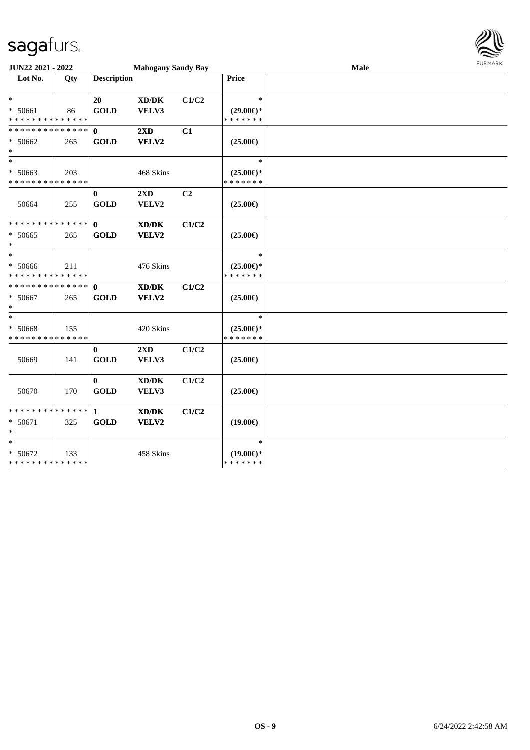

| JUN22 2021 - 2022<br><b>Mahogany Sandy Bay</b>     |     |                             |                                                      |                |                                                | Male | <b>FURMARK</b> |
|----------------------------------------------------|-----|-----------------------------|------------------------------------------------------|----------------|------------------------------------------------|------|----------------|
| Lot No.                                            | Qty | <b>Description</b>          |                                                      |                | <b>Price</b>                                   |      |                |
| $\ast$<br>* 50661<br>* * * * * * * * * * * * * *   | 86  | 20<br><b>GOLD</b>           | $\bold{X}\bold{D}/\bold{D}\bold{K}$<br>VELV3         | C1/C2          | $\ast$<br>$(29.00\epsilon)$ *<br>* * * * * * * |      |                |
| ******** <mark>******</mark><br>* 50662<br>$\ast$  | 265 | $\mathbf{0}$<br><b>GOLD</b> | 2XD<br>VELV2                                         | C1             | $(25.00\epsilon)$                              |      |                |
| $\ast$<br>* 50663<br>* * * * * * * * * * * * * *   | 203 |                             | 468 Skins                                            |                | $\ast$<br>$(25.00\epsilon)$ *<br>* * * * * * * |      |                |
| 50664                                              | 255 | $\bf{0}$<br><b>GOLD</b>     | 2XD<br>VELV2                                         | C <sub>2</sub> | $(25.00\epsilon)$                              |      |                |
| * * * * * * * * * * * * * *<br>$* 50665$<br>$\ast$ | 265 | $\mathbf{0}$<br><b>GOLD</b> | XD/DK<br>VELV2                                       | C1/C2          | $(25.00\epsilon)$                              |      |                |
| $*$<br>* 50666<br>* * * * * * * * * * * * * *      | 211 |                             | 476 Skins                                            |                | $\ast$<br>$(25.00\epsilon)$ *<br>* * * * * * * |      |                |
| * * * * * * * * * * * * * * *<br>* 50667<br>$\ast$ | 265 | $\mathbf{0}$<br><b>GOLD</b> | $\mathbf{X}\mathbf{D}/\mathbf{D}\mathbf{K}$<br>VELV2 | C1/C2          | $(25.00\epsilon)$                              |      |                |
| $\ast$<br>* 50668<br>* * * * * * * * * * * * * *   | 155 |                             | 420 Skins                                            |                | $\ast$<br>$(25.00\epsilon)$ *<br>* * * * * * * |      |                |
| 50669                                              | 141 | $\bf{0}$<br><b>GOLD</b>     | 2XD<br>VELV3                                         | C1/C2          | $(25.00\epsilon)$                              |      |                |
| 50670                                              | 170 | $\bf{0}$<br><b>GOLD</b>     | $\bold{X}\bold{D}/\bold{D}\bold{K}$<br>VELV3         | C1/C2          | $(25.00\epsilon)$                              |      |                |
| $* 50671$<br>$\ast$                                | 325 | <b>GOLD</b>                 | $\mathbf{X}\mathbf{D}/\mathbf{D}\mathbf{K}$<br>VELV2 | C1/C2          | $(19.00\epsilon)$                              |      |                |
| $\ast$<br>* 50672<br>* * * * * * * * * * * * * *   | 133 |                             | 458 Skins                                            |                | $\ast$<br>$(19.00\epsilon)$ *<br>* * * * * * * |      |                |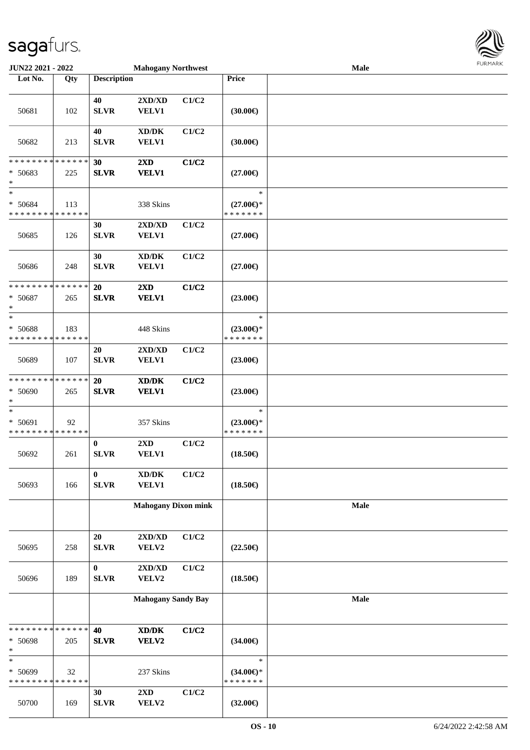

| JUN22 2021 - 2022                                                    |     |                          | <b>Mahogany Northwest</b>                           |       |                                                | <b>Male</b> |  |
|----------------------------------------------------------------------|-----|--------------------------|-----------------------------------------------------|-------|------------------------------------------------|-------------|--|
| Lot No.                                                              | Qty | <b>Description</b>       |                                                     |       | Price                                          |             |  |
| 50681                                                                | 102 | 40<br>${\bf SLVR}$       | 2XD/XD<br><b>VELV1</b>                              | C1/C2 | (30.00)                                        |             |  |
| 50682                                                                | 213 | 40<br><b>SLVR</b>        | $\bold{X}\bold{D}/\bold{D}\bold{K}$<br><b>VELV1</b> | C1/C2 | (30.00)                                        |             |  |
| * * * * * * * * * * * * * *<br>$* 50683$<br>$\ast$                   | 225 | 30<br><b>SLVR</b>        | $2\mathbf{X}\mathbf{D}$<br><b>VELV1</b>             | C1/C2 | $(27.00\epsilon)$                              |             |  |
| $\overline{\phantom{a}^*}$<br>* 50684<br>* * * * * * * * * * * * * * | 113 |                          | 338 Skins                                           |       | $\ast$<br>$(27.00\epsilon)$ *<br>* * * * * * * |             |  |
| 50685                                                                | 126 | 30<br><b>SLVR</b>        | 2XD/XD<br>VELV1                                     | C1/C2 | $(27.00\epsilon)$                              |             |  |
| 50686                                                                | 248 | 30<br><b>SLVR</b>        | $\bold{X}\bold{D}/\bold{D}\bold{K}$<br><b>VELV1</b> | C1/C2 | $(27.00\epsilon)$                              |             |  |
| * * * * * * * * * * * * * *<br>* 50687<br>$\ast$                     | 265 | 20<br><b>SLVR</b>        | 2XD<br><b>VELV1</b>                                 | C1/C2 | $(23.00\epsilon)$                              |             |  |
| $\ast$<br>* 50688<br>* * * * * * * * * * * * * *                     | 183 |                          | 448 Skins                                           |       | $\ast$<br>$(23.00\epsilon)$ *<br>* * * * * * * |             |  |
| 50689                                                                | 107 | 20<br><b>SLVR</b>        | 2XD/XD<br>VELV1                                     | C1/C2 | $(23.00\epsilon)$                              |             |  |
| * * * * * * * * * * * * * *<br>* 50690<br>∗                          | 265 | 20<br><b>SLVR</b>        | XD/DK<br><b>VELV1</b>                               | C1/C2 | $(23.00\epsilon)$                              |             |  |
| $\ast$<br>* 50691<br>* * * * * * * * * * * * * *                     | 92  |                          | 357 Skins                                           |       | $\ast$<br>$(23.00\epsilon)$ *<br>* * * * * * * |             |  |
| 50692                                                                | 261 | $\bf{0}$<br>${\bf SLVR}$ | $2{\bf X}{\bf D}$<br><b>VELV1</b>                   | C1/C2 | $(18.50\epsilon)$                              |             |  |
| 50693                                                                | 166 | $\bf{0}$<br>${\bf SLVR}$ | $\bold{X}\bold{D}/\bold{D}\bold{K}$<br><b>VELV1</b> | C1/C2 | $(18.50\epsilon)$                              |             |  |
|                                                                      |     |                          | <b>Mahogany Dixon mink</b>                          |       |                                                | Male        |  |
| 50695                                                                | 258 | 20<br>${\bf SLVR}$       | 2XD/XD<br>VELV2                                     | C1/C2 | $(22.50\epsilon)$                              |             |  |
| 50696                                                                | 189 | $\bf{0}$<br>SLVR         | 2XD/XD<br>VELV2                                     | C1/C2 | $(18.50\epsilon)$                              |             |  |
|                                                                      |     |                          | <b>Mahogany Sandy Bay</b>                           |       |                                                | Male        |  |
| * * * * * * * * * * * * * *<br>* 50698<br>$\ast$                     | 205 | 40<br><b>SLVR</b>        | $\bold{X}\bold{D}/\bold{D}\bold{K}$<br>VELV2        | C1/C2 | $(34.00\epsilon)$                              |             |  |
| $\ast$<br>* 50699<br>* * * * * * * * * * * * * *                     | 32  |                          | 237 Skins                                           |       | $\ast$<br>$(34.00 \in )^*$<br>* * * * * * *    |             |  |
| 50700                                                                | 169 | 30<br>${\bf SLVR}$       | 2XD<br>VELV2                                        | C1/C2 | $(32.00\epsilon)$                              |             |  |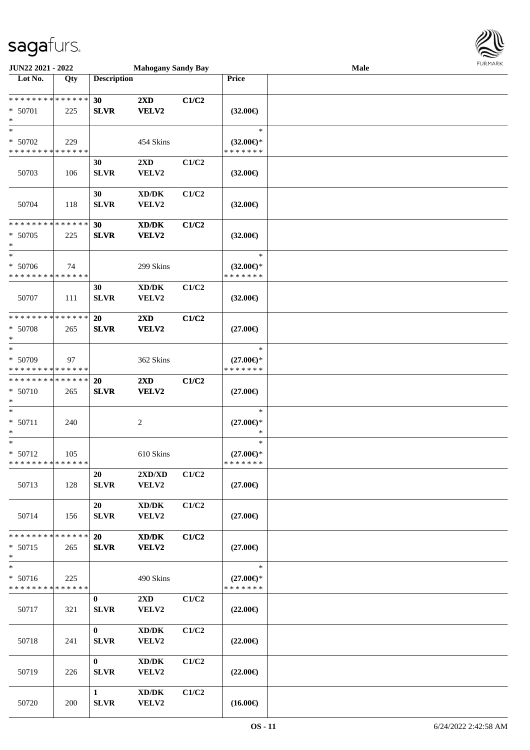

| <b>JUN22 2021 - 2022</b>                                     |                    |                              | <b>Mahogany Sandy Bay</b>                            |       |                                                | <b>Male</b> |  |
|--------------------------------------------------------------|--------------------|------------------------------|------------------------------------------------------|-------|------------------------------------------------|-------------|--|
| Lot No.                                                      | Qty                | <b>Description</b>           |                                                      |       | Price                                          |             |  |
| * * * * * * * * <mark>* * * * * * *</mark><br>* 50701<br>$*$ | 225                | 30<br><b>SLVR</b>            | 2XD<br>VELV2                                         | C1/C2 | $(32.00\epsilon)$                              |             |  |
| $*$<br>* 50702<br>* * * * * * * * * * * * * *                | 229                |                              | 454 Skins                                            |       | $\ast$<br>$(32.00\epsilon)$ *<br>* * * * * * * |             |  |
| 50703                                                        | 106                | 30<br><b>SLVR</b>            | $2\mathbf{X}\mathbf{D}$<br>VELV2                     | C1/C2 | $(32.00\epsilon)$                              |             |  |
| 50704                                                        | 118                | 30<br><b>SLVR</b>            | XD/DK<br>VELV2                                       | C1/C2 | $(32.00\epsilon)$                              |             |  |
| * * * * * * * * * * * * * *<br>* 50705<br>*                  | 225                | 30<br><b>SLVR</b>            | XD/DK<br>VELV2                                       | C1/C2 | $(32.00\epsilon)$                              |             |  |
| $*$<br>* 50706<br>* * * * * * * * * * * * * *                | 74                 |                              | 299 Skins                                            |       | $\ast$<br>$(32.00\epsilon)$ *<br>* * * * * * * |             |  |
| 50707                                                        | 111                | 30<br><b>SLVR</b>            | $\bold{X}\bold{D}/\bold{D}\bold{K}$<br>VELV2         | C1/C2 | $(32.00\epsilon)$                              |             |  |
| * * * * * * * * * * * * * *<br>* 50708<br>$\ast$             | 265                | <b>20</b><br><b>SLVR</b>     | $2\mathbf{X}\mathbf{D}$<br>VELV2                     | C1/C2 | $(27.00\epsilon)$                              |             |  |
| $\ast$<br>* 50709<br>* * * * * * * * * * * * * *             | 97                 |                              | 362 Skins                                            |       | $\ast$<br>$(27.00\epsilon)$ *<br>* * * * * * * |             |  |
| * * * * * * * * * * * * * *<br>* 50710<br>$*$                | 265                | <b>20</b><br><b>SLVR</b>     | $2\mathbf{X}\mathbf{D}$<br>VELV2                     | C1/C2 | $(27.00\epsilon)$                              |             |  |
| $*$<br>$* 50711$<br>$\ast$                                   | 240                |                              | 2                                                    |       | $\ast$<br>$(27.00\epsilon)$ *<br>$\ast$        |             |  |
| $*$<br>$* 50712$<br>* * * * * * * * * * * * * * *            | 105                |                              | 610 Skins                                            |       | $\ast$<br>$(27.00\epsilon)$ *<br>*******       |             |  |
| 50713                                                        | 128                | 20<br><b>SLVR</b>            | 2XD/XD<br>VELV2                                      | C1/C2 | $(27.00\epsilon)$                              |             |  |
| 50714                                                        | 156                | 20<br><b>SLVR</b>            | $\bold{X}\bold{D}/\bold{D}\bold{K}$<br>VELV2         | C1/C2 | $(27.00\epsilon)$                              |             |  |
| * * * * * * * *<br>$* 50715$<br>$\ast$                       | * * * * * *<br>265 | 20<br><b>SLVR</b>            | $\mathbf{X}\mathbf{D}/\mathbf{D}\mathbf{K}$<br>VELV2 | C1/C2 | $(27.00\epsilon)$                              |             |  |
| $\ast$<br>$* 50716$<br>* * * * * * * *                       | 225<br>* * * * * * |                              | 490 Skins                                            |       | $\ast$<br>$(27.00\epsilon)$ *<br>* * * * * * * |             |  |
| 50717                                                        | 321                | $\bf{0}$<br><b>SLVR</b>      | $2\mathbf{X}\mathbf{D}$<br>VELV2                     | C1/C2 | $(22.00\epsilon)$                              |             |  |
| 50718                                                        | 241                | $\mathbf{0}$<br><b>SLVR</b>  | XD/DK<br>VELV2                                       | C1/C2 | $(22.00\epsilon)$                              |             |  |
| 50719                                                        | 226                | $\mathbf{0}$<br><b>SLVR</b>  | $\bold{X}\bold{D}/\bold{D}\bold{K}$<br>VELV2         | C1/C2 | $(22.00\epsilon)$                              |             |  |
| 50720                                                        | 200                | $\mathbf{1}$<br>${\bf SLVR}$ | XD/DK<br>VELV2                                       | C1/C2 | $(16.00\epsilon)$                              |             |  |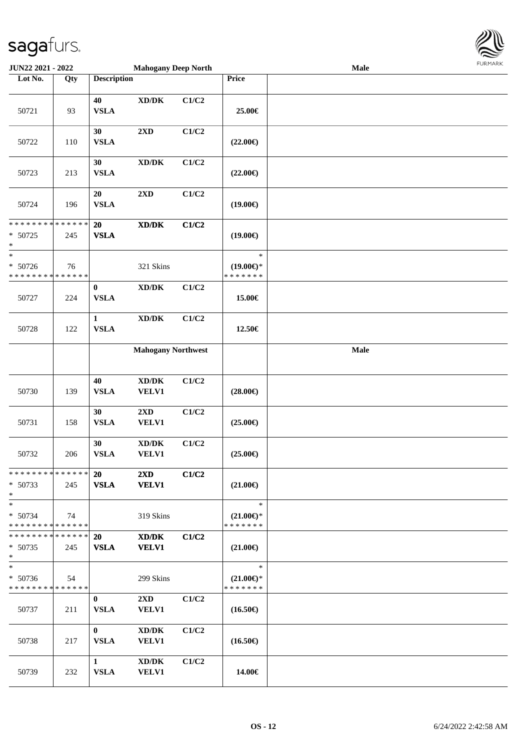

| <b>JUN22 2021 - 2022</b>                                          |     |                             | <b>Mahogany Deep North</b>                                                                           |       |                                                | Male | <b>FURPIARR</b> |
|-------------------------------------------------------------------|-----|-----------------------------|------------------------------------------------------------------------------------------------------|-------|------------------------------------------------|------|-----------------|
| Lot No.                                                           | Qty | <b>Description</b>          |                                                                                                      |       | Price                                          |      |                 |
| 50721                                                             | 93  | 40<br><b>VSLA</b>           | $\bold{X}\bold{D}/\bold{D}\bold{K}$                                                                  | C1/C2 | 25.00€                                         |      |                 |
| 50722                                                             | 110 | 30<br><b>VSLA</b>           | 2XD                                                                                                  | C1/C2 | $(22.00\epsilon)$                              |      |                 |
| 50723                                                             | 213 | 30<br><b>VSLA</b>           | $\bold{X}\bold{D}/\bold{D}\bold{K}$                                                                  | C1/C2 | $(22.00\epsilon)$                              |      |                 |
| 50724                                                             | 196 | 20<br><b>VSLA</b>           | 2XD                                                                                                  | C1/C2 | $(19.00\epsilon)$                              |      |                 |
| * * * * * * * * <mark>* * * * * *</mark><br>$* 50725$<br>$\ast$   | 245 | 20<br><b>VSLA</b>           | $\boldsymbol{\text{X}}\boldsymbol{\text{D}}\boldsymbol{/}\boldsymbol{\text{D}}\boldsymbol{\text{K}}$ | C1/C2 | $(19.00\epsilon)$                              |      |                 |
| $\ast$<br>* 50726<br>* * * * * * * * <mark>* * * * * * *</mark>   | 76  |                             | 321 Skins                                                                                            |       | $\ast$<br>$(19.00\epsilon)$ *<br>* * * * * * * |      |                 |
| 50727                                                             | 224 | $\bf{0}$<br><b>VSLA</b>     | $\boldsymbol{\text{XD}/\text{DK}}$                                                                   | C1/C2 | 15.00€                                         |      |                 |
| 50728                                                             | 122 | $\mathbf{1}$<br><b>VSLA</b> | $\bold{X}\bold{D}/\bold{D}\bold{K}$                                                                  | C1/C2 | 12.50€                                         |      |                 |
|                                                                   |     |                             | <b>Mahogany Northwest</b>                                                                            |       |                                                | Male |                 |
| 50730                                                             | 139 | 40<br><b>VSLA</b>           | $\bold{X}\bold{D}/\bold{D}\bold{K}$<br><b>VELV1</b>                                                  | C1/C2 | $(28.00\epsilon)$                              |      |                 |
| 50731                                                             | 158 | 30<br><b>VSLA</b>           | 2XD<br><b>VELV1</b>                                                                                  | C1/C2 | $(25.00\epsilon)$                              |      |                 |
| 50732                                                             | 206 | 30<br><b>VSLA</b>           | $\bold{X}\bold{D}/\bold{D}\bold{K}$<br>VELV1                                                         | C1/C2 | $(25.00\epsilon)$                              |      |                 |
| * * * * * * * * * * * * * * *<br>$* 50733$<br>$\ast$              | 245 | <b>20</b><br><b>VSLA</b>    | $2\mathbf{X}\mathbf{D}$<br><b>VELV1</b>                                                              | C1/C2 | $(21.00\epsilon)$                              |      |                 |
| $\ast$<br>* 50734<br>* * * * * * * * <mark>* * * * * *</mark>     | 74  |                             | 319 Skins                                                                                            |       | $\ast$<br>$(21.00\epsilon)$ *<br>* * * * * * * |      |                 |
| * * * * * * * * <mark>* * * * * * *</mark><br>$* 50735$<br>$\ast$ | 245 | <b>20</b><br><b>VSLA</b>    | XD/DK<br><b>VELV1</b>                                                                                | C1/C2 | $(21.00\epsilon)$                              |      |                 |
| $\ast$<br>$* 50736$<br>* * * * * * * * <mark>* * * * * *</mark>   | 54  |                             | 299 Skins                                                                                            |       | $\ast$<br>$(21.00\epsilon)$ *<br>* * * * * * * |      |                 |
| 50737                                                             | 211 | $\bf{0}$<br><b>VSLA</b>     | $2\mathbf{X}\mathbf{D}$<br><b>VELV1</b>                                                              | C1/C2 | $(16.50\epsilon)$                              |      |                 |
| 50738                                                             | 217 | $\mathbf{0}$<br><b>VSLA</b> | $\bold{X}\bold{D}/\bold{D}\bold{K}$<br><b>VELV1</b>                                                  | C1/C2 | $(16.50\epsilon)$                              |      |                 |
| 50739                                                             | 232 | $\mathbf{1}$<br><b>VSLA</b> | $\bold{X}\bold{D}/\bold{D}\bold{K}$<br><b>VELV1</b>                                                  | C1/C2 | 14.00€                                         |      |                 |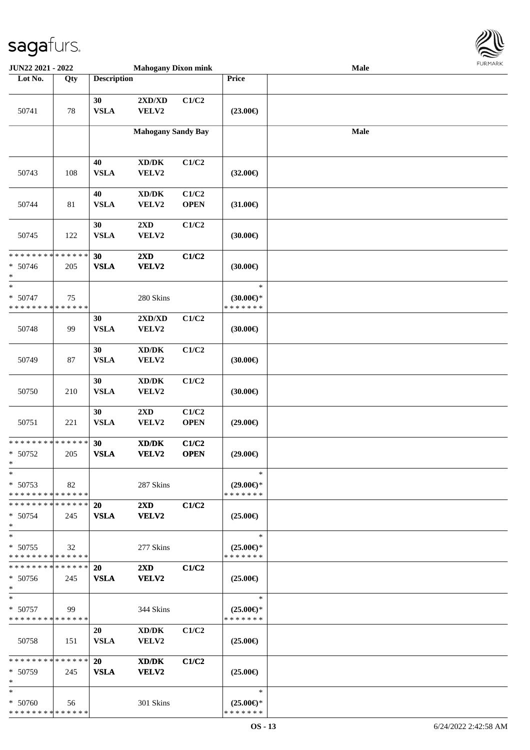

| JUN22 2021 - 2022                        |                   |                    | <b>Mahogany Dixon mink</b>                          |                      |                                      | Male            |  |
|------------------------------------------|-------------------|--------------------|-----------------------------------------------------|----------------------|--------------------------------------|-----------------|--|
| Lot No.                                  | $\overline{Q}$ ty | <b>Description</b> |                                                     |                      | Price                                |                 |  |
|                                          |                   |                    |                                                     |                      |                                      |                 |  |
|                                          |                   | 30                 | 2XD/XD                                              | C1/C2                |                                      |                 |  |
| 50741                                    | 78                | <b>VSLA</b>        | VELV2                                               |                      | $(23.00\epsilon)$                    |                 |  |
|                                          |                   |                    |                                                     |                      |                                      |                 |  |
|                                          |                   |                    | <b>Mahogany Sandy Bay</b>                           |                      |                                      | $\mathbf{Male}$ |  |
|                                          |                   |                    |                                                     |                      |                                      |                 |  |
|                                          |                   |                    |                                                     |                      |                                      |                 |  |
|                                          |                   | 40<br><b>VSLA</b>  | $\bold{X}\bold{D}/\bold{D}\bold{K}$                 | C1/C2                |                                      |                 |  |
| 50743                                    | 108               |                    | VELV2                                               |                      | $(32.00\epsilon)$                    |                 |  |
|                                          |                   | 40                 | XD/DK                                               | C1/C2                |                                      |                 |  |
| 50744                                    | 81                | <b>VSLA</b>        | VELV2                                               | <b>OPEN</b>          | $(31.00\epsilon)$                    |                 |  |
|                                          |                   |                    |                                                     |                      |                                      |                 |  |
|                                          |                   | 30                 | 2XD                                                 | C1/C2                |                                      |                 |  |
| 50745                                    | 122               | <b>VSLA</b>        | VELV2                                               |                      | (30.00)                              |                 |  |
|                                          |                   |                    |                                                     |                      |                                      |                 |  |
| **************                           |                   | 30                 | 2XD                                                 | C1/C2                |                                      |                 |  |
| $* 50746$                                | 205               | <b>VSLA</b>        | VELV2                                               |                      | (30.00)                              |                 |  |
| $\ast$                                   |                   |                    |                                                     |                      |                                      |                 |  |
| $\ast$                                   |                   |                    |                                                     |                      | $\ast$                               |                 |  |
| $* 50747$<br>* * * * * * * * * * * * * * | 75                |                    | 280 Skins                                           |                      | $(30.00\epsilon)$ *<br>* * * * * * * |                 |  |
|                                          |                   | 30                 | 2XD/XD                                              | C1/C2                |                                      |                 |  |
| 50748                                    | 99                | <b>VSLA</b>        | VELV2                                               |                      | (30.00)                              |                 |  |
|                                          |                   |                    |                                                     |                      |                                      |                 |  |
|                                          |                   | 30                 | $\bold{X}\bold{D}/\bold{D}\bold{K}$                 | C1/C2                |                                      |                 |  |
| 50749                                    | 87                | <b>VSLA</b>        | VELV2                                               |                      | (30.00)                              |                 |  |
|                                          |                   |                    |                                                     |                      |                                      |                 |  |
|                                          |                   | 30                 | XD/DK                                               | C1/C2                |                                      |                 |  |
| 50750                                    | 210               | <b>VSLA</b>        | VELV2                                               |                      | (30.00)                              |                 |  |
|                                          |                   |                    |                                                     |                      |                                      |                 |  |
|                                          |                   | 30                 | 2XD                                                 | C1/C2                |                                      |                 |  |
| 50751                                    | 221               | <b>VSLA</b>        | VELV2                                               | <b>OPEN</b>          | $(29.00\epsilon)$                    |                 |  |
| ******** <mark>******</mark>             |                   |                    |                                                     |                      |                                      |                 |  |
| $* 50752$                                | 205               | 30<br><b>VSLA</b>  | $\bold{X}\bold{D}/\bold{D}\bold{K}$<br><b>VELV2</b> | C1/C2<br><b>OPEN</b> | $(29.00\epsilon)$                    |                 |  |
| $\ast$                                   |                   |                    |                                                     |                      |                                      |                 |  |
| $*$                                      |                   |                    |                                                     |                      | $\ast$                               |                 |  |
| $* 50753$                                | 82                |                    | 287 Skins                                           |                      | $(29.00\epsilon)$ *                  |                 |  |
| * * * * * * * * * * * * * *              |                   |                    |                                                     |                      | * * * * * * *                        |                 |  |
| * * * * * * * * * * * * * *              |                   | 20                 | $2\mathbf{X}\mathbf{D}$                             | C1/C2                |                                      |                 |  |
| $* 50754$                                | 245               | <b>VSLA</b>        | <b>VELV2</b>                                        |                      | $(25.00\epsilon)$                    |                 |  |
| $\ast$                                   |                   |                    |                                                     |                      |                                      |                 |  |
| $\ast$                                   |                   |                    |                                                     |                      | $\ast$                               |                 |  |
| $* 50755$<br>* * * * * * * * * * * * * * | 32                |                    | 277 Skins                                           |                      | $(25.00\epsilon)$ *<br>* * * * * * * |                 |  |
| * * * * * * * * * * * * * * *            |                   | 20                 |                                                     | C1/C2                |                                      |                 |  |
| $* 50756$                                | 245               | <b>VSLA</b>        | $2\mathbf{X}\mathbf{D}$<br>VELV2                    |                      | $(25.00\epsilon)$                    |                 |  |
| $*$                                      |                   |                    |                                                     |                      |                                      |                 |  |
| $*$                                      |                   |                    |                                                     |                      | $\ast$                               |                 |  |
| $* 50757$                                | 99                |                    | 344 Skins                                           |                      | $(25.00\epsilon)$ *                  |                 |  |
| * * * * * * * * * * * * * *              |                   |                    |                                                     |                      | * * * * * * *                        |                 |  |
|                                          |                   | 20                 | XD/DK                                               | C1/C2                |                                      |                 |  |
| 50758                                    | 151               | <b>VSLA</b>        | <b>VELV2</b>                                        |                      | $(25.00\epsilon)$                    |                 |  |
|                                          |                   |                    |                                                     |                      |                                      |                 |  |
| * * * * * * * * * * * * * *              |                   | <b>20</b>          | XD/DK                                               | C1/C2                |                                      |                 |  |
| $* 50759$                                | 245               | <b>VSLA</b>        | <b>VELV2</b>                                        |                      | $(25.00\epsilon)$                    |                 |  |
| $\ast$<br>$*$                            |                   |                    |                                                     |                      | $\ast$                               |                 |  |
| $* 50760$                                | 56                |                    | 301 Skins                                           |                      | $(25.00\epsilon)$ *                  |                 |  |
| * * * * * * * * * * * * * *              |                   |                    |                                                     |                      | * * * * * * *                        |                 |  |
|                                          |                   |                    |                                                     |                      |                                      |                 |  |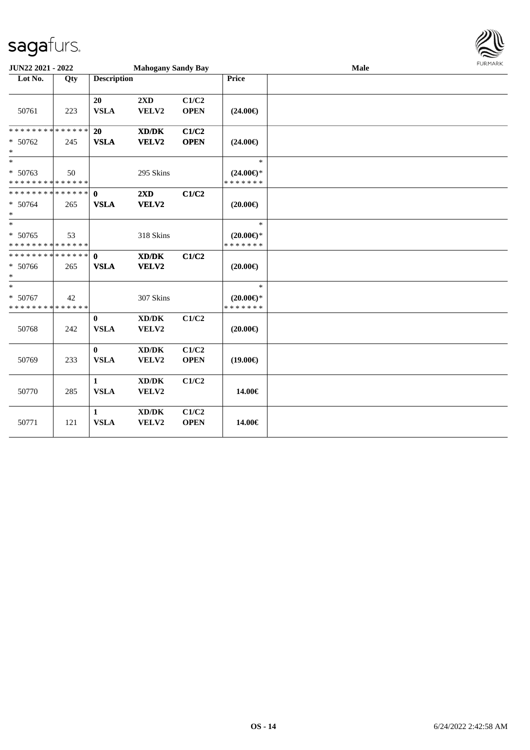

| JUN22 2021 - 2022                                                    |     |                             | <b>Mahogany Sandy Bay</b>                            |                      |                                                | Male | <b>FUNITANN</b> |
|----------------------------------------------------------------------|-----|-----------------------------|------------------------------------------------------|----------------------|------------------------------------------------|------|-----------------|
| Lot No.                                                              | Qty | <b>Description</b>          |                                                      |                      | Price                                          |      |                 |
| 50761                                                                | 223 | 20<br><b>VSLA</b>           | 2XD<br>VELV2                                         | C1/C2<br><b>OPEN</b> | $(24.00\epsilon)$                              |      |                 |
| * * * * * * * * * * * * * *<br>$* 50762$<br>$*$                      | 245 | 20<br><b>VSLA</b>           | XD/DK<br>VELV2                                       | C1/C2<br><b>OPEN</b> | $(24.00\epsilon)$                              |      |                 |
| $\ast$<br>* 50763<br>* * * * * * * * * * * * * *                     | 50  |                             | 295 Skins                                            |                      | $\ast$<br>$(24.00\epsilon)$ *<br>* * * * * * * |      |                 |
| ******** <mark>******</mark><br>$* 50764$<br>$*$                     | 265 | $\mathbf{0}$<br><b>VSLA</b> | 2XD<br>VELV2                                         | C1/C2                | $(20.00\epsilon)$                              |      |                 |
| $\overline{\phantom{0}}$<br>$* 50765$<br>* * * * * * * * * * * * * * | 53  |                             | 318 Skins                                            |                      | $\ast$<br>$(20.00 \in )$ *<br>* * * * * * *    |      |                 |
| * * * * * * * * * * * * * * *<br>* 50766<br>$*$                      | 265 | $\mathbf{0}$<br><b>VSLA</b> | $\mathbf{X}\mathbf{D}/\mathbf{D}\mathbf{K}$<br>VELV2 | C1/C2                | $(20.00\epsilon)$                              |      |                 |
| $*$<br>* 50767<br>* * * * * * * * * * * * * *                        | 42  |                             | 307 Skins                                            |                      | $\ast$<br>$(20.00\epsilon)$ *<br>* * * * * * * |      |                 |
| 50768                                                                | 242 | $\bf{0}$<br><b>VSLA</b>     | $\bold{X}\bold{D}/\bold{D}\bold{K}$<br>VELV2         | C1/C2                | $(20.00\epsilon)$                              |      |                 |
| 50769                                                                | 233 | $\bf{0}$<br><b>VSLA</b>     | $\bold{X}\bold{D}/\bold{D}\bold{K}$<br>VELV2         | C1/C2<br><b>OPEN</b> | $(19.00\epsilon)$                              |      |                 |
| 50770                                                                | 285 | $\mathbf{1}$<br><b>VSLA</b> | $\bold{X}\bold{D}/\bold{D}\bold{K}$<br>VELV2         | C1/C2                | 14.00€                                         |      |                 |
| 50771                                                                | 121 | $\mathbf{1}$<br><b>VSLA</b> | XD/DK<br>VELV2                                       | C1/C2<br><b>OPEN</b> | 14.00€                                         |      |                 |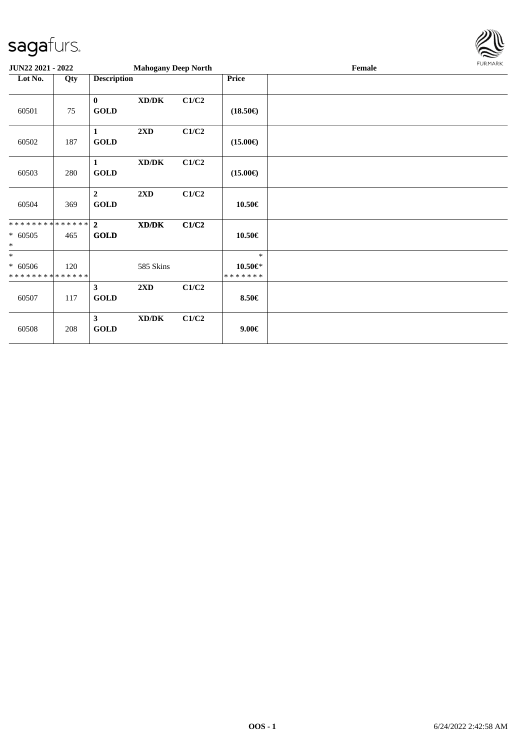

| JUN22 2021 - 2022                               |     |                               | <b>Mahogany Deep North</b>          |       |                                          | Female | FURMARK |
|-------------------------------------------------|-----|-------------------------------|-------------------------------------|-------|------------------------------------------|--------|---------|
| Lot No.                                         | Qty | <b>Description</b>            |                                     |       | <b>Price</b>                             |        |         |
| 60501                                           | 75  | $\bf{0}$<br><b>GOLD</b>       | $\bold{X}\bold{D}/\bold{D}\bold{K}$ | C1/C2 | $(18.50\epsilon)$                        |        |         |
| 60502                                           | 187 | $\mathbf{1}$<br><b>GOLD</b>   | 2XD                                 | C1/C2 | $(15.00\epsilon)$                        |        |         |
| 60503                                           | 280 | $\mathbf{1}$<br><b>GOLD</b>   | $\bold{X}\bold{D}/\bold{D}\bold{K}$ | C1/C2 | $(15.00\epsilon)$                        |        |         |
| 60504                                           | 369 | $\overline{2}$<br><b>GOLD</b> | 2XD                                 | C1/C2 | 10.50€                                   |        |         |
| **************<br>$* 60505$<br>$\ast$           | 465 | $\overline{2}$<br><b>GOLD</b> | XD/DK                               | C1/C2 | 10.50€                                   |        |         |
| $*$<br>$* 60506$<br>* * * * * * * * * * * * * * | 120 |                               | 585 Skins                           |       | $\ast$<br>$10.50 \in$ *<br>* * * * * * * |        |         |
| 60507                                           | 117 | $\mathbf{3}$<br><b>GOLD</b>   | 2XD                                 | C1/C2 | 8.50€                                    |        |         |
| 60508                                           | 208 | $\mathbf{3}$<br><b>GOLD</b>   | $\bold{X}\bold{D}/\bold{D}\bold{K}$ | C1/C2 | $9.00 \in$                               |        |         |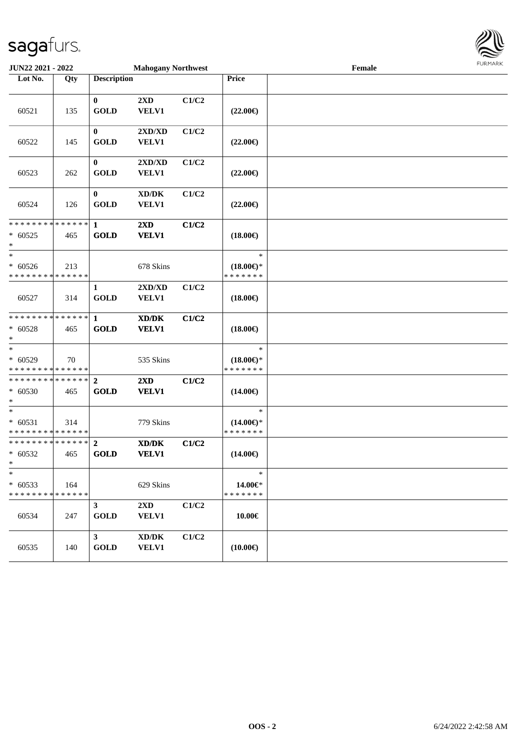

| <b>JUN22 2021 - 2022</b>                                |                    |                               | <b>Mahogany Northwest</b>                                   |       |                                                | Female | <b>FURITARR</b> |
|---------------------------------------------------------|--------------------|-------------------------------|-------------------------------------------------------------|-------|------------------------------------------------|--------|-----------------|
| Lot No.                                                 | Qty                | <b>Description</b>            |                                                             |       | Price                                          |        |                 |
| 60521                                                   | 135                | $\mathbf{0}$<br><b>GOLD</b>   | 2XD<br>VELV1                                                | C1/C2 | $(22.00\epsilon)$                              |        |                 |
| 60522                                                   | 145                | $\bf{0}$<br><b>GOLD</b>       | 2XD/XD<br>VELV1                                             | C1/C2 | $(22.00\epsilon)$                              |        |                 |
| 60523                                                   | 262                | $\bf{0}$<br><b>GOLD</b>       | $2{\bf X}{\bf D}/{\bf X}{\bf D}$<br><b>VELV1</b>            | C1/C2 | $(22.00\epsilon)$                              |        |                 |
| 60524                                                   | 126                | $\bf{0}$<br><b>GOLD</b>       | XD/DK<br><b>VELV1</b>                                       | C1/C2 | $(22.00\epsilon)$                              |        |                 |
| * * * * * * * * * * * * * * *<br>$* 60525$<br>$\ast$    | 465                | $\mathbf{1}$<br><b>GOLD</b>   | $2\mathbf{X}\mathbf{D}$<br><b>VELV1</b>                     | C1/C2 | $(18.00\epsilon)$                              |        |                 |
| $\ast$<br>$* 60526$<br>* * * * * * * * * * * * * *      | 213                |                               | 678 Skins                                                   |       | $\ast$<br>$(18.00\epsilon)$ *<br>* * * * * * * |        |                 |
| 60527                                                   | 314                | $\mathbf{1}$<br><b>GOLD</b>   | $2{\bf X}{\bf D}/{\bf X}{\bf D}$<br><b>VELV1</b>            | C1/C2 | $(18.00\epsilon)$                              |        |                 |
| * * * * * * * * * * * * * *<br>$* 60528$<br>$\ast$      | 465                | $\mathbf{1}$<br><b>GOLD</b>   | XD/DK<br><b>VELV1</b>                                       | C1/C2 | $(18.00\epsilon)$                              |        |                 |
| $* 60529$<br>* * * * * * * * <mark>* * * * * * *</mark> | 70                 |                               | 535 Skins                                                   |       | $\ast$<br>$(18.00\epsilon)$ *<br>* * * * * * * |        |                 |
| ******** <mark>******</mark><br>$* 60530$<br>$*$        | 465                | $\overline{2}$<br><b>GOLD</b> | 2XD<br><b>VELV1</b>                                         | C1/C2 | $(14.00\epsilon)$                              |        |                 |
| $*$<br>$* 60531$<br>* * * * * * * * * * * * * *         | 314                |                               | 779 Skins                                                   |       | $\ast$<br>$(14.00\epsilon)$ *<br>* * * * * * * |        |                 |
| * * * * * * * * * * * * * * *<br>$* 60532$<br>$*$       | 465                | $\overline{2}$<br><b>GOLD</b> | $\mathbf{X}\mathbf{D}/\mathbf{D}\mathbf{K}$<br><b>VELV1</b> | C1/C2 | $(14.00\epsilon)$                              |        |                 |
| $\ast$<br>$* 60533$<br>* * * * * * * *                  | 164<br>* * * * * * |                               | 629 Skins                                                   |       | $\ast$<br>14.00€*<br>* * * * * * *             |        |                 |
| 60534                                                   | 247                | $\mathbf{3}$<br><b>GOLD</b>   | $2\mathbf{X}\mathbf{D}$<br><b>VELV1</b>                     | C1/C2 | 10.00€                                         |        |                 |
| 60535                                                   | 140                | 3 <sup>1</sup><br><b>GOLD</b> | $\bold{X}\bold{D}/\bold{D}\bold{K}$<br><b>VELV1</b>         | C1/C2 | $(10.00\epsilon)$                              |        |                 |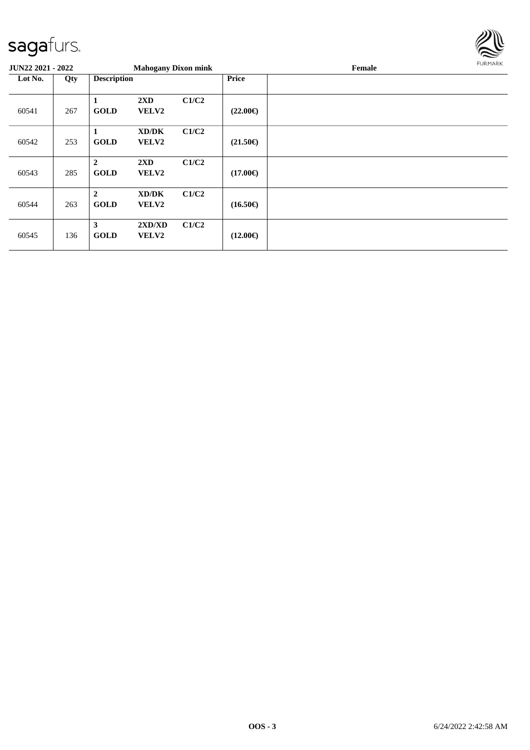

| <b>JUN22 2021 - 2022</b> |     |                               | <b>Mahogany Dixon mink</b>              |       |                   | Female | FURMARK |
|--------------------------|-----|-------------------------------|-----------------------------------------|-------|-------------------|--------|---------|
| Lot No.                  | Qty | <b>Description</b>            |                                         |       | Price             |        |         |
| 60541                    | 267 | 1<br><b>GOLD</b>              | $2\mathbf{X}\mathbf{D}$<br><b>VELV2</b> | C1/C2 | $(22.00\epsilon)$ |        |         |
| 60542                    | 253 | 1<br><b>GOLD</b>              | XD/DK<br><b>VELV2</b>                   | C1/C2 | $(21.50\epsilon)$ |        |         |
| 60543                    | 285 | $\overline{2}$<br><b>GOLD</b> | 2XD<br><b>VELV2</b>                     | C1/C2 | $(17.00\epsilon)$ |        |         |
| 60544                    | 263 | $\overline{2}$<br><b>GOLD</b> | XD/DK<br><b>VELV2</b>                   | C1/C2 | $(16.50\epsilon)$ |        |         |
| 60545                    | 136 | 3<br><b>GOLD</b>              | 2XD/XD<br><b>VELV2</b>                  | C1/C2 | $(12.00\epsilon)$ |        |         |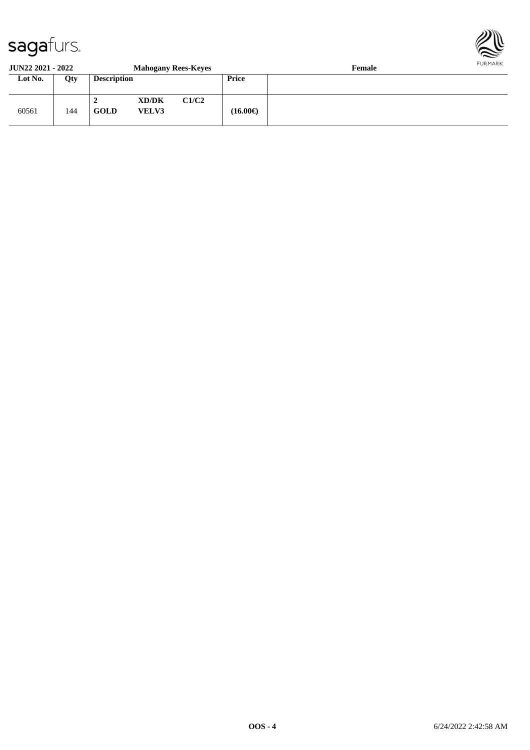

#### **JUN22 2021 - 2022 Mahogany Rees-Keyes Female Lot No. Qty Description Price** 60561 144 **2 XD/DK C1/C2 GOLD VELV3 (16.00€)**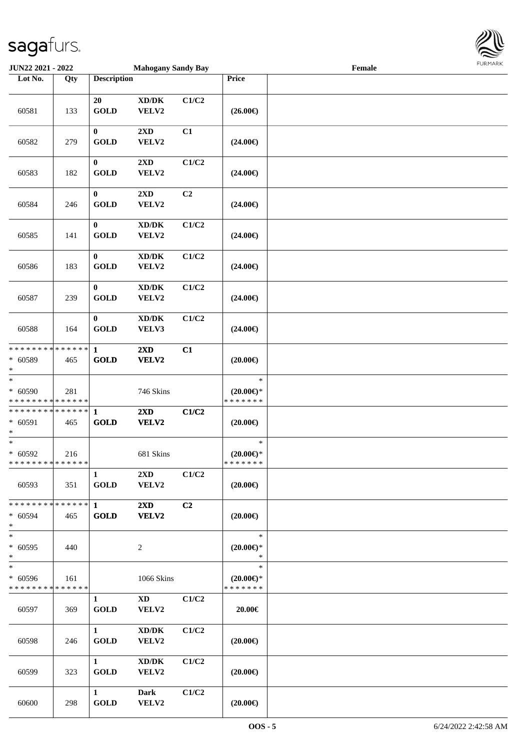

| <b>JUN22 2021 - 2022</b>                                                     |     |                                 | <b>Mahogany Sandy Bay</b>                    |                |                                                | $\ensuremath{\textnormal{\textbf{Female}}}$ | 1.91117177 |
|------------------------------------------------------------------------------|-----|---------------------------------|----------------------------------------------|----------------|------------------------------------------------|---------------------------------------------|------------|
| Lot No.                                                                      | Qty | <b>Description</b>              |                                              |                | Price                                          |                                             |            |
| 60581                                                                        | 133 | 20<br><b>GOLD</b>               | XD/DK<br>VELV2                               | C1/C2          | $(26.00\epsilon)$                              |                                             |            |
| 60582                                                                        | 279 | $\bf{0}$<br><b>GOLD</b>         | 2XD<br>VELV2                                 | C1             | $(24.00\epsilon)$                              |                                             |            |
| 60583                                                                        | 182 | $\bf{0}$<br><b>GOLD</b>         | 2XD<br>VELV2                                 | C1/C2          | $(24.00\epsilon)$                              |                                             |            |
| 60584                                                                        | 246 | $\bf{0}$<br><b>GOLD</b>         | $2\mathbf{X}\mathbf{D}$<br>VELV2             | C2             | $(24.00\epsilon)$                              |                                             |            |
| 60585                                                                        | 141 | $\bf{0}$<br><b>GOLD</b>         | $\bold{X}\bold{D}/\bold{D}\bold{K}$<br>VELV2 | C1/C2          | $(24.00\epsilon)$                              |                                             |            |
| 60586                                                                        | 183 | $\boldsymbol{0}$<br><b>GOLD</b> | $\bold{X}\bold{D}/\bold{D}\bold{K}$<br>VELV2 | C1/C2          | $(24.00\epsilon)$                              |                                             |            |
| 60587                                                                        | 239 | $\bf{0}$<br><b>GOLD</b>         | $\bold{X}\bold{D}/\bold{D}\bold{K}$<br>VELV2 | C1/C2          | $(24.00\epsilon)$                              |                                             |            |
| 60588                                                                        | 164 | $\bf{0}$<br><b>GOLD</b>         | $\bold{X}\bold{D}/\bold{D}\bold{K}$<br>VELV3 | C1/C2          | $(24.00\epsilon)$                              |                                             |            |
| * * * * * * * * * * * * * *<br>* 60589<br>$*$                                | 465 | $\mathbf{1}$<br><b>GOLD</b>     | 2XD<br>VELV2                                 | C1             | $(20.00\epsilon)$                              |                                             |            |
| $\overline{\ast}$<br>$* 60590$<br>* * * * * * * * <mark>* * * * * * *</mark> | 281 |                                 | 746 Skins                                    |                | $\ast$<br>$(20.00\epsilon)$ *<br>* * * * * * * |                                             |            |
| * * * * * * * * <mark>* * * * * * *</mark><br>$* 60591$<br>$*$               | 465 | $\mathbf{1}$<br><b>GOLD</b>     | 2XD<br>VELV2                                 | C1/C2          | $(20.00\epsilon)$                              |                                             |            |
| $\ast$<br>$* 60592$<br>* * * * * * * * * * * * * * *                         | 216 |                                 | 681 Skins                                    |                | $\ast$<br>$(20.00\epsilon)$ *<br>*******       |                                             |            |
| 60593                                                                        | 351 | $\mathbf{1}$<br><b>GOLD</b>     | $2\rm{XD}$<br>VELV2                          | C1/C2          | $(20.00\epsilon)$                              |                                             |            |
| * * * * * * * * * * * * * * *<br>$* 60594$<br>$*$                            | 465 | $\mathbf{1}$<br><b>GOLD</b>     | $2\mathbf{X}\mathbf{D}$<br>VELV2             | C <sub>2</sub> | $(20.00\epsilon)$                              |                                             |            |
| $*$<br>$* 60595$<br>$*$                                                      | 440 |                                 | 2                                            |                | $\ast$<br>$(20.00\epsilon)$ *<br>$\ast$        |                                             |            |
| $*$<br>$* 60596$<br>* * * * * * * * * * * * * *                              | 161 |                                 | 1066 Skins                                   |                | $\ast$<br>$(20.00\epsilon)$ *<br>* * * * * * * |                                             |            |
| 60597                                                                        | 369 | $\mathbf{1}$<br><b>GOLD</b>     | $\mathbf{X}\mathbf{D}$<br>VELV2              | C1/C2          | 20.00€                                         |                                             |            |
| 60598                                                                        | 246 | $\mathbf{1}$<br><b>GOLD</b>     | XD/DK<br>VELV2                               | C1/C2          | $(20.00\epsilon)$                              |                                             |            |
| 60599                                                                        | 323 | $\mathbf{1}$<br><b>GOLD</b>     | XD/DK<br>VELV2                               | C1/C2          | $(20.00\epsilon)$                              |                                             |            |
| 60600                                                                        | 298 | $\mathbf{1}$<br><b>GOLD</b>     | <b>Dark</b><br>VELV2                         | C1/C2          | $(20.00\epsilon)$                              |                                             |            |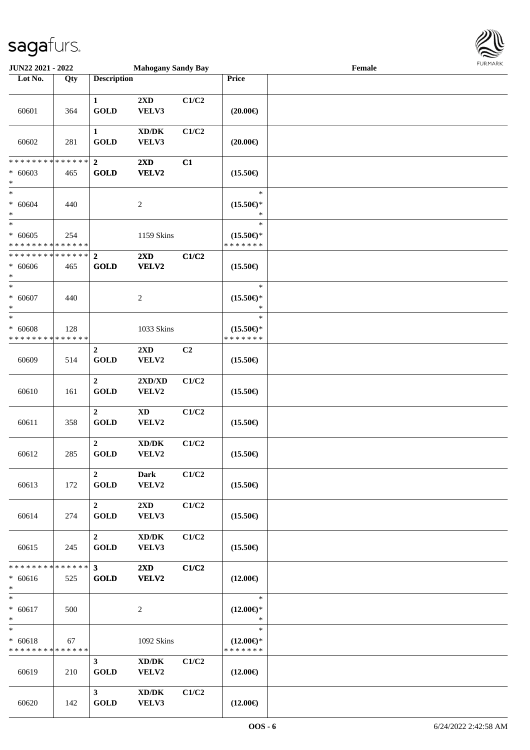

| <b>JUN22 2021 - 2022</b>                             |                      |                                         | <b>Mahogany Sandy Bay</b>                    |       |                                                | Female |  |
|------------------------------------------------------|----------------------|-----------------------------------------|----------------------------------------------|-------|------------------------------------------------|--------|--|
| Lot No.                                              | Qty                  | <b>Description</b>                      |                                              |       | Price                                          |        |  |
| 60601                                                | 364                  | $\mathbf{1}$<br><b>GOLD</b>             | 2XD<br>VELV3                                 | C1/C2 | $(20.00\epsilon)$                              |        |  |
| 60602                                                | 281                  | $\mathbf{1}$<br><b>GOLD</b>             | $\bold{X}\bold{D}/\bold{D}\bold{K}$<br>VELV3 | C1/C2 | $(20.00\epsilon)$                              |        |  |
| * * * * * * * * * * * * * * *<br>$* 60603$<br>$\ast$ | 465                  | $\boldsymbol{2}$<br><b>GOLD</b>         | $2\mathbf{X}\mathbf{D}$<br>VELV2             | C1    | $(15.50\epsilon)$                              |        |  |
| $*$<br>$* 60604$<br>$\ast$                           | 440                  |                                         | $\sqrt{2}$                                   |       | $\ast$<br>$(15.50\epsilon)$ *<br>$\ast$        |        |  |
| $_{*}^{-}$<br>$* 60605$<br>* * * * * * * *           | 254<br>* * * * * *   |                                         | 1159 Skins                                   |       | $\ast$<br>$(15.50\epsilon)$ *<br>* * * * * * * |        |  |
| * * * * * * * * * * * * * * *<br>$* 60606$<br>$\ast$ | 465                  | $\overline{2}$<br><b>GOLD</b>           | 2XD<br>VELV2                                 | C1/C2 | $(15.50\epsilon)$                              |        |  |
| $_{*}$<br>$* 60607$<br>$\ast$                        | 440                  |                                         | $\overline{2}$                               |       | $\ast$<br>$(15.50\epsilon)$ *<br>$\ast$        |        |  |
| $\ast$<br>$* 60608$<br>* * * * * * * *               | 128<br>* * * * * *   |                                         | 1033 Skins                                   |       | $\ast$<br>$(15.50\epsilon)$ *<br>* * * * * * * |        |  |
| 60609                                                | 514                  | $\boldsymbol{2}$<br><b>GOLD</b>         | $2\mathbf{X}\mathbf{D}$<br>VELV2             | C2    | $(15.50\epsilon)$                              |        |  |
| 60610                                                | 161                  | $\overline{2}$<br><b>GOLD</b>           | 2XD/XD<br>VELV2                              | C1/C2 | $(15.50\epsilon)$                              |        |  |
| 60611                                                | 358                  | $\overline{2}$<br><b>GOLD</b>           | $\mathbf{X}\mathbf{D}$<br>VELV2              | C1/C2 | $(15.50\epsilon)$                              |        |  |
| 60612                                                | 285                  | $\overline{2}$<br><b>GOLD</b>           | $\bold{X}\bold{D}/\bold{D}\bold{K}$<br>VELV2 | C1/C2 | $(15.50\epsilon)$                              |        |  |
| 60613                                                | 172                  | $\overline{2}$<br>$\operatorname{GOLD}$ | <b>Dark</b><br>VELV2                         | C1/C2 | $(15.50\epsilon)$                              |        |  |
| 60614                                                | 274                  | $2^{\circ}$<br><b>GOLD</b>              | $2\mathbf{X}\mathbf{D}$<br>VELV3             | C1/C2 | $(15.50\epsilon)$                              |        |  |
| 60615                                                | 245                  | $\overline{2}$<br><b>GOLD</b>           | $\bold{X}\bold{D}/\bold{D}\bold{K}$<br>VELV3 | C1/C2 | $(15.50\epsilon)$                              |        |  |
| * * * * * * * *<br>$* 60616$<br>$*$                  | * * * * * *  <br>525 | 3 <sup>7</sup><br><b>GOLD</b>           | $2\mathbf{X}\mathbf{D}$<br>VELV2             | C1/C2 | $(12.00\epsilon)$                              |        |  |
| $*$<br>$* 60617$<br>$\ast$                           | 500                  |                                         | $\overline{c}$                               |       | $\ast$<br>$(12.00\epsilon)$ *<br>$\ast$        |        |  |
| $\ast$<br>$* 60618$<br>* * * * * * * * * * * * * *   | 67                   |                                         | 1092 Skins                                   |       | $\ast$<br>$(12.00\epsilon)$ *<br>* * * * * * * |        |  |
| 60619                                                | 210                  | $\mathbf{3}$<br><b>GOLD</b>             | $\bold{X}\bold{D}/\bold{D}\bold{K}$<br>VELV2 | C1/C2 | $(12.00\epsilon)$                              |        |  |
| 60620                                                | 142                  | $3^{\circ}$<br><b>GOLD</b>              | $\bold{X}\bold{D}/\bold{D}\bold{K}$<br>VELV3 | C1/C2 | $(12.00\epsilon)$                              |        |  |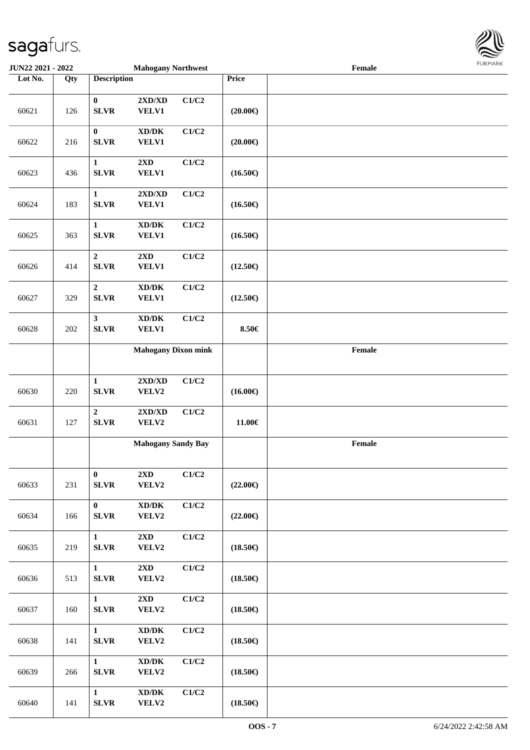

| <b>JUN22 2021 - 2022</b> |     |                                 | <b>Mahogany Northwest</b>                                             |       |                   | Female                                      |  |
|--------------------------|-----|---------------------------------|-----------------------------------------------------------------------|-------|-------------------|---------------------------------------------|--|
| Lot No.                  | Qty | <b>Description</b>              |                                                                       |       | Price             |                                             |  |
| 60621                    | 126 | $\boldsymbol{0}$<br><b>SLVR</b> | $2{\bf X}{\bf D}/{\bf X}{\bf D}$<br><b>VELV1</b>                      | C1/C2 | $(20.00\epsilon)$ |                                             |  |
| 60622                    | 216 | $\boldsymbol{0}$<br><b>SLVR</b> | $\bold{X}\bold{D}/\bold{D}\bold{K}$<br><b>VELV1</b>                   | C1/C2 | $(20.00\epsilon)$ |                                             |  |
| 60623                    | 436 | 1<br><b>SLVR</b>                | 2XD<br>VELV1                                                          | C1/C2 | $(16.50\epsilon)$ |                                             |  |
| 60624                    | 183 | $\mathbf{1}$<br><b>SLVR</b>     | 2XD/XD<br><b>VELV1</b>                                                | C1/C2 | $(16.50\epsilon)$ |                                             |  |
| 60625                    | 363 | $\mathbf{1}$<br><b>SLVR</b>     | $\mathbf{X}\mathbf{D}/\mathbf{D}\mathbf{K}$<br><b>VELV1</b>           | C1/C2 | $(16.50\epsilon)$ |                                             |  |
| 60626                    | 414 | $\mathbf 2$<br><b>SLVR</b>      | 2XD<br>VELV1                                                          | C1/C2 | $(12.50\epsilon)$ |                                             |  |
| 60627                    | 329 | $\boldsymbol{2}$<br><b>SLVR</b> | $\mathbf{X}\mathbf{D}/\mathbf{D}\mathbf{K}$<br><b>VELV1</b>           | C1/C2 | $(12.50\epsilon)$ |                                             |  |
| 60628                    | 202 | $\mathbf{3}$<br><b>SLVR</b>     | $\bold{X}\bold{D}/\bold{D}\bold{K}$<br><b>VELV1</b>                   | C1/C2 | 8.50€             |                                             |  |
|                          |     |                                 | <b>Mahogany Dixon mink</b>                                            |       |                   | $\ensuremath{\textnormal{\textbf{Female}}}$ |  |
| 60630                    | 220 | $\mathbf{1}$<br><b>SLVR</b>     | $2{\bf X}{\bf D}/{\bf X}{\bf D}$<br>VELV2                             | C1/C2 | $(16.00\epsilon)$ |                                             |  |
| 60631                    | 127 | $\overline{2}$<br>${\bf SLVR}$  | $2{\bf X}{\bf D}/{\bf X}{\bf D}$<br>VELV2                             | C1/C2 | 11.00€            |                                             |  |
|                          |     |                                 | <b>Mahogany Sandy Bay</b>                                             |       |                   | Female                                      |  |
| 60633                    | 231 | $\bf{0}$<br>SLVR                | $2\mathbf{X}\mathbf{D}$<br>VELV2                                      | C1/C2 | $(22.00\epsilon)$ |                                             |  |
| 60634                    | 166 | $\bf{0}$<br><b>SLVR</b>         | $\boldsymbol{\text{XD}/\text{DK}}$<br>VELV2                           | C1/C2 | $(22.00\epsilon)$ |                                             |  |
| 60635                    | 219 | $\mathbf{1}$<br><b>SLVR</b>     | $2\mathbf{X}\mathbf{D}$<br>VELV2                                      | C1/C2 | $(18.50\epsilon)$ |                                             |  |
| 60636                    | 513 | $\mathbf{1}$<br><b>SLVR</b>     | 2XD<br>VELV2                                                          | C1/C2 | $(18.50\epsilon)$ |                                             |  |
| 60637                    | 160 | $\mathbf{1}$<br>${\bf SLVR}$    | $2\mathbf{X}\mathbf{D}$<br>VELV2                                      | C1/C2 | $(18.50\epsilon)$ |                                             |  |
| 60638                    | 141 | $\mathbf{1}$<br><b>SLVR</b>     | $\bold{X}\bold{D}/\bold{D}\bold{K}$<br>VELV2                          | C1/C2 | $(18.50\epsilon)$ |                                             |  |
| 60639                    | 266 | $\mathbf{1}$<br><b>SLVR</b>     | $\boldsymbol{\text{XD}}\boldsymbol{/}\boldsymbol{\text{DK}}$<br>VELV2 | C1/C2 | $(18.50\epsilon)$ |                                             |  |
| 60640                    | 141 | $\mathbf{1}$<br>SLVR            | $\boldsymbol{\text{XD}/\text{DK}}$<br>VELV2                           | C1/C2 | $(18.50\epsilon)$ |                                             |  |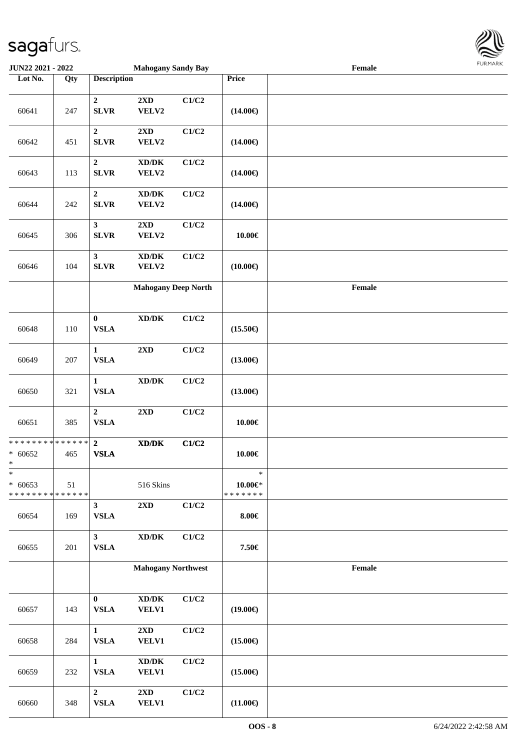

| <b>JUN22 2021 - 2022</b>                                       |     |                                        | <b>Mahogany Sandy Bay</b>                                                    |       |                                          | Female |  |
|----------------------------------------------------------------|-----|----------------------------------------|------------------------------------------------------------------------------|-------|------------------------------------------|--------|--|
| Lot No.                                                        | Qty | <b>Description</b>                     |                                                                              |       | Price                                    |        |  |
| 60641                                                          | 247 | $\mathbf{2}$<br><b>SLVR</b>            | $2{\bf X}{\bf D}$<br>VELV2                                                   | C1/C2 | $(14.00\epsilon)$                        |        |  |
| 60642                                                          | 451 | $\boldsymbol{2}$<br><b>SLVR</b>        | $2{\bf X}{\bf D}$<br>VELV2                                                   | C1/C2 | $(14.00\epsilon)$                        |        |  |
| 60643                                                          | 113 | $\boldsymbol{2}$<br><b>SLVR</b>        | $\bold{X}\bold{D}/\bold{D}\bold{K}$<br>VELV2                                 | C1/C2 | $(14.00\epsilon)$                        |        |  |
| 60644                                                          | 242 | $\boldsymbol{2}$<br><b>SLVR</b>        | $\bold{X}\bold{D}/\bold{D}\bold{K}$<br>VELV2                                 | C1/C2 | $(14.00\epsilon)$                        |        |  |
| 60645                                                          | 306 | $\overline{\mathbf{3}}$<br><b>SLVR</b> | 2XD<br>VELV2                                                                 | C1/C2 | 10.00€                                   |        |  |
| 60646                                                          | 104 | $\mathbf{3}$<br><b>SLVR</b>            | $\bold{X}\bold{D}/\bold{D}\bold{K}$<br>VELV2                                 | C1/C2 | $(10.00\epsilon)$                        |        |  |
|                                                                |     |                                        | <b>Mahogany Deep North</b>                                                   |       |                                          | Female |  |
| 60648                                                          | 110 | $\pmb{0}$<br><b>VSLA</b>               | $\bold{X}\bold{D}/\bold{D}\bold{K}$                                          | C1/C2 | $(15.50\epsilon)$                        |        |  |
| 60649                                                          | 207 | $\mathbf 1$<br><b>VSLA</b>             | 2XD                                                                          | C1/C2 | $(13.00\epsilon)$                        |        |  |
| 60650                                                          | 321 | $\mathbf{1}$<br><b>VSLA</b>            | $\bold{X}\bold{D}/\bold{D}\bold{K}$                                          | C1/C2 | $(13.00\epsilon)$                        |        |  |
| 60651                                                          | 385 | $\overline{2}$<br><b>VSLA</b>          | $2{\bf X}{\bf D}$                                                            | C1/C2 | 10.00€                                   |        |  |
| * * * * * * * * <mark>* * * * * * *</mark><br>$* 60652$<br>$*$ | 465 | $\overline{2}$<br><b>VSLA</b>          | $\bold{X}\bold{D}/\bold{D}\bold{K}$                                          | C1/C2 | $10.00 \in$                              |        |  |
| $\ast$<br>$* 60653$<br>* * * * * * * * * * * * * *             | 51  |                                        | 516 Skins                                                                    |       | $\ast$<br>$10.00 \in$ *<br>* * * * * * * |        |  |
| 60654                                                          | 169 | 3 <sup>1</sup><br><b>VSLA</b>          | 2XD                                                                          | C1/C2 | $8.00 \in$                               |        |  |
| 60655                                                          | 201 | $\mathbf{3}$<br>${\bf VSLA}$           | $\bold{X}\bold{D}/\bold{D}\bold{K}$                                          | C1/C2 | 7.50€                                    |        |  |
|                                                                |     |                                        | <b>Mahogany Northwest</b>                                                    |       |                                          | Female |  |
| 60657                                                          | 143 | $\mathbf{0}$<br><b>VSLA</b>            | $\bold{X}\bold{D}/\bold{D}\bold{K}$<br><b>VELV1</b>                          | C1/C2 | $(19.00\epsilon)$                        |        |  |
| 60658                                                          | 284 | $\mathbf{1}$<br><b>VSLA</b>            | $2\mathbf{X}\mathbf{D}$<br><b>VELV1</b>                                      | C1/C2 | $(15.00\epsilon)$                        |        |  |
| 60659                                                          | 232 | $\mathbf{1}$<br><b>VSLA</b>            | $\boldsymbol{\text{XD}}\boldsymbol{/}\boldsymbol{\text{DK}}$<br><b>VELV1</b> | C1/C2 | $(15.00\epsilon)$                        |        |  |
| 60660                                                          | 348 | $\overline{2}$<br><b>VSLA</b>          | $2\mathbf{X}\mathbf{D}$<br><b>VELV1</b>                                      | C1/C2 | $(11.00\epsilon)$                        |        |  |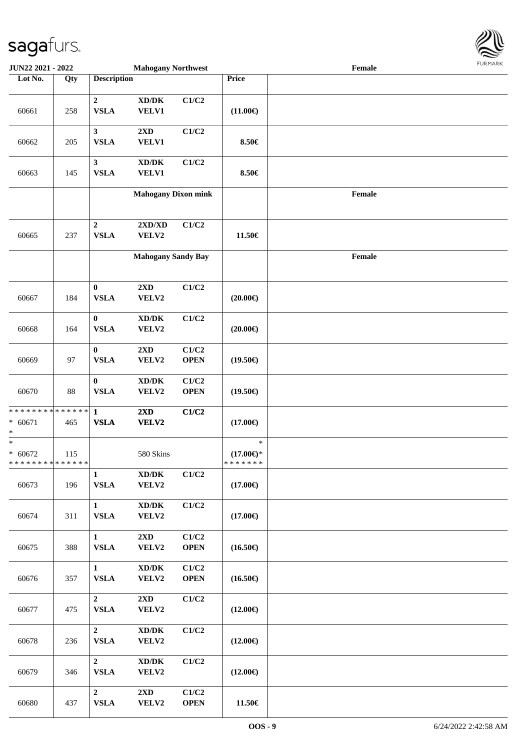

| <b>JUN22 2021 - 2022</b>                                          |     |                                 | <b>Mahogany Northwest</b>                           |                      |                                                | Female |  |
|-------------------------------------------------------------------|-----|---------------------------------|-----------------------------------------------------|----------------------|------------------------------------------------|--------|--|
| Lot No.                                                           | Qty | <b>Description</b>              |                                                     |                      | Price                                          |        |  |
| 60661                                                             | 258 | $\overline{2}$<br><b>VSLA</b>   | $\bold{X}\bold{D}/\bold{D}\bold{K}$<br><b>VELV1</b> | C1/C2                | $(11.00\epsilon)$                              |        |  |
| 60662                                                             | 205 | $\mathbf{3}$<br><b>VSLA</b>     | 2XD<br><b>VELV1</b>                                 | C1/C2                | 8.50€                                          |        |  |
| 60663                                                             | 145 | $\mathbf{3}$<br><b>VSLA</b>     | $\bold{X}\bold{D}/\bold{D}\bold{K}$<br>VELV1        | C1/C2                | 8.50€                                          |        |  |
|                                                                   |     |                                 | <b>Mahogany Dixon mink</b>                          |                      |                                                | Female |  |
| 60665                                                             | 237 | $\boldsymbol{2}$<br><b>VSLA</b> | $2{\bf X}{\bf D}/{\bf X}{\bf D}$<br>VELV2           | C1/C2                | 11.50€                                         |        |  |
|                                                                   |     |                                 | <b>Mahogany Sandy Bay</b>                           |                      |                                                | Female |  |
| 60667                                                             | 184 | $\bf{0}$<br><b>VSLA</b>         | 2XD<br>VELV2                                        | C1/C2                | $(20.00\epsilon)$                              |        |  |
| 60668                                                             | 164 | $\bf{0}$<br><b>VSLA</b>         | $\bold{X}\bold{D}/\bold{D}\bold{K}$<br>VELV2        | C1/C2                | $(20.00\epsilon)$                              |        |  |
| 60669                                                             | 97  | $\bf{0}$<br><b>VSLA</b>         | 2XD<br>VELV2                                        | C1/C2<br><b>OPEN</b> | $(19.50\epsilon)$                              |        |  |
| 60670                                                             | 88  | $\bf{0}$<br><b>VSLA</b>         | $\bold{X}\bold{D}/\bold{D}\bold{K}$<br>VELV2        | C1/C2<br><b>OPEN</b> | $(19.50\epsilon)$                              |        |  |
| * * * * * * * * <mark>* * * * * * *</mark><br>$* 60671$<br>*      | 465 | $\mathbf{1}$<br><b>VSLA</b>     | 2XD<br>VELV2                                        | C1/C2                | $(17.00\epsilon)$                              |        |  |
| $\ast$<br>$* 60672$<br>* * * * * * * * <mark>* * * * * * *</mark> | 115 |                                 | 580 Skins                                           |                      | $\ast$<br>$(17.00\epsilon)$ *<br>* * * * * * * |        |  |
| 60673                                                             | 196 | $\mathbf{1}$<br><b>VSLA</b>     | $\bold{X}\bold{D}/\bold{D}\bold{K}$<br>VELV2        | C1/C2                | $(17.00\epsilon)$                              |        |  |
| 60674                                                             | 311 | $\mathbf{1}$<br><b>VSLA</b>     | $\boldsymbol{\text{XD}/\text{DK}}$<br>VELV2         | C1/C2                | $(17.00\epsilon)$                              |        |  |
| 60675                                                             | 388 | $\mathbf{1}$<br><b>VSLA</b>     | $2{\bf X}{\bf D}$<br>VELV2                          | C1/C2<br><b>OPEN</b> | $(16.50\epsilon)$                              |        |  |
| 60676                                                             | 357 | $\mathbf{1}$<br>${\bf VSLA}$    | $\bold{X}\bold{D}/\bold{D}\bold{K}$<br>VELV2        | C1/C2<br><b>OPEN</b> | $(16.50\epsilon)$                              |        |  |
| 60677                                                             | 475 | $\overline{2}$<br><b>VSLA</b>   | $2{\bf X}{\bf D}$<br>VELV2                          | C1/C2                | $(12.00\epsilon)$                              |        |  |
| 60678                                                             | 236 | $\overline{2}$<br>${\bf VSLA}$  | $\boldsymbol{\text{XD}/\text{DK}}$<br>VELV2         | C1/C2                | $(12.00\epsilon)$                              |        |  |
| 60679                                                             | 346 | $\overline{2}$<br><b>VSLA</b>   | $\boldsymbol{\text{XD}/\text{DK}}$<br>VELV2         | C1/C2                | $(12.00\epsilon)$                              |        |  |
| 60680                                                             | 437 | $\overline{2}$<br><b>VSLA</b>   | 2XD<br>VELV2                                        | C1/C2<br><b>OPEN</b> | 11.50€                                         |        |  |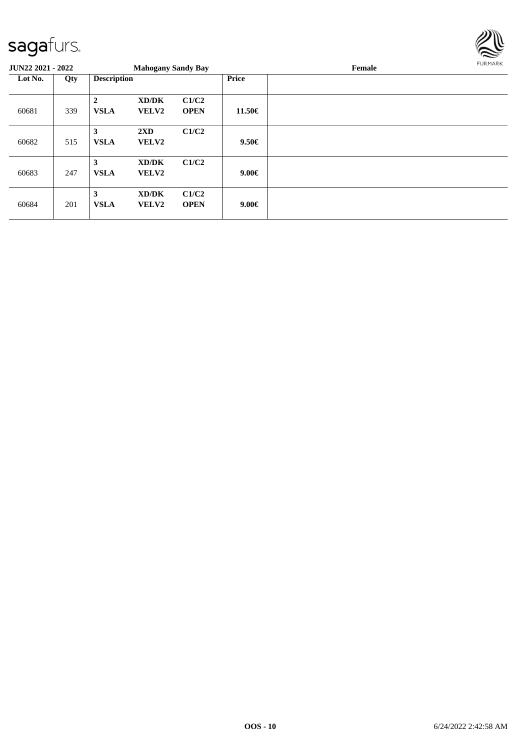

| <b>JUN22 2021 - 2022</b> |     |                             | <b>Mahogany Sandy Bay</b>               |                      |              | Female |  |  |  |
|--------------------------|-----|-----------------------------|-----------------------------------------|----------------------|--------------|--------|--|--|--|
| Lot No.<br>Qty           |     | <b>Description</b>          |                                         |                      | <b>Price</b> |        |  |  |  |
| 60681                    | 339 | $\mathbf{2}$<br><b>VSLA</b> | XD/DK<br>VELV2                          | C1/C2<br><b>OPEN</b> | 11.50€       |        |  |  |  |
| 60682                    | 515 | 3<br><b>VSLA</b>            | $2\mathbf{X}\mathbf{D}$<br><b>VELV2</b> | C1/C2                | $9.50 \in$   |        |  |  |  |
| 60683                    | 247 | 3<br><b>VSLA</b>            | XD/DK<br><b>VELV2</b>                   | C1/C2                | $9.00 \in$   |        |  |  |  |
| 60684                    | 201 | 3<br><b>VSLA</b>            | XD/DK<br>VELV2                          | C1/C2<br><b>OPEN</b> | $9.00 \in$   |        |  |  |  |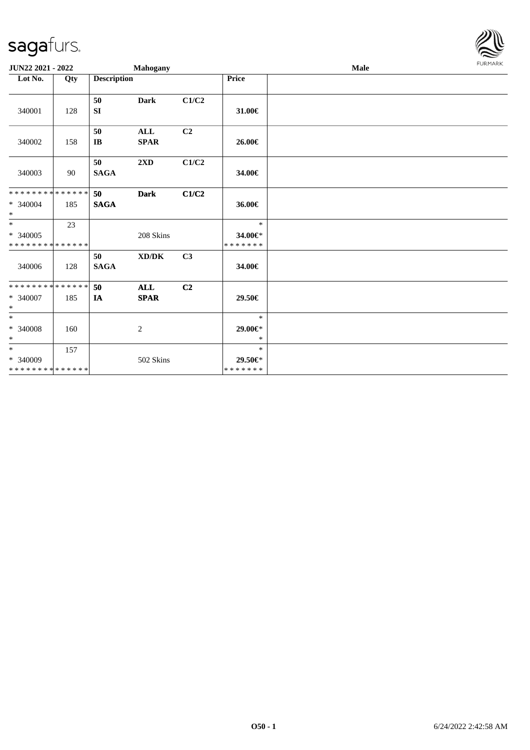

| JUN22 2021 - 2022                                      |     |                              | <b>Mahogany</b>           |                |                                    | Male | <b>FURMARK</b> |
|--------------------------------------------------------|-----|------------------------------|---------------------------|----------------|------------------------------------|------|----------------|
| Lot No.                                                | Qty | <b>Description</b>           |                           |                | <b>Price</b>                       |      |                |
| 340001                                                 | 128 | 50<br>SI                     | <b>Dark</b>               | C1/C2          | 31.00€                             |      |                |
| 340002                                                 | 158 | 50<br>$\mathbf{I}\mathbf{B}$ | $\mathbf{ALL}$<br>SPAR    | C2             | 26.00€                             |      |                |
| 340003                                                 | 90  | 50<br>$\mathbf{SAGA}$        | 2XD                       | C1/C2          | 34.00€                             |      |                |
| * * * * * * * * * * * * * *<br>* 340004<br>$\ast$      | 185 | 50<br><b>SAGA</b>            | <b>Dark</b>               | C1/C2          | 36.00€                             |      |                |
| $\ast$<br>$* 340005$<br>* * * * * * * * * * * * * *    | 23  |                              | 208 Skins                 |                | $\ast$<br>34.00€*<br>* * * * * * * |      |                |
| 340006                                                 | 128 | 50<br>$\mathbf{SAGA}$        | XD/DK                     | C <sub>3</sub> | 34.00€                             |      |                |
| **************<br>* 340007<br>$\ast$                   | 185 | 50<br>IA                     | <b>ALL</b><br><b>SPAR</b> | C2             | 29.50€                             |      |                |
| $\overline{\phantom{0}}$<br>$\, * \, 340008$<br>$\ast$ | 160 |                              | $\overline{c}$            |                | $\ast$<br>$29.00 \in$ *<br>$\ast$  |      |                |
| $*$<br>$* 340009$<br>* * * * * * * * * * * * * *       | 157 |                              | 502 Skins                 |                | $\ast$<br>29.50€*<br>* * * * * * * |      |                |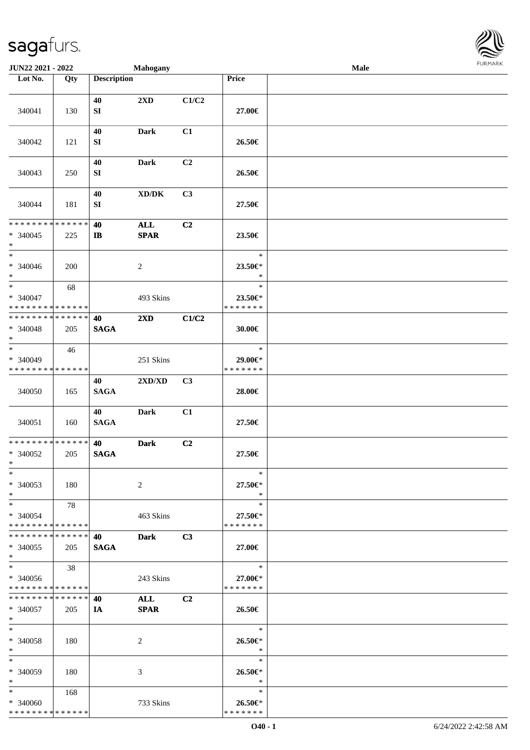

| JUN22 2021 - 2022                                            |     |                        | <b>Mahogany</b>                             |                |                                    | Male |  |
|--------------------------------------------------------------|-----|------------------------|---------------------------------------------|----------------|------------------------------------|------|--|
| Lot No.                                                      | Qty | <b>Description</b>     |                                             |                | Price                              |      |  |
|                                                              |     | 40                     | $2\mathbf{X}\mathbf{D}$                     | C1/C2          |                                    |      |  |
| 340041                                                       | 130 | ${\bf SI}$             |                                             |                | 27.00€                             |      |  |
| 340042                                                       | 121 | 40<br>SI               | <b>Dark</b>                                 | C1             | 26.50€                             |      |  |
| 340043                                                       | 250 | 40<br>${\bf S}{\bf I}$ | Dark                                        | C <sub>2</sub> | 26.50€                             |      |  |
| 340044                                                       | 181 | 40<br>${\bf S}{\bf I}$ | $\mathbf{X}\mathbf{D}/\mathbf{D}\mathbf{K}$ | C3             | 27.50€                             |      |  |
| * * * * * * * * * * * * * *                                  |     | 40                     | $\mathbf{ALL}$                              | C2             |                                    |      |  |
| $* 340045$<br>$\ast$                                         | 225 | $\mathbf{I}$           | <b>SPAR</b>                                 |                | 23.50€                             |      |  |
| $\ast$<br>$* 340046$<br>$\ast$                               | 200 |                        | $\overline{c}$                              |                | $\ast$<br>23.50€*<br>$\ast$        |      |  |
| $_{\ast}$<br>$* 340047$<br>* * * * * * * * * * * * * *       | 68  |                        | 493 Skins                                   |                | $\ast$<br>23.50€*<br>* * * * * * * |      |  |
| * * * * * * * * * * * * * *                                  |     |                        |                                             |                |                                    |      |  |
| $* 340048$<br>$\ast$                                         | 205 | 40<br><b>SAGA</b>      | $2\mathbf{X}\mathbf{D}$                     | C1/C2          | 30.00€                             |      |  |
| $\overline{\ast}$<br>* 340049<br>* * * * * * * * * * * * * * | 46  |                        | 251 Skins                                   |                | $\ast$<br>29.00€*<br>* * * * * * * |      |  |
| 340050                                                       | 165 | 40<br><b>SAGA</b>      | 2XD/XD                                      | C3             | 28.00€                             |      |  |
| 340051                                                       | 160 | 40<br><b>SAGA</b>      | <b>Dark</b>                                 | C1             | 27.50€                             |      |  |
| **************<br>$* 340052$<br>$*$                          | 205 | 40<br><b>SAGA</b>      | <b>Dark</b>                                 | C <sub>2</sub> | 27.50€                             |      |  |
| $*$<br>$* 340053$<br>$\ast$                                  | 180 |                        | 2                                           |                | $\ast$<br>27.50€*<br>$\ast$        |      |  |
| $*$<br>$* 340054$<br>* * * * * * * * * * * * * *             | 78  |                        | 463 Skins                                   |                | $\ast$<br>27.50€*<br>* * * * * * * |      |  |
| * * * * * * * * * * * * * * *<br>$* 340055$<br>$*$           | 205 | 40<br><b>SAGA</b>      | <b>Dark</b>                                 | C <sub>3</sub> | 27.00€                             |      |  |
| $\ast$<br>* 340056<br>* * * * * * * * * * * * * *            | 38  |                        | 243 Skins                                   |                | $\ast$<br>27.00€*<br>* * * * * * * |      |  |
| * * * * * * * * * * * * * * *<br>* 340057<br>$*$             | 205 | 40<br>IA               | ALL<br><b>SPAR</b>                          | C2             | 26.50€                             |      |  |
| $\ast$<br>$* 340058$<br>$*$                                  | 180 |                        | 2                                           |                | $\ast$<br>26.50€*<br>$\ast$        |      |  |
| $\ast$<br>* 340059<br>$*$                                    | 180 |                        | 3                                           |                | $\ast$<br>26.50€*<br>$\ast$        |      |  |
| $*$<br>* 340060<br>* * * * * * * * * * * * * *               | 168 |                        | 733 Skins                                   |                | $\ast$<br>26.50€*<br>* * * * * * * |      |  |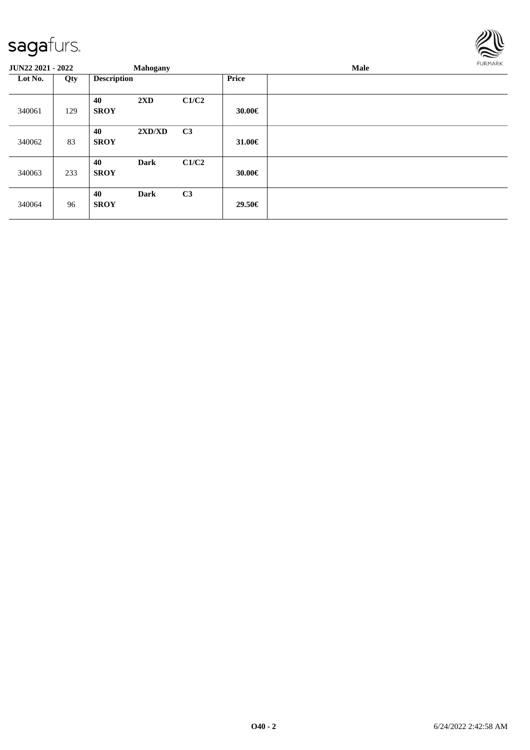

| <b>JUN22 2021 - 2022</b> |     |                    | <b>Mahogany</b> |                |              | Male | FURMARK |
|--------------------------|-----|--------------------|-----------------|----------------|--------------|------|---------|
| Lot No.                  | Qty | <b>Description</b> |                 |                | <b>Price</b> |      |         |
| 340061                   | 129 | 40<br><b>SROY</b>  | 2XD             | C1/C2          | 30.00€       |      |         |
| 340062                   | 83  | 40<br><b>SROY</b>  | 2XD/XD          | C <sub>3</sub> | 31.00€       |      |         |
| 340063                   | 233 | 40<br><b>SROY</b>  | <b>Dark</b>     | C1/C2          | 30.00€       |      |         |
| 340064                   | 96  | 40<br><b>SROY</b>  | <b>Dark</b>     | C <sub>3</sub> | 29.50€       |      |         |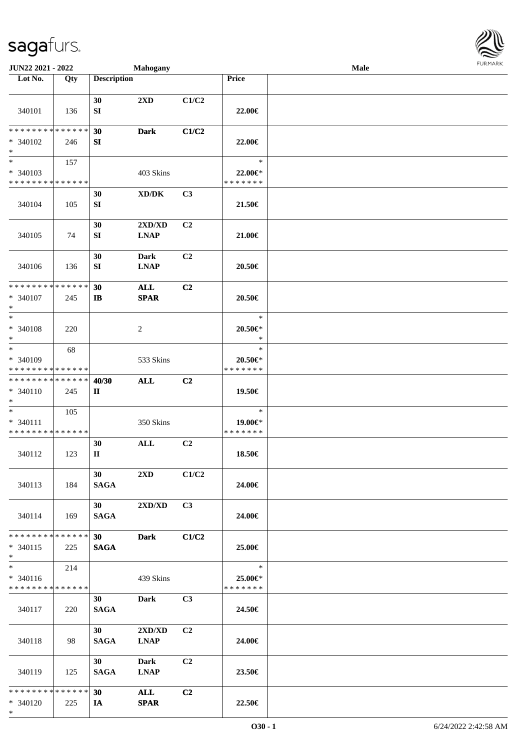

| JUN22 2021 - 2022                                                     |     |                                | <b>Mahogany</b>                               |                |                                          | Male |  |
|-----------------------------------------------------------------------|-----|--------------------------------|-----------------------------------------------|----------------|------------------------------------------|------|--|
| Lot No.                                                               | Qty | <b>Description</b>             |                                               |                | Price                                    |      |  |
| 340101                                                                | 136 | 30<br>${\bf SI}$               | $2\mathbf{X}\mathbf{D}$                       | C1/C2          | 22.00€                                   |      |  |
| * * * * * * * * * * * * * *<br>* 340102<br>$\ast$                     | 246 | 30<br>SI                       | <b>Dark</b>                                   | C1/C2          | 22.00€                                   |      |  |
| $\overline{\phantom{a}^*}$<br>* 340103<br>* * * * * * * * * * * * * * | 157 |                                | 403 Skins                                     |                | $\ast$<br>22.00€*<br>* * * * * * *       |      |  |
| 340104                                                                | 105 | 30<br>${\bf SI}$               | XD/DK                                         | C3             | 21.50€                                   |      |  |
| 340105                                                                | 74  | 30<br>${\bf SI}$               | 2XD/XD<br><b>LNAP</b>                         | C <sub>2</sub> | 21.00€                                   |      |  |
| 340106                                                                | 136 | 30<br>${\bf SI}$               | Dark<br><b>LNAP</b>                           | C <sub>2</sub> | 20.50€                                   |      |  |
| * * * * * * * * * * * * * *<br>* 340107<br>$\ast$                     | 245 | 30<br>$\mathbf{I}$             | <b>ALL</b><br>$\pmb{\quad \text{SPAR} \quad}$ | C <sub>2</sub> | 20.50€                                   |      |  |
| $\ast$<br>* 340108<br>$\ast$                                          | 220 |                                | $\overline{c}$                                |                | $\ast$<br>20.50€*<br>$\ast$              |      |  |
| $\overline{\phantom{1}}$<br>* 340109<br>* * * * * * * * * * * * * *   | 68  |                                | 533 Skins                                     |                | $\ast$<br>$20.50 \in$ *<br>* * * * * * * |      |  |
| ******** <mark>******</mark><br>* 340110<br>$\ast$                    | 245 | 40/30<br>$\mathbf{I}$          | <b>ALL</b>                                    | C <sub>2</sub> | 19.50€                                   |      |  |
| $\ast$<br>* 340111<br>* * * * * * * * * * * * * *                     | 105 |                                | 350 Skins                                     |                | $\ast$<br>19.00€*<br>* * * * * * *       |      |  |
| 340112                                                                | 123 | 30<br>$\mathbf{I}$             | $\mathbf{ALL}$                                | C2             | 18.50€                                   |      |  |
| 340113                                                                | 184 | 30<br><b>SAGA</b>              | 2XD                                           | C1/C2          | 24.00€                                   |      |  |
| 340114                                                                | 169 | 30<br><b>SAGA</b>              | 2XD/XD                                        | C3             | 24.00€                                   |      |  |
| * * * * * * * * * * * * * * *<br>$* 340115$<br>$*$                    | 225 | 30<br><b>SAGA</b>              | <b>Dark</b>                                   | C1/C2          | 25.00€                                   |      |  |
| $\overline{\phantom{0}}$<br>* 340116<br>* * * * * * * * * * * * * *   | 214 |                                | 439 Skins                                     |                | $\ast$<br>25.00€*<br>* * * * * * *       |      |  |
| 340117                                                                | 220 | 30 <sup>1</sup><br><b>SAGA</b> | Dark                                          | C3             | 24.50€                                   |      |  |
| 340118                                                                | 98  | 30 <sup>1</sup><br><b>SAGA</b> | 2XD/XD<br><b>LNAP</b>                         | C <sub>2</sub> | 24.00€                                   |      |  |
| 340119                                                                | 125 | 30<br><b>SAGA</b>              | <b>Dark</b><br><b>LNAP</b>                    | C <sub>2</sub> | 23.50€                                   |      |  |
| * * * * * * * * * * * * * * *<br>* 340120<br>$*$                      | 225 | 30<br>IA                       | ALL<br><b>SPAR</b>                            | C2             | 22.50€                                   |      |  |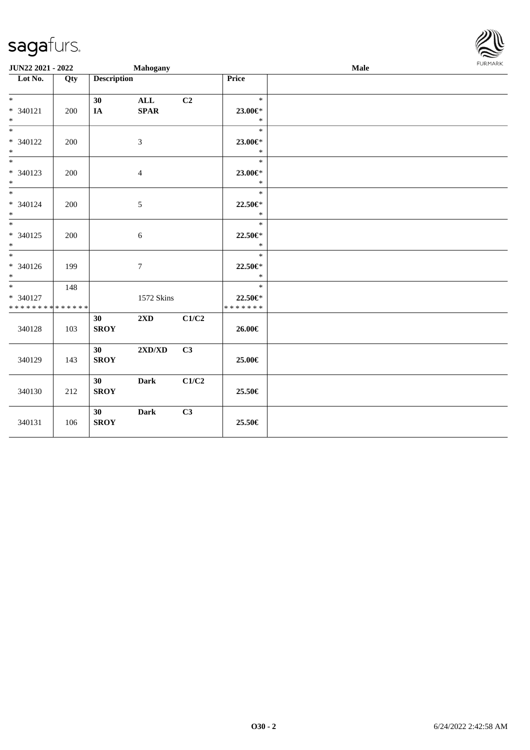| JUN22 2021 - 2022                              |     |                    | Mahogany                         |       |                                    | Male | <b>FURMARK</b> |
|------------------------------------------------|-----|--------------------|----------------------------------|-------|------------------------------------|------|----------------|
| Lot No.                                        | Qty | <b>Description</b> |                                  |       | Price                              |      |                |
| $*$<br>$* 340121$<br>$\ast$                    | 200 | 30<br>IA           | $\mathbf{ALL}$<br><b>SPAR</b>    | C2    | $\ast$<br>23.00€*<br>$\ast$        |      |                |
| $*$<br>$* 340122$<br>$\ast$                    | 200 |                    | $\mathfrak{Z}$                   |       | $\ast$<br>23.00€*<br>$\ast$        |      |                |
| $\overline{\ast}$<br>* 340123<br>$\ast$        | 200 |                    | $\overline{4}$                   |       | $\ast$<br>23.00€*<br>$\ast$        |      |                |
| $\overline{\ast}$<br>$* 340124$<br>$*$         | 200 |                    | $\sqrt{5}$                       |       | $\ast$<br>22.50€*<br>$\ast$        |      |                |
| $*$<br>* 340125<br>$*$                         | 200 |                    | $\sqrt{6}$                       |       | $\ast$<br>22.50€*<br>$\ast$        |      |                |
| $\overline{\phantom{0}}$<br>$* 340126$<br>$*$  | 199 |                    | $\tau$                           |       | $\ast$<br>22.50€*<br>$\ast$        |      |                |
| $*$<br>* 340127<br>* * * * * * * * * * * * * * | 148 |                    | 1572 Skins                       |       | $\ast$<br>22.50€*<br>* * * * * * * |      |                |
| 340128                                         | 103 | 30<br><b>SROY</b>  | $2\mathbf{X}\mathbf{D}$          | C1/C2 | 26.00€                             |      |                |
| 340129                                         | 143 | 30<br><b>SROY</b>  | $2{\bf X}{\bf D}/{\bf X}{\bf D}$ | C3    | 25.00€                             |      |                |
| 340130                                         | 212 | 30<br><b>SROY</b>  | <b>Dark</b>                      | C1/C2 | 25.50€                             |      |                |
| 340131                                         | 106 | 30<br><b>SROY</b>  | <b>Dark</b>                      | C3    | 25.50€                             |      |                |

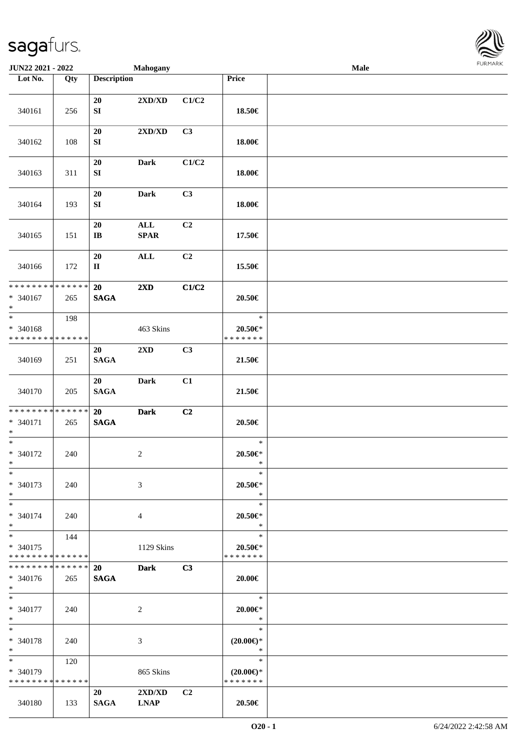

| JUN22 2021 - 2022                                   |                   |                              | <b>Mahogany</b>                  |                |                                                | <b>Male</b> |  |
|-----------------------------------------------------|-------------------|------------------------------|----------------------------------|----------------|------------------------------------------------|-------------|--|
| Lot No.                                             | $\overline{Q}$ ty | <b>Description</b>           |                                  |                | Price                                          |             |  |
|                                                     |                   | 20                           | $2{\bf X}{\bf D}/{\bf X}{\bf D}$ | C1/C2          |                                                |             |  |
| 340161                                              | 256               | ${\bf S}{\bf I}$             |                                  |                | 18.50€                                         |             |  |
| 340162                                              | 108               | $20\,$<br>SI                 | 2XD/XD                           | C3             | 18.00€                                         |             |  |
| 340163                                              | 311               | $20\,$<br>${\bf S}{\bf I}$   | <b>Dark</b>                      | C1/C2          | 18.00€                                         |             |  |
| 340164                                              | 193               | 20<br>${\bf S}{\bf I}$       | <b>Dark</b>                      | C3             | 18.00€                                         |             |  |
| 340165                                              | 151               | 20<br>$\mathbf{I}\mathbf{B}$ | $\mathbf{ALL}$<br><b>SPAR</b>    | C <sub>2</sub> | 17.50€                                         |             |  |
| 340166                                              | 172               | 20<br>$\mathbf{I}\mathbf{I}$ | <b>ALL</b>                       | C2             | 15.50€                                         |             |  |
| * * * * * * * * * * * * * *<br>$* 340167$<br>$\ast$ | 265               | 20<br><b>SAGA</b>            | 2XD                              | C1/C2          | $20.50\in$                                     |             |  |
| $*$<br>* 340168<br>* * * * * * * * * * * * * *      | 198               |                              | 463 Skins                        |                | $\ast$<br>$20.50 \in$ *<br>* * * * * * *       |             |  |
| 340169                                              | 251               | 20<br><b>SAGA</b>            | 2XD                              | C3             | 21.50€                                         |             |  |
| 340170                                              | 205               | 20<br><b>SAGA</b>            | <b>Dark</b>                      | C1             | 21.50€                                         |             |  |
| * * * * * * * * * * * * * *<br>* 340171<br>$*$      | 265               | 20<br><b>SAGA</b>            | <b>Dark</b>                      | C2             | $20.50\in$                                     |             |  |
| $*$<br>$* 340172$<br>$*$                            | 240               |                              | $\overline{c}$                   |                | $\ast$<br>20.50€*<br>$\ast$                    |             |  |
| $\ast$<br>* 340173<br>$*$                           | 240               |                              | 3                                |                | $\ast$<br>$20.50 \in$ *<br>$\ast$              |             |  |
| $*$<br>* 340174<br>$*$                              | 240               |                              | $\overline{4}$                   |                | $\ast$<br>$20.50 \in$ *<br>$\ast$              |             |  |
| $*$<br>* 340175<br>* * * * * * * * * * * * * *      | 144               |                              | 1129 Skins                       |                | $\ast$<br>$20.50 \in$ *<br>* * * * * * *       |             |  |
| * * * * * * * * * * * * * *<br>* 340176<br>$*$      | 265               | 20<br><b>SAGA</b>            | <b>Dark</b>                      | C3             | 20.00€                                         |             |  |
| $*$<br>$* 340177$<br>$*$                            | 240               |                              | $\overline{c}$                   |                | tina.<br>$\ast$<br>$20.00 \in$ *<br>$\ast$     |             |  |
| $*$<br>* 340178<br>$*$                              | 240               |                              | 3                                |                | $\ast$<br>$(20.00\epsilon)$ *<br>$\ast$        |             |  |
| $*$<br>* 340179<br>* * * * * * * * * * * * * *      | 120               |                              | 865 Skins                        |                | $\ast$<br>$(20.00\epsilon)$ *<br>* * * * * * * |             |  |
| 340180                                              | 133               | 20<br><b>SAGA</b>            | 2XD/XD<br><b>LNAP</b>            | C <sub>2</sub> | 20.50€                                         |             |  |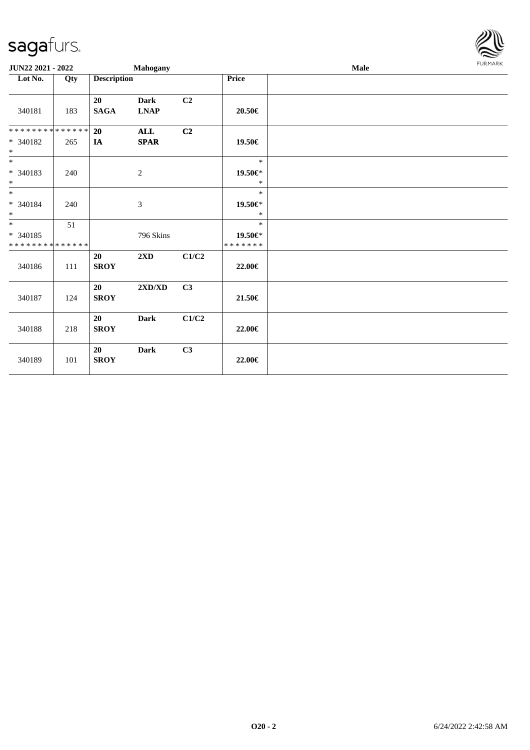

| JUN22 2021 - 2022                       |     |                    | Mahogany                                                  |                |                    | FURMARK<br><b>Male</b> |  |  |  |  |
|-----------------------------------------|-----|--------------------|-----------------------------------------------------------|----------------|--------------------|------------------------|--|--|--|--|
| Lot No.                                 | Qty | <b>Description</b> |                                                           |                | <b>Price</b>       |                        |  |  |  |  |
| 340181                                  | 183 | 20<br><b>SAGA</b>  | <b>Dark</b><br>$\mathbf{L}\mathbf{N}\mathbf{A}\mathbf{P}$ | C <sub>2</sub> | 20.50€             |                        |  |  |  |  |
| * * * * * * * * * * * * * *             |     | 20                 | ALL                                                       | C <sub>2</sub> |                    |                        |  |  |  |  |
| * 340182<br>$\ast$                      | 265 | IA                 | <b>SPAR</b>                                               |                | 19.50€             |                        |  |  |  |  |
| $\ast$                                  |     |                    |                                                           |                | $\ast$             |                        |  |  |  |  |
| $* 340183$<br>$*$   *                   | 240 |                    | $\overline{2}$                                            |                | 19.50€*<br>$\ast$  |                        |  |  |  |  |
|                                         |     |                    |                                                           |                | $\ast$             |                        |  |  |  |  |
| $* 340184$<br>$\ast$                    | 240 |                    | $\mathfrak{Z}$                                            |                | 19.50€*<br>$\ast$  |                        |  |  |  |  |
| $*$                                     | 51  |                    |                                                           |                | $\ast$             |                        |  |  |  |  |
| * 340185<br>* * * * * * * * * * * * * * |     |                    | 796 Skins                                                 |                | 19.50€*<br>******* |                        |  |  |  |  |
| 340186                                  | 111 | 20<br><b>SROY</b>  | 2XD                                                       | C1/C2          | 22.00€             |                        |  |  |  |  |
| 340187                                  | 124 | 20<br><b>SROY</b>  | $2{\bf X}{\bf D}/{\bf X}{\bf D}$                          | C3             | 21.50€             |                        |  |  |  |  |
| 340188                                  | 218 | 20<br><b>SROY</b>  | <b>Dark</b>                                               | C1/C2          | 22.00€             |                        |  |  |  |  |
| 340189                                  | 101 | 20<br><b>SROY</b>  | <b>Dark</b>                                               | C3             | 22.00€             |                        |  |  |  |  |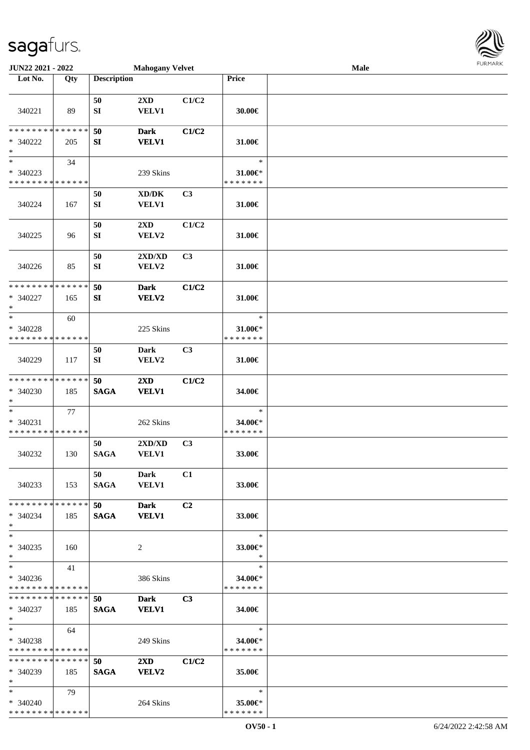

| JUN22 2021 - 2022                          |     |                    | <b>Mahogany Velvet</b>  |                |                          | Male |  |
|--------------------------------------------|-----|--------------------|-------------------------|----------------|--------------------------|------|--|
| Lot No.                                    | Qty | <b>Description</b> |                         |                | Price                    |      |  |
|                                            |     |                    |                         |                |                          |      |  |
|                                            |     | 50                 | 2XD                     | C1/C2          |                          |      |  |
| 340221                                     | 89  | ${\bf SI}$         | <b>VELV1</b>            |                | 30.00€                   |      |  |
|                                            |     |                    |                         |                |                          |      |  |
| * * * * * * * * * * * * * *                |     | 50                 | <b>Dark</b>             | C1/C2          |                          |      |  |
| * 340222                                   | 205 | SI                 | <b>VELV1</b>            |                | 31.00€                   |      |  |
| $\ast$                                     |     |                    |                         |                |                          |      |  |
| $_{\ast}^{-}$                              | 34  |                    |                         |                | $\ast$                   |      |  |
| $* 340223$                                 |     |                    | 239 Skins               |                | 31.00€*                  |      |  |
| * * * * * * * * * * * * * *                |     |                    |                         |                | * * * * * * *            |      |  |
|                                            |     | 50                 | XD/DK                   | C3             |                          |      |  |
| 340224                                     | 167 | SI                 | <b>VELV1</b>            |                | 31.00€                   |      |  |
|                                            |     |                    |                         |                |                          |      |  |
|                                            |     | 50                 | 2XD                     | C1/C2          |                          |      |  |
| 340225                                     | 96  | ${\bf SI}$         | ${\bf VELV2}$           |                | 31.00€                   |      |  |
|                                            |     |                    |                         |                |                          |      |  |
|                                            |     | 50                 | 2XD/XD                  | C3             |                          |      |  |
| 340226                                     | 85  | ${\bf SI}$         | <b>VELV2</b>            |                | 31.00€                   |      |  |
|                                            |     |                    |                         |                |                          |      |  |
| * * * * * * * * * * * * * *                |     | 50                 | <b>Dark</b>             | C1/C2          |                          |      |  |
| * 340227                                   | 165 | SI                 | VELV2                   |                | 31.00€                   |      |  |
| $\ast$                                     |     |                    |                         |                |                          |      |  |
| $\ast$                                     | 60  |                    |                         |                | $\ast$                   |      |  |
| * 340228                                   |     |                    | 225 Skins               |                | 31.00€*                  |      |  |
| * * * * * * * * <mark>* * * * * * *</mark> |     |                    |                         |                | * * * * * * *            |      |  |
|                                            |     | 50                 | <b>Dark</b>             | C3             |                          |      |  |
| 340229                                     | 117 | SI                 | VELV2                   |                | 31.00€                   |      |  |
|                                            |     |                    |                         |                |                          |      |  |
| * * * * * * * * * * * * * *                |     | 50                 | 2XD                     | C1/C2          |                          |      |  |
| * 340230                                   | 185 | <b>SAGA</b>        | <b>VELV1</b>            |                | 34.00€                   |      |  |
| $\ast$                                     |     |                    |                         |                |                          |      |  |
| $\ast$                                     | 77  |                    |                         |                | $\ast$                   |      |  |
| $* 340231$                                 |     |                    | 262 Skins               |                | 34.00€*<br>* * * * * * * |      |  |
| * * * * * * * * * * * * * *                |     |                    |                         |                |                          |      |  |
|                                            |     | 50                 | 2XD/XD                  | C3             |                          |      |  |
| 340232                                     | 130 | <b>SAGA</b>        | <b>VELV1</b>            |                | 33.00€                   |      |  |
|                                            |     | 50                 | Dark                    | C1             |                          |      |  |
| 340233                                     | 153 | <b>SAGA</b>        | <b>VELV1</b>            |                | 33.00€                   |      |  |
|                                            |     |                    |                         |                |                          |      |  |
| * * * * * * * * * * * * * *                |     | 50                 | <b>Dark</b>             | C2             |                          |      |  |
| $* 340234$                                 | 185 | <b>SAGA</b>        | <b>VELV1</b>            |                | 33.00€                   |      |  |
| $*$                                        |     |                    |                         |                |                          |      |  |
| $\ast$                                     |     |                    |                         |                | $\ast$                   |      |  |
| $* 340235$                                 | 160 |                    | 2                       |                | 33.00€*                  |      |  |
| $*$                                        |     |                    |                         |                | $\ast$                   |      |  |
| $*$                                        | 41  |                    |                         |                | $\ast$                   |      |  |
| $* 340236$                                 |     |                    | 386 Skins               |                | 34.00€*                  |      |  |
| * * * * * * * * * * * * * *                |     |                    |                         |                | * * * * * * *            |      |  |
| **************                             |     | 50                 | <b>Dark</b>             | C <sub>3</sub> |                          |      |  |
| $* 340237$                                 | 185 | <b>SAGA</b>        | <b>VELV1</b>            |                | 34.00€                   |      |  |
| $*$                                        |     |                    |                         |                |                          |      |  |
| $*$                                        | 64  |                    |                         |                | $\ast$                   |      |  |
| * 340238                                   |     |                    | 249 Skins               |                | 34.00€*                  |      |  |
| * * * * * * * * * * * * * *                |     |                    |                         |                | * * * * * * *            |      |  |
| * * * * * * * * * * * * * *                |     | 50                 | $2\mathbf{X}\mathbf{D}$ | C1/C2          |                          |      |  |
| $* 340239$                                 | 185 | <b>SAGA</b>        | <b>VELV2</b>            |                | 35.00€                   |      |  |
| $*$                                        |     |                    |                         |                |                          |      |  |
| $*$                                        | 79  |                    |                         |                | $\ast$                   |      |  |
| $* 340240$                                 |     |                    | 264 Skins               |                | 35.00€*                  |      |  |
| **************                             |     |                    |                         |                | * * * * * * *            |      |  |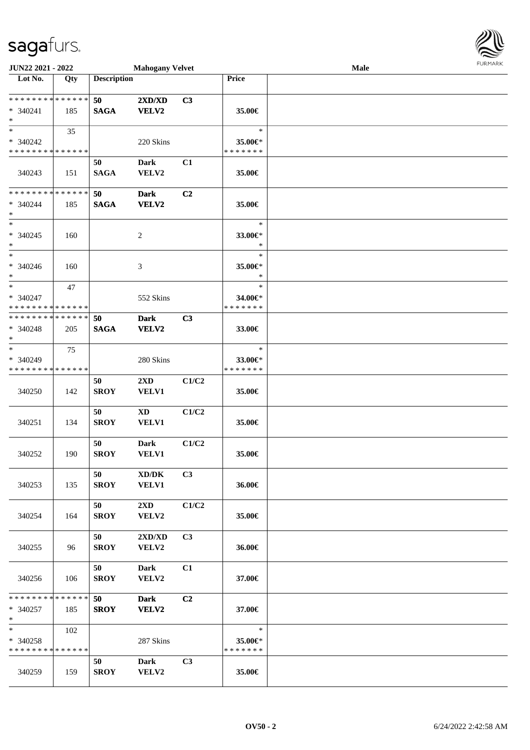| JUN22 2021 - 2022                                              |     |                    | <b>Mahogany Velvet</b>           |                |                                    | Male | <b>FURMARK</b> |
|----------------------------------------------------------------|-----|--------------------|----------------------------------|----------------|------------------------------------|------|----------------|
| $\overline{\phantom{1}}$ Lot No.                               | Qty | <b>Description</b> |                                  |                | Price                              |      |                |
| ******** <mark>******</mark><br>$* 340241$<br>$*$              | 185 | 50<br><b>SAGA</b>  | 2XD/XD<br>VELV2                  | C3             | 35.00€                             |      |                |
| $*$<br>* 340242<br>* * * * * * * * * * * * * *                 | 35  |                    | 220 Skins                        |                | $\ast$<br>35.00€*<br>* * * * * * * |      |                |
| 340243                                                         | 151 | 50<br><b>SAGA</b>  | <b>Dark</b><br>VELV2             | C1             | 35.00€                             |      |                |
| * * * * * * * * * * * * * *<br>* 340244<br>$\ast$              | 185 | 50<br><b>SAGA</b>  | <b>Dark</b><br><b>VELV2</b>      | C2             | 35.00€                             |      |                |
| $*$<br>$* 340245$<br>$\ast$                                    | 160 |                    | $\overline{c}$                   |                | $\ast$<br>33.00€*<br>$\ast$        |      |                |
| $\overline{\ast}$<br>* 340246<br>$*$                           | 160 |                    | 3                                |                | $\ast$<br>35.00€*<br>$\ast$        |      |                |
| $\ast$<br>* 340247<br>* * * * * * * * * * * * * *              | 47  |                    | 552 Skins                        |                | $\ast$<br>34.00€*<br>* * * * * * * |      |                |
| * * * * * * * * * * * * * *<br>* 340248<br>$\ast$              | 205 | 50<br><b>SAGA</b>  | <b>Dark</b><br><b>VELV2</b>      | C3             | 33.00€                             |      |                |
| $\ast$<br>* 340249<br>* * * * * * * * * * * * * *              | 75  |                    | 280 Skins                        |                | $\ast$<br>33.00€*<br>* * * * * * * |      |                |
| 340250                                                         | 142 | 50<br><b>SROY</b>  | 2XD<br><b>VELV1</b>              | C1/C2          | 35.00€                             |      |                |
| 340251                                                         | 134 | 50<br><b>SROY</b>  | <b>XD</b><br><b>VELV1</b>        | C1/C2          | 35.00€                             |      |                |
| 340252                                                         | 190 | 50<br><b>SROY</b>  | <b>Dark</b><br><b>VELV1</b>      | C1/C2          | 35.00€                             |      |                |
| 340253                                                         | 135 | 50<br><b>SROY</b>  | XD/DK<br><b>VELV1</b>            | C <sub>3</sub> | 36.00€                             |      |                |
| 340254                                                         | 164 | 50<br><b>SROY</b>  | $2\mathbf{X}\mathbf{D}$<br>VELV2 | C1/C2          | 35.00€                             |      |                |
| 340255                                                         | 96  | 50<br><b>SROY</b>  | 2XD/XD<br>VELV2                  | C3             | 36.00€                             |      |                |
| 340256                                                         | 106 | 50<br><b>SROY</b>  | Dark<br>VELV2                    | C1             | 37.00€                             |      |                |
| * * * * * * * * <mark>* * * * * * *</mark><br>$*340257$<br>$*$ | 185 | 50<br><b>SROY</b>  | <b>Dark</b><br><b>VELV2</b>      | C2             | 37.00€                             |      |                |
| $*$<br>$* 340258$<br>* * * * * * * * * * * * * *               | 102 |                    | 287 Skins                        |                | $\ast$<br>35.00€*<br>* * * * * * * |      |                |
| 340259                                                         | 159 | 50<br><b>SROY</b>  | <b>Dark</b><br>VELV2             | C3             | 35.00€                             |      |                |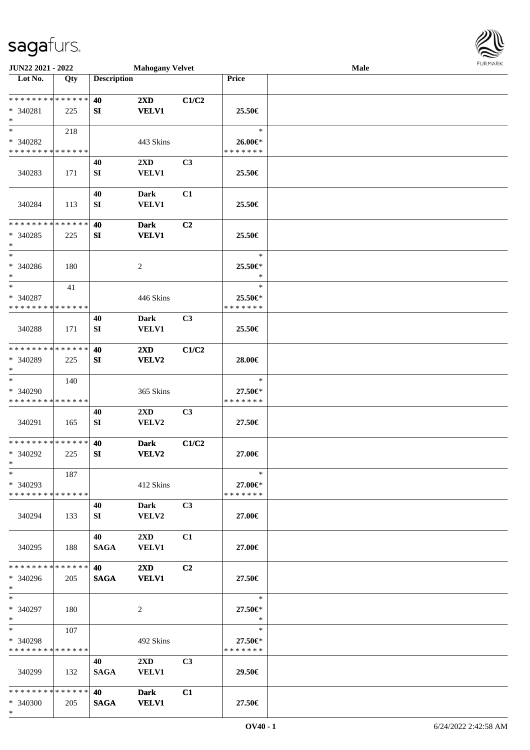

| JUN22 2021 - 2022            |     |                    | <b>Mahogany Velvet</b>  |                |               | Male |  |
|------------------------------|-----|--------------------|-------------------------|----------------|---------------|------|--|
| Lot No.                      | Qty | <b>Description</b> |                         |                | Price         |      |  |
|                              |     |                    |                         |                |               |      |  |
| * * * * * * * * * * * * * *  |     | 40                 | $2\mathbf{X}\mathbf{D}$ | C1/C2          |               |      |  |
| $* 340281$                   | 225 | SI                 | <b>VELV1</b>            |                | 25.50€        |      |  |
| $\ast$                       |     |                    |                         |                |               |      |  |
| $*$                          | 218 |                    |                         |                | $\ast$        |      |  |
| * 340282                     |     |                    | 443 Skins               |                | 26.00€*       |      |  |
| * * * * * * * * * * * * * *  |     |                    |                         |                | * * * * * * * |      |  |
|                              |     | 40                 | 2XD                     | C <sub>3</sub> |               |      |  |
| 340283                       | 171 | SI                 | VELV1                   |                | 25.50€        |      |  |
|                              |     |                    |                         |                |               |      |  |
|                              |     | 40                 | <b>Dark</b>             | C1             |               |      |  |
| 340284                       | 113 | ${\bf SI}$         | <b>VELV1</b>            |                | 25.50€        |      |  |
|                              |     |                    |                         |                |               |      |  |
| * * * * * * * * * * * * * *  |     | 40                 | <b>Dark</b>             | C <sub>2</sub> |               |      |  |
| $* 340285$                   | 225 | SI                 | <b>VELV1</b>            |                | 25.50€        |      |  |
| $\ast$                       |     |                    |                         |                |               |      |  |
| $\ast$                       |     |                    |                         |                | $\ast$        |      |  |
| $* 340286$                   | 180 |                    | $\overline{c}$          |                | 25.50€*       |      |  |
| $\ast$                       |     |                    |                         |                | $\ast$        |      |  |
| $\ast$                       | 41  |                    |                         |                | $\ast$        |      |  |
| * 340287                     |     |                    | 446 Skins               |                | 25.50€*       |      |  |
| * * * * * * * * * * * * * *  |     |                    |                         |                | * * * * * * * |      |  |
|                              |     | 40                 | <b>Dark</b>             | C3             |               |      |  |
| 340288                       | 171 | SI                 | <b>VELV1</b>            |                | 25.50€        |      |  |
|                              |     |                    |                         |                |               |      |  |
| * * * * * * * * * * * * * *  |     | 40                 | $2\mathbf{X}\mathbf{D}$ | C1/C2          |               |      |  |
| * 340289                     | 225 | SI                 | VELV2                   |                | 28.00€        |      |  |
| $\ast$                       |     |                    |                         |                |               |      |  |
| $\ast$                       | 140 |                    |                         |                | $\ast$        |      |  |
| * 340290                     |     |                    | 365 Skins               |                | 27.50€*       |      |  |
| * * * * * * * * * * * * * *  |     |                    |                         |                | * * * * * * * |      |  |
|                              |     | 40                 | 2XD                     | C3             |               |      |  |
| 340291                       | 165 | SI                 | VELV2                   |                | 27.50€        |      |  |
|                              |     |                    |                         |                |               |      |  |
| ******** <mark>******</mark> |     | 40                 | <b>Dark</b>             | C1/C2          |               |      |  |
| $* 340292$                   | 225 | SI                 | VELV2                   |                | 27.00€        |      |  |
| $*$                          |     |                    |                         |                |               |      |  |
| $*$                          | 187 |                    |                         |                | $\ast$        |      |  |
| * 340293                     |     |                    | 412 Skins               |                | 27.00€*       |      |  |
| * * * * * * * * * * * * * *  |     |                    |                         |                | * * * * * * * |      |  |
|                              |     | 40                 | Dark                    | C3             |               |      |  |
| 340294                       | 133 | SI                 | <b>VELV2</b>            |                | 27.00€        |      |  |
|                              |     |                    |                         |                |               |      |  |
|                              |     | 40                 | $2\mathbf{X}\mathbf{D}$ | C1             |               |      |  |
| 340295                       | 188 | <b>SAGA</b>        | <b>VELV1</b>            |                | 27.00€        |      |  |
|                              |     |                    |                         |                |               |      |  |
| * * * * * * * * * * * * * *  |     | <b>40</b>          | $2\mathbf{X}\mathbf{D}$ | C2             |               |      |  |
| * 340296                     | 205 | <b>SAGA</b>        | <b>VELV1</b>            |                | 27.50€        |      |  |
| $*$                          |     |                    |                         |                |               |      |  |
| $*$                          |     |                    |                         |                | $\ast$        |      |  |
| * 340297                     | 180 |                    | 2                       |                | 27.50€*       |      |  |
| $*$                          |     |                    |                         |                | $\ast$        |      |  |
| $*$                          | 107 |                    |                         |                | $\ast$        |      |  |
| * 340298                     |     |                    | 492 Skins               |                | 27.50€*       |      |  |
| * * * * * * * * * * * * * *  |     |                    |                         |                | * * * * * * * |      |  |
|                              |     | 40                 | $2\mathbf{X}\mathbf{D}$ | C <sub>3</sub> |               |      |  |
| 340299                       | 132 | <b>SAGA</b>        | <b>VELV1</b>            |                | 29.50€        |      |  |
|                              |     |                    |                         |                |               |      |  |
| * * * * * * * * * * * * * *  |     | 40                 | <b>Dark</b>             | C1             |               |      |  |
| * 340300                     | 205 | <b>SAGA</b>        | <b>VELV1</b>            |                | 27.50€        |      |  |
| $*$                          |     |                    |                         |                |               |      |  |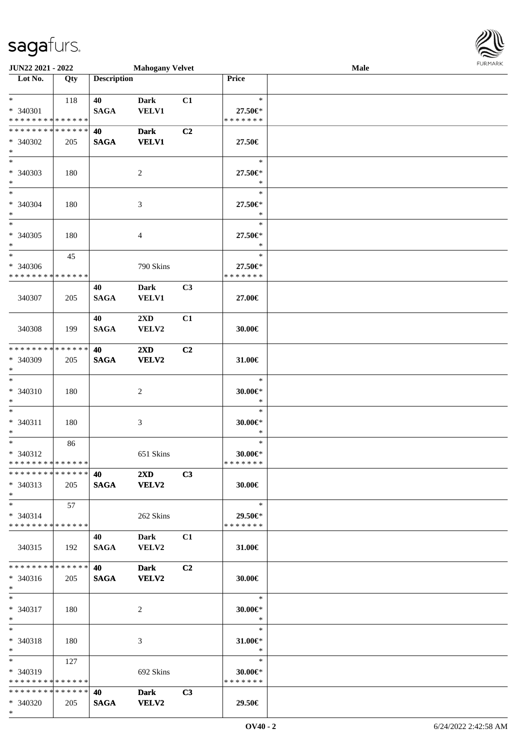\*

| JUN22 2021 - 2022                                 |     |                    | <b>Mahogany Velvet</b>                  |                |                                           | Male | <b>FURMARK</b> |
|---------------------------------------------------|-----|--------------------|-----------------------------------------|----------------|-------------------------------------------|------|----------------|
| $\overline{\phantom{1}}$ Lot No.                  | Qty | <b>Description</b> |                                         |                | Price                                     |      |                |
| $*$<br>* 340301<br>* * * * * * * * * * * * * *    | 118 | 40<br><b>SAGA</b>  | <b>Dark</b><br><b>VELV1</b>             | C1             | $\ast$<br>27.50€*<br>* * * * * * *        |      |                |
| * * * * * * * * * * * * * *<br>* 340302<br>$*$    | 205 | 40<br><b>SAGA</b>  | <b>Dark</b><br><b>VELV1</b>             | C2             | 27.50€                                    |      |                |
| $\ast$<br>$* 340303$<br>$*$                       | 180 |                    | $\overline{2}$                          |                | $\ast$<br>27.50€*<br>$\ast$               |      |                |
| $*$<br>* 340304<br>$*$                            | 180 |                    | $\mathfrak{Z}$                          |                | $\ast$<br>27.50€*<br>$\ast$               |      |                |
| $*$<br>* 340305<br>$\ast$                         | 180 |                    | $\overline{4}$                          |                | $\ast$<br>27.50€*<br>$\ast$               |      |                |
| $*$<br>* 340306<br>* * * * * * * * * * * * * *    | 45  |                    | 790 Skins                               |                | $\ast$<br>27.50€*<br>* * * * * * *        |      |                |
| 340307                                            | 205 | 40<br><b>SAGA</b>  | <b>Dark</b><br><b>VELV1</b>             | C3             | 27.00€                                    |      |                |
| 340308                                            | 199 | 40<br><b>SAGA</b>  | $2\mathbf{X}\mathbf{D}$<br>VELV2        | C1             | 30.00€                                    |      |                |
| * * * * * * * * * * * * * *<br>* 340309<br>$\ast$ | 205 | 40<br><b>SAGA</b>  | $2\mathbf{X}\mathbf{D}$<br><b>VELV2</b> | C2             | 31.00€                                    |      |                |
| $\ast$<br>* 340310<br>$\ast$                      | 180 |                    | $\boldsymbol{2}$                        |                | $\ast$<br>$30.00 \in$ *<br>$\ast$         |      |                |
| $\ast$<br>* 340311<br>$\ast$                      | 180 |                    | $\mathfrak{Z}$                          |                | $\ast$<br>$30.00 \in$ *<br>$\ast$         |      |                |
| $*$<br>* 340312<br>* * * * * * * * * * * * * *    | 86  |                    | 651 Skins                               |                | $\ast$<br>$30.00 \in$ *<br>* * * * * * *  |      |                |
| * * * * * * * * * * * * * *<br>* 340313<br>$*$    | 205 | 40<br><b>SAGA</b>  | $2\mathbf{X}\mathbf{D}$<br><b>VELV2</b> | C <sub>3</sub> | 30.00€                                    |      |                |
| $*$<br>* 340314<br>* * * * * * * * * * * * * *    | 57  |                    | 262 Skins                               |                | $\ast$<br>29.50€*<br>* * * * * * *        |      |                |
| 340315                                            | 192 | 40<br><b>SAGA</b>  | Dark<br><b>VELV2</b>                    | C1             | 31.00€                                    |      |                |
| * * * * * * * * * * * * * *<br>$* 340316$<br>$*$  | 205 | 40<br><b>SAGA</b>  | <b>Dark</b><br><b>VELV2</b>             | C <sub>2</sub> | 30.00€                                    |      |                |
| $*$<br>* 340317<br>$*$                            | 180 |                    | 2                                       |                | $\ast$<br>30.00 $\varepsilon$ *<br>$\ast$ |      |                |
| $*$<br>* 340318<br>$*$                            | 180 |                    | 3                                       |                | $\ast$<br>$31.00 \in$<br>$\ast$           |      |                |
| $*$<br>* 340319<br>* * * * * * * * * * * * * *    | 127 |                    | 692 Skins                               |                | $\ast$<br>30.00€*<br>* * * * * * *        |      |                |
| * * * * * * * * * * * * * *<br>* 340320           | 205 | 40<br><b>SAGA</b>  | <b>Dark</b><br><b>VELV2</b>             | C3             | 29.50€                                    |      |                |

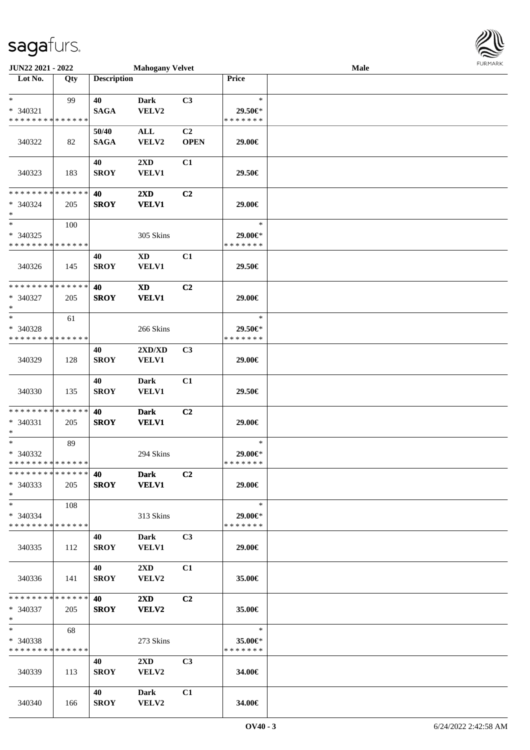| JUN22 2021 - 2022                                                |     |                      | <b>Mahogany Velvet</b>                     |                   |                                    | Male | <b>FURMARK</b> |
|------------------------------------------------------------------|-----|----------------------|--------------------------------------------|-------------------|------------------------------------|------|----------------|
| Lot No.                                                          | Qty | <b>Description</b>   |                                            |                   | Price                              |      |                |
| $\ast$<br>* 340321<br>* * * * * * * * <mark>* * * * * * *</mark> | 99  | 40<br><b>SAGA</b>    | <b>Dark</b><br>VELV2                       | C3                | $\ast$<br>29.50€*<br>* * * * * * * |      |                |
| 340322                                                           | 82  | 50/40<br><b>SAGA</b> | $\mathbf{ALL}$<br>VELV2                    | C2<br><b>OPEN</b> | 29.00€                             |      |                |
| 340323                                                           | 183 | 40<br><b>SROY</b>    | 2XD<br><b>VELV1</b>                        | C1                | 29.50€                             |      |                |
| * * * * * * * * * * * * * *<br>* 340324<br>$\ast$                | 205 | 40<br><b>SROY</b>    | $2\mathbf{X}\mathbf{D}$<br><b>VELV1</b>    | C2                | 29.00€                             |      |                |
| $\ast$<br>* 340325<br>* * * * * * * * * * * * * *                | 100 |                      | 305 Skins                                  |                   | $\ast$<br>29.00€*<br>* * * * * * * |      |                |
| 340326                                                           | 145 | 40<br><b>SROY</b>    | XD<br><b>VELV1</b>                         | C1                | 29.50€                             |      |                |
| * * * * * * * * * * * * * *<br>$* 340327$<br>$\ast$              | 205 | 40<br><b>SROY</b>    | $\boldsymbol{\mathrm{XD}}$<br><b>VELV1</b> | C <sub>2</sub>    | 29.00€                             |      |                |
| $\ast$<br>* 340328<br>* * * * * * * * * * * * * *                | 61  |                      | 266 Skins                                  |                   | $\ast$<br>29.50€*<br>* * * * * * * |      |                |
| 340329                                                           | 128 | 40<br><b>SROY</b>    | 2XD/XD<br><b>VELV1</b>                     | C3                | 29.00€                             |      |                |
| 340330                                                           | 135 | 40<br><b>SROY</b>    | <b>Dark</b><br><b>VELV1</b>                | C1                | 29.50€                             |      |                |
| * * * * * * * * * * * * * *<br>* 340331<br>$\ast$                | 205 | 40<br><b>SROY</b>    | <b>Dark</b><br><b>VELV1</b>                | C2                | 29.00€                             |      |                |
| $\ast$<br>* 340332<br>* * * * * * * * * * * * * *                | 89  |                      | 294 Skins                                  |                   | $\ast$<br>29.00€*<br>* * * * * * * |      |                |
| * * * * * * * * * * * * * *<br>* 340333<br>$\ast$                | 205 | 40<br><b>SROY</b>    | <b>Dark</b><br><b>VELV1</b>                | C <sub>2</sub>    | 29.00€                             |      |                |
| $\ast$<br>* 340334<br>* * * * * * * * * * * * * *                | 108 |                      | 313 Skins                                  |                   | $\ast$<br>29.00€*<br>* * * * * * * |      |                |
| 340335                                                           | 112 | 40<br><b>SROY</b>    | Dark<br><b>VELV1</b>                       | C <sub>3</sub>    | 29.00€                             |      |                |
| 340336                                                           | 141 | 40<br><b>SROY</b>    | $2\mathbf{X}\mathbf{D}$<br>VELV2           | C1                | 35.00€                             |      |                |
| * * * * * * * * * * * * * *<br>$*340337$<br>$*$                  | 205 | 40<br><b>SROY</b>    | $2\mathbf{X}\mathbf{D}$<br><b>VELV2</b>    | C2                | 35.00€                             |      |                |
| $*$<br>$* 340338$<br>* * * * * * * * * * * * * *                 | 68  |                      | 273 Skins                                  |                   | $\ast$<br>35.00€*<br>* * * * * * * |      |                |
| 340339                                                           | 113 | 40<br><b>SROY</b>    | $2\mathbf{X}\mathbf{D}$<br><b>VELV2</b>    | C <sub>3</sub>    | 34.00€                             |      |                |
| 340340                                                           | 166 | 40<br><b>SROY</b>    | <b>Dark</b><br>VELV2                       | C1                | 34.00€                             |      |                |

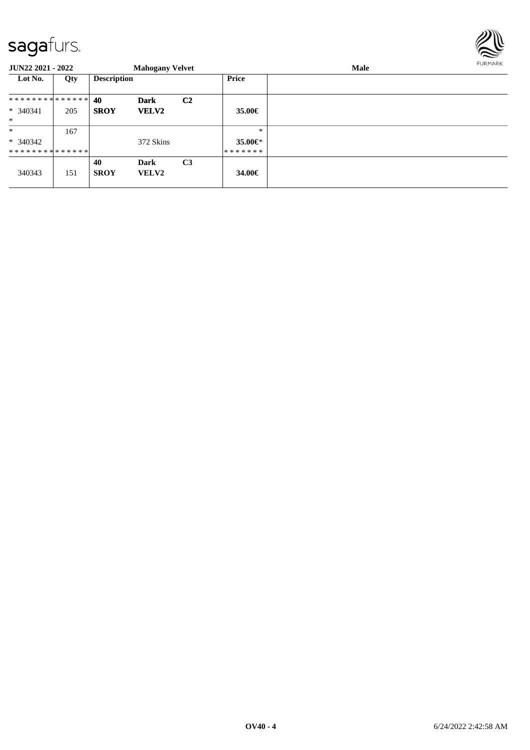

| <b>JUN22 2021 - 2022</b>      |     |                    | <b>Mahogany Velvet</b>      |                |               | Male | <b>FURMARK</b> |
|-------------------------------|-----|--------------------|-----------------------------|----------------|---------------|------|----------------|
| Lot No.                       | Qty | <b>Description</b> |                             |                | Price         |      |                |
|                               |     |                    | <b>Dark</b>                 | C <sub>2</sub> |               |      |                |
| * 340341<br>$*$               | 205 | <b>SROY</b>        | <b>VELV2</b>                |                | 35.00€        |      |                |
| $\ast$                        | 167 |                    |                             |                | $\ast$        |      |                |
| $* 340342$                    |     |                    | 372 Skins                   |                | 35.00 $\in$ * |      |                |
| * * * * * * * * * * * * * * * |     |                    |                             |                | *******       |      |                |
| 340343                        | 151 | 40<br><b>SROY</b>  | <b>Dark</b><br><b>VELV2</b> | C <sub>3</sub> | 34.00€        |      |                |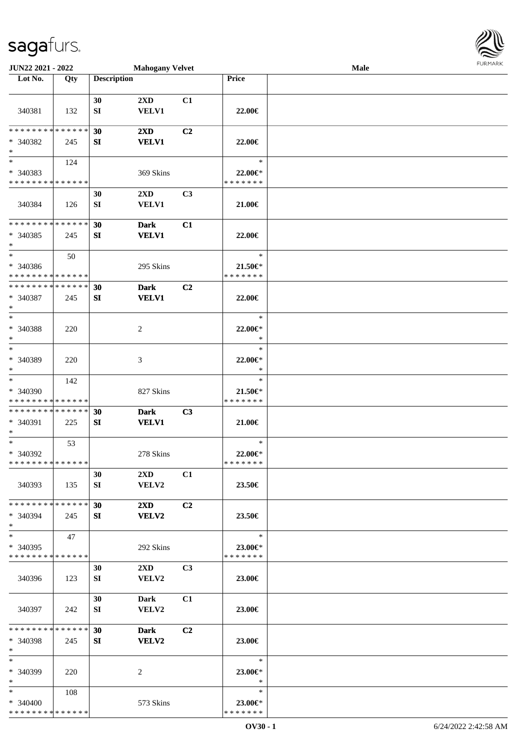| JUN22 2021 - 2022                         |     |                    | <b>Mahogany Velvet</b>  |                |                          | Male | <b>FUNITANN</b> |
|-------------------------------------------|-----|--------------------|-------------------------|----------------|--------------------------|------|-----------------|
| Lot No.                                   | Qty | <b>Description</b> |                         |                | Price                    |      |                 |
|                                           |     |                    |                         |                |                          |      |                 |
|                                           |     | 30                 | $2\mathbf{X}\mathbf{D}$ | C1             |                          |      |                 |
| 340381                                    | 132 | SI                 | <b>VELV1</b>            |                | 22.00€                   |      |                 |
|                                           |     |                    |                         |                |                          |      |                 |
| * * * * * * * * * * * * * *               |     | 30                 | 2XD                     | C2             |                          |      |                 |
| * 340382                                  | 245 | SI                 | <b>VELV1</b>            |                | 22.00€                   |      |                 |
| $*$                                       |     |                    |                         |                |                          |      |                 |
| $\ast$                                    | 124 |                    |                         |                | $\ast$                   |      |                 |
| * 340383                                  |     |                    | 369 Skins               |                | 22.00€*                  |      |                 |
| * * * * * * * * * * * * * *               |     |                    |                         |                | * * * * * * *            |      |                 |
|                                           |     | 30                 | 2XD                     | C3             |                          |      |                 |
| 340384                                    | 126 | SI                 | <b>VELV1</b>            |                | 21.00€                   |      |                 |
|                                           |     |                    |                         |                |                          |      |                 |
| * * * * * * * * * * * * * *               |     | 30                 | <b>Dark</b>             | C1             |                          |      |                 |
| * 340385                                  | 245 | SI                 | <b>VELV1</b>            |                | 22.00€                   |      |                 |
| $*$                                       |     |                    |                         |                |                          |      |                 |
| $\ast$                                    | 50  |                    |                         |                | $\ast$                   |      |                 |
| $* 340386$                                |     |                    | 295 Skins               |                | $21.50 \in$              |      |                 |
| * * * * * * * * * * * * * *               |     |                    |                         |                | * * * * * * *            |      |                 |
| * * * * * * * * * * * * * *               |     | 30                 | <b>Dark</b>             | C2             |                          |      |                 |
| * 340387                                  | 245 | SI                 | <b>VELV1</b>            |                | 22.00€                   |      |                 |
| $*$                                       |     |                    |                         |                |                          |      |                 |
| $*$                                       |     |                    |                         |                | $\ast$                   |      |                 |
| $* 340388$                                | 220 |                    | 2                       |                | 22.00€*                  |      |                 |
| $*$                                       |     |                    |                         |                | $\ast$                   |      |                 |
| $\ast$                                    |     |                    |                         |                | $\ast$                   |      |                 |
| $* 340389$                                | 220 |                    | 3                       |                | 22.00€*                  |      |                 |
| $\ast$                                    |     |                    |                         |                | $\ast$                   |      |                 |
| $*$                                       | 142 |                    |                         |                | $\ast$                   |      |                 |
| * 340390                                  |     |                    | 827 Skins               |                | $21.50 \in$              |      |                 |
| * * * * * * * * * * * * * *               |     |                    |                         |                | * * * * * * *            |      |                 |
| * * * * * * * * * * * * * *               |     | 30                 | <b>Dark</b>             | C3             |                          |      |                 |
| * 340391                                  | 225 | SI                 | <b>VELV1</b>            |                | 21.00€                   |      |                 |
| $*$                                       |     |                    |                         |                |                          |      |                 |
| $*$                                       | 53  |                    |                         |                | $\ast$                   |      |                 |
| * 340392                                  |     |                    | 278 Skins               |                | 22.00€*                  |      |                 |
| * * * * * * * * * * * * * *               |     |                    |                         |                | * * * * * * *            |      |                 |
|                                           |     | 30                 | $2\mathbf{X}\mathbf{D}$ | C1             |                          |      |                 |
| 340393                                    | 135 | SI                 | <b>VELV2</b>            |                | 23.50€                   |      |                 |
|                                           |     |                    |                         |                |                          |      |                 |
| * * * * * * * * * * * * * * *             |     | 30                 | $2\mathbf{X}\mathbf{D}$ | C2             |                          |      |                 |
| * 340394                                  |     |                    | <b>VELV2</b>            |                |                          |      |                 |
| $*$                                       | 245 | SI                 |                         |                | 23.50€                   |      |                 |
| $*$                                       |     |                    |                         |                | $\ast$                   |      |                 |
| * 340395                                  | 47  |                    |                         |                | 23.00€*                  |      |                 |
| * * * * * * * * * * * * * *               |     |                    | 292 Skins               |                | * * * * * * *            |      |                 |
|                                           |     |                    |                         |                |                          |      |                 |
|                                           |     | 30                 | $2\mathbf{X}\mathbf{D}$ | C3             |                          |      |                 |
| 340396                                    | 123 | SI                 | <b>VELV2</b>            |                | 23.00€                   |      |                 |
|                                           |     |                    |                         |                |                          |      |                 |
|                                           |     | 30                 | Dark                    | C1             |                          |      |                 |
| 340397                                    | 242 | SI                 | <b>VELV2</b>            |                | 23.00€                   |      |                 |
| * * * * * * * * * * * * * * *             |     |                    |                         |                |                          |      |                 |
|                                           |     | 30                 | <b>Dark</b>             | C <sub>2</sub> |                          |      |                 |
| * 340398<br>$*$                           | 245 | SI                 | <b>VELV2</b>            |                | 23.00€                   |      |                 |
| $*$                                       |     |                    |                         |                | $\ast$                   |      |                 |
|                                           |     |                    |                         |                |                          |      |                 |
| * 340399<br>$*$ $-$                       | 220 |                    | 2                       |                | $23.00 \in$<br>$\ast$    |      |                 |
| $*$ $-$                                   |     |                    |                         |                | $\ast$                   |      |                 |
|                                           | 108 |                    |                         |                |                          |      |                 |
| $* 340400$<br>* * * * * * * * * * * * * * |     |                    | 573 Skins               |                | 23.00€*<br>* * * * * * * |      |                 |
|                                           |     |                    |                         |                |                          |      |                 |

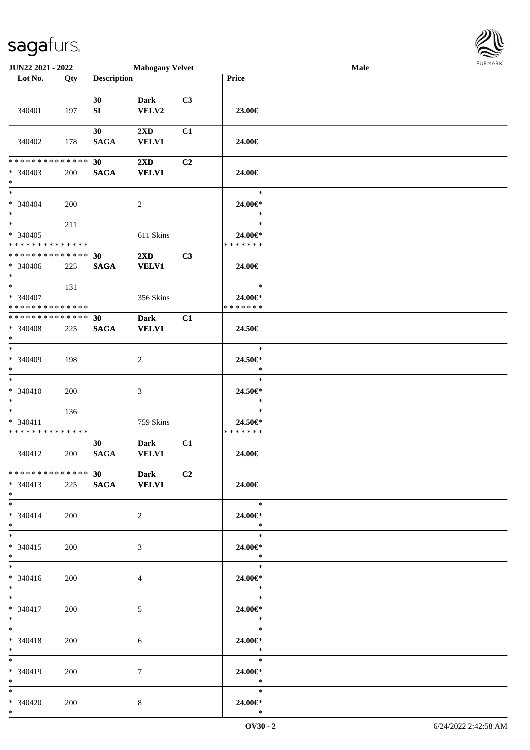| JUN22 2021 - 2022                                   |            |                       | <b>Mahogany Velvet</b>                  |    |                                    | Male | <b>FURMARK</b> |
|-----------------------------------------------------|------------|-----------------------|-----------------------------------------|----|------------------------------------|------|----------------|
| Lot No.                                             | Qty        | <b>Description</b>    |                                         |    | Price                              |      |                |
| 340401                                              | 197        | 30<br>SI              | <b>Dark</b><br>VELV2                    | C3 | 23.00€                             |      |                |
| 340402                                              | 178        | 30<br><b>SAGA</b>     | 2XD<br>VELV1                            | C1 | 24.00€                             |      |                |
| * * * * * * * * * * * * * *<br>$* 340403$<br>$*$    | <b>200</b> | 30<br>$\mathbf{SAGA}$ | 2XD<br>VELV1                            | C2 | 24.00€                             |      |                |
| $*$<br>$* 340404$<br>$*$                            | 200        |                       | $\overline{c}$                          |    | $\ast$<br>24.00€*<br>$\ast$        |      |                |
| $*$<br>$* 340405$<br>* * * * * * * * * * * * * *    | 211        |                       | 611 Skins                               |    | $\ast$<br>24.00€*<br>* * * * * * * |      |                |
| * * * * * * * * * * * * * *<br>$* 340406$<br>$*$    | 225        | 30<br><b>SAGA</b>     | $2\mathbf{X}\mathbf{D}$<br><b>VELV1</b> | C3 | 24.00€                             |      |                |
| $*$<br>* 340407<br>* * * * * * * * * * * * * *      | 131        |                       | 356 Skins                               |    | $\ast$<br>24.00€*<br>* * * * * * * |      |                |
| * * * * * * * * * * * * * *<br>* 340408<br>$*$      | 225        | 30<br><b>SAGA</b>     | <b>Dark</b><br><b>VELV1</b>             | C1 | 24.50€                             |      |                |
| $*$<br>* 340409<br>$*$                              | 198        |                       | $\sqrt{2}$                              |    | $\ast$<br>24.50€*<br>$\ast$        |      |                |
| $*$<br>$* 340410$<br>$*$                            | 200        |                       | $\mathfrak{Z}$                          |    | $\ast$<br>24.50€*<br>$\ast$        |      |                |
| $\ast$<br>$* 340411$<br>* * * * * * * * * * * * * * | 136        |                       | 759 Skins                               |    | $\ast$<br>24.50€*<br>* * * * * * * |      |                |
| 340412                                              | 200        | 30<br><b>SAGA</b>     | <b>Dark</b><br><b>VELV1</b>             | C1 | 24.00€                             |      |                |
| * * * * * * * * * * * * * * *<br>* 340413<br>$*$    | 225        | 30<br><b>SAGA</b>     | <b>Dark</b><br><b>VELV1</b>             | C2 | 24.00€                             |      |                |
| $*$<br>$* 340414$<br>$*$                            | 200        |                       | $\overline{2}$                          |    | $\ast$<br>24.00€*<br>$\ast$        |      |                |
| $*$<br>$* 340415$<br>$*$                            | 200        |                       | $\mathfrak{Z}$                          |    | $\ast$<br>24.00€*<br>$\ast$        |      |                |
| $*$<br>* 340416<br>$*$                              | 200        |                       | $\overline{4}$                          |    | $\ast$<br>24.00€*<br>$\ast$        |      |                |
| $*$<br>$* 340417$<br>$*$                            | 200        |                       | 5                                       |    | $\ast$<br>24.00€*<br>$\ast$        |      |                |
| $*$<br>$* 340418$<br>$*$                            | 200        |                       | 6                                       |    | $\ast$<br>24.00€*<br>$\ast$        |      |                |
| $*$<br>* 340419<br>$*$                              | 200        |                       | $\tau$                                  |    | $\ast$<br>24.00€*<br>$\ast$        |      |                |
| $*$<br>$* 340420$<br>$*$                            | 200        |                       | $\,8\,$                                 |    | $\ast$<br>24.00€*<br>$\ast$        |      |                |

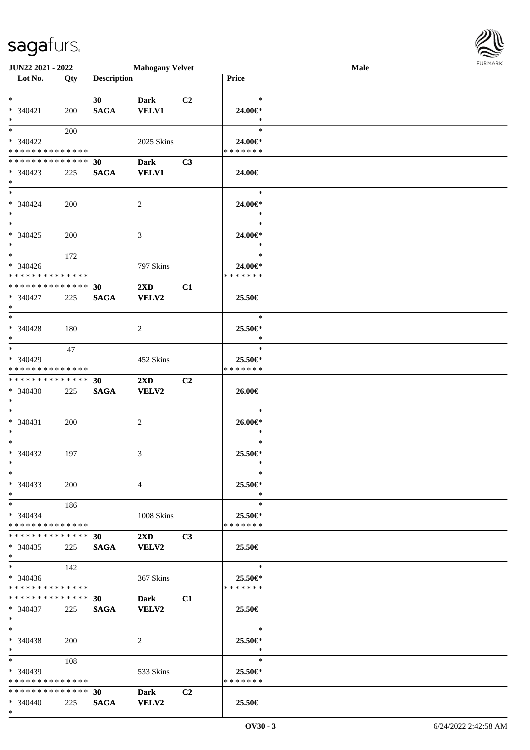\*

| JUN22 2021 - 2022                |            |                    | <b>Mahogany Velvet</b>  |                |                   | Male | <b>FURMARK</b> |
|----------------------------------|------------|--------------------|-------------------------|----------------|-------------------|------|----------------|
| $\overline{\phantom{1}}$ Lot No. | Qty        | <b>Description</b> |                         |                | Price             |      |                |
| $\ast$                           |            | 30                 | <b>Dark</b>             | C <sub>2</sub> | $\ast$            |      |                |
| * 340421                         | 200        | <b>SAGA</b>        | <b>VELV1</b>            |                | 24.00€*           |      |                |
| $*$                              |            |                    |                         |                | $\ast$            |      |                |
| $\ast$                           | 200        |                    |                         |                | $\ast$            |      |                |
| * 340422                         |            |                    | 2025 Skins              |                | 24.00€*           |      |                |
| * * * * * * * * * * * * * *      |            |                    |                         |                | *******           |      |                |
| **************                   |            | 30                 | <b>Dark</b>             | C3             |                   |      |                |
| $* 340423$                       | 225        | <b>SAGA</b>        | <b>VELV1</b>            |                | 24.00€            |      |                |
| $*$                              |            |                    |                         |                |                   |      |                |
| $*$                              |            |                    |                         |                | $\ast$            |      |                |
| $* 340424$                       | <b>200</b> |                    | $\overline{2}$          |                | 24.00€*           |      |                |
| $*$                              |            |                    |                         |                | $\ast$            |      |                |
| $*$                              |            |                    |                         |                | $\ast$            |      |                |
| $* 340425$                       | 200        |                    | 3                       |                | 24.00€*           |      |                |
| $*$                              |            |                    |                         |                | $\ast$            |      |                |
| $*$                              | 172        |                    |                         |                | $\ast$            |      |                |
| * 340426                         |            |                    | 797 Skins               |                | 24.00€*           |      |                |
| * * * * * * * * * * * * * *      |            |                    |                         |                | * * * * * * *     |      |                |
| * * * * * * * * * * * * * *      |            | 30                 | 2XD                     | C1             |                   |      |                |
| $* 340427$                       | 225        | <b>SAGA</b>        | <b>VELV2</b>            |                | 25.50€            |      |                |
| $*$                              |            |                    |                         |                |                   |      |                |
| $*$                              |            |                    |                         |                | $\ast$            |      |                |
| $* 340428$                       | 180        |                    | $\overline{c}$          |                | 25.50€*           |      |                |
| $*$<br>$\ast$                    |            |                    |                         |                | $\ast$            |      |                |
|                                  | 47         |                    |                         |                | $\ast$            |      |                |
| * 340429                         |            |                    | 452 Skins               |                | 25.50€*           |      |                |
| * * * * * * * * * * * * * *      |            |                    |                         |                | * * * * * * *     |      |                |
| * * * * * * * * * * * * * *      |            | 30                 | $2\mathbf{X}\mathbf{D}$ | C2             |                   |      |                |
| $* 340430$                       | 225        | <b>SAGA</b>        | <b>VELV2</b>            |                | 26.00€            |      |                |
| $\ast$<br>$*$                    |            |                    |                         |                | $\ast$            |      |                |
|                                  |            |                    |                         |                |                   |      |                |
| * 340431<br>$\ast$               | 200        |                    | $\overline{2}$          |                | 26.00€*<br>$\ast$ |      |                |
| $\ast$                           |            |                    |                         |                | $\ast$            |      |                |
| * 340432                         | 197        |                    |                         |                | 25.50€*           |      |                |
| $*$                              |            |                    | 3                       |                | $\ast$            |      |                |
| $*$                              |            |                    |                         |                | $\ast$            |      |                |
| $* 340433$                       | <b>200</b> |                    | $\overline{4}$          |                | 25.50€*           |      |                |
| $*$                              |            |                    |                         |                | $\ast$            |      |                |
| $*$                              | 186        |                    |                         |                | $\ast$            |      |                |
| $* 340434$                       |            |                    | 1008 Skins              |                | 25.50€*           |      |                |
| * * * * * * * * * * * * * *      |            |                    |                         |                | * * * * * * *     |      |                |
| * * * * * * * * * * * * * *      |            | 30                 | $2\mathbf{X}\mathbf{D}$ | C <sub>3</sub> |                   |      |                |
| $* 340435$                       | 225        | <b>SAGA</b>        | <b>VELV2</b>            |                | 25.50€            |      |                |
| $*$                              |            |                    |                         |                |                   |      |                |
| $*$                              | 142        |                    |                         |                | $\ast$            |      |                |
| * 340436                         |            |                    | 367 Skins               |                | 25.50€*           |      |                |
| * * * * * * * * * * * * * *      |            |                    |                         |                | * * * * * * *     |      |                |
| * * * * * * * * * * * * * *      |            | 30                 | Dark                    | C1             |                   |      |                |
| $* 340437$                       | 225        | <b>SAGA</b>        | <b>VELV2</b>            |                | 25.50€            |      |                |
| $*$                              |            |                    |                         |                |                   |      |                |
| $\ast$                           |            |                    |                         |                | $\ast$            |      |                |
| * 340438                         | <b>200</b> |                    | 2                       |                | 25.50€*           |      |                |
| $\ast$                           |            |                    |                         |                | $\ast$            |      |                |
| $\ast$                           | 108        |                    |                         |                | $\ast$            |      |                |
| * 340439                         |            |                    | 533 Skins               |                | 25.50€*           |      |                |
| * * * * * * * * * * * * * *      |            |                    |                         |                | * * * * * * *     |      |                |
| * * * * * * * * * * * * * * *    |            | 30                 | <b>Dark</b>             | C2             |                   |      |                |
| * 340440                         | 225        | <b>SAGA</b>        | VELV2                   |                | 25.50€            |      |                |

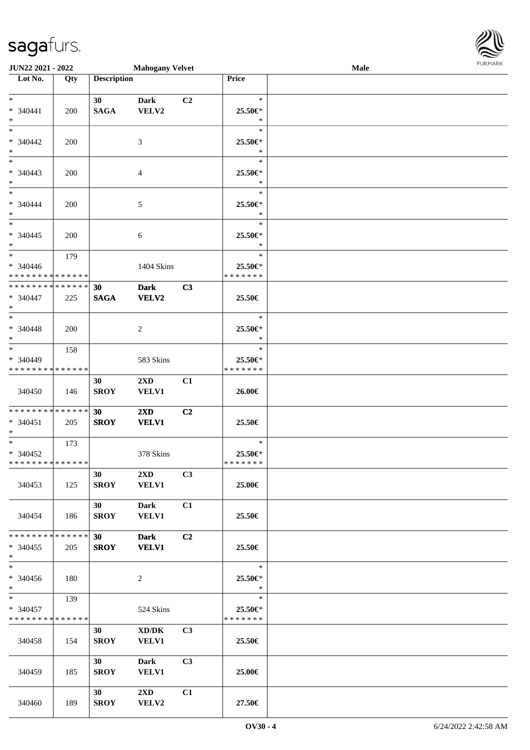| JUN22 2021 - 2022                          |     |                    | <b>Mahogany Velvet</b>  |                |                   | <b>Male</b> | <b>FURPIARA</b> |
|--------------------------------------------|-----|--------------------|-------------------------|----------------|-------------------|-------------|-----------------|
| $\overline{\phantom{1}}$ Lot No.           | Qty | <b>Description</b> |                         |                | Price             |             |                 |
|                                            |     |                    |                         |                |                   |             |                 |
| $*$ $*$                                    |     | 30 <sup>1</sup>    | <b>Dark</b>             | C2             | $\ast$            |             |                 |
| $* 340441$                                 | 200 | <b>SAGA</b>        | VELV2                   |                | 25.50€*           |             |                 |
| $*$<br>$*$                                 |     |                    |                         |                | $\ast$<br>$\ast$  |             |                 |
|                                            |     |                    |                         |                |                   |             |                 |
| * 340442<br>$*$                            | 200 |                    | 3                       |                | 25.50€*<br>$\ast$ |             |                 |
| $*$                                        |     |                    |                         |                | $\ast$            |             |                 |
| * 340443                                   |     |                    |                         |                | 25.50€*           |             |                 |
| $*$                                        | 200 |                    | 4                       |                | $\ast$            |             |                 |
|                                            |     |                    |                         |                | $\ast$            |             |                 |
| $* 340444$                                 | 200 |                    | 5                       |                | 25.50€*           |             |                 |
| $*$                                        |     |                    |                         |                | $\ast$            |             |                 |
|                                            |     |                    |                         |                | $\ast$            |             |                 |
| $* 340445$                                 | 200 |                    | 6                       |                | 25.50€*           |             |                 |
| $*$                                        |     |                    |                         |                | $\ast$            |             |                 |
| $*$                                        | 179 |                    |                         |                | $\ast$            |             |                 |
| $* 340446$                                 |     |                    | 1404 Skins              |                | 25.50€*           |             |                 |
| * * * * * * * * * * * * * *                |     |                    |                         |                | * * * * * * *     |             |                 |
| * * * * * * * * * * * * * *                |     | 30                 | <b>Dark</b>             | C3             |                   |             |                 |
| * 340447                                   | 225 | <b>SAGA</b>        | <b>VELV2</b>            |                | 25.50€            |             |                 |
| $*$                                        |     |                    |                         |                |                   |             |                 |
| $\ast$                                     |     |                    |                         |                | $\ast$            |             |                 |
| $* 340448$                                 | 200 |                    | $\overline{2}$          |                | 25.50€*           |             |                 |
| $*$<br>$*$                                 |     |                    |                         |                | $\ast$<br>$\ast$  |             |                 |
| * 340449                                   | 158 |                    | 583 Skins               |                | 25.50€*           |             |                 |
| * * * * * * * * * * * * * *                |     |                    |                         |                | * * * * * * *     |             |                 |
|                                            |     | 30                 | $2\mathbf{X}\mathbf{D}$ | C1             |                   |             |                 |
| 340450                                     | 146 | <b>SROY</b>        | <b>VELV1</b>            |                | 26.00€            |             |                 |
|                                            |     |                    |                         |                |                   |             |                 |
| * * * * * * * * * * * * * *                |     | 30                 | $2\mathbf{X}\mathbf{D}$ | C <sub>2</sub> |                   |             |                 |
| $* 340451$                                 | 205 | <b>SROY</b>        | <b>VELV1</b>            |                | 25.50€            |             |                 |
| $*$                                        |     |                    |                         |                |                   |             |                 |
| $*$                                        | 173 |                    |                         |                | $\ast$            |             |                 |
| $* 340452$                                 |     |                    | 378 Skins               |                | 25.50€*           |             |                 |
| * * * * * * * * <mark>* * * * * * *</mark> |     |                    |                         |                | * * * * * * *     |             |                 |
|                                            |     | 30                 | $2\mathbf{X}\mathbf{D}$ | C3             |                   |             |                 |
| 340453                                     | 125 | <b>SROY</b>        | <b>VELV1</b>            |                | 25.00€            |             |                 |
|                                            |     |                    |                         |                |                   |             |                 |
|                                            |     | 30 <sup>1</sup>    | Dark                    | C1             |                   |             |                 |
| 340454                                     | 186 | <b>SROY</b>        | <b>VELV1</b>            |                | 25.50€            |             |                 |
| * * * * * * * * * * * * * *                |     | 30                 | <b>Dark</b>             | C2             |                   |             |                 |
| $*340455$                                  | 205 | <b>SROY</b>        | <b>VELV1</b>            |                | 25.50€            |             |                 |
| $*$                                        |     |                    |                         |                |                   |             |                 |
| $*$                                        |     |                    |                         |                | $\ast$            |             |                 |
| * 340456                                   | 180 |                    | 2                       |                | 25.50€*           |             |                 |
| $*$                                        |     |                    |                         |                | $\ast$            |             |                 |
| $*$                                        | 139 |                    |                         |                | $\ast$            |             |                 |
| * 340457                                   |     |                    | 524 Skins               |                | 25.50€*           |             |                 |
| * * * * * * * * * * * * * *                |     |                    |                         |                | * * * * * * *     |             |                 |
|                                            |     | 30                 | XD/DK                   | C <sub>3</sub> |                   |             |                 |
| 340458                                     | 154 | <b>SROY</b>        | <b>VELV1</b>            |                | 25.50€            |             |                 |
|                                            |     |                    |                         |                |                   |             |                 |
|                                            |     | 30 <sup>1</sup>    | Dark                    | C3             |                   |             |                 |
| 340459                                     | 185 | <b>SROY</b>        | <b>VELV1</b>            |                | 25.00€            |             |                 |
|                                            |     | 30 <sup>1</sup>    | $2\mathbf{X}\mathbf{D}$ | C1             |                   |             |                 |
| 340460                                     | 189 | <b>SROY</b>        | VELV2                   |                | 27.50€            |             |                 |
|                                            |     |                    |                         |                |                   |             |                 |

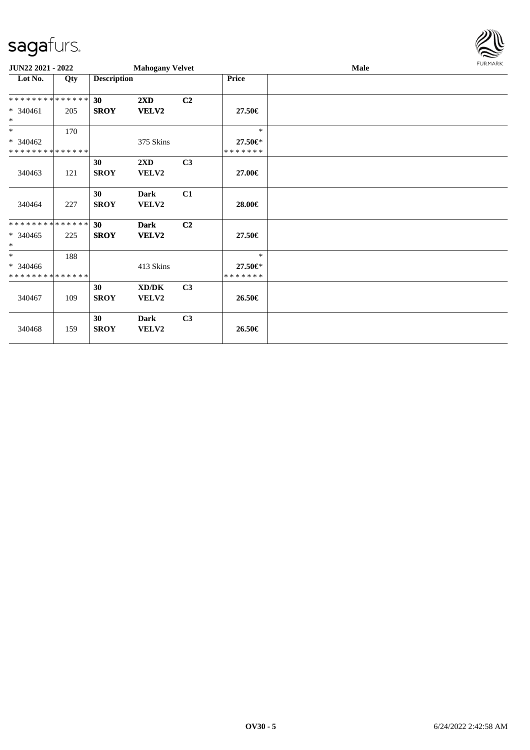

| JUN22 2021 - 2022                                 |     |                    | <b>Mahogany Velvet</b>  |                |                                    | Male | <b>FURMARK</b> |
|---------------------------------------------------|-----|--------------------|-------------------------|----------------|------------------------------------|------|----------------|
| Lot No.                                           | Qty | <b>Description</b> |                         |                | <b>Price</b>                       |      |                |
| * * * * * * * * * * * * * *                       |     | 30                 | $2\mathbf{X}\mathbf{D}$ | C <sub>2</sub> |                                    |      |                |
| $* 340461$<br>$\ast$                              | 205 | <b>SROY</b>        | <b>VELV2</b>            |                | 27.50€                             |      |                |
| $\ast$                                            | 170 |                    |                         |                | $\ast$                             |      |                |
| $* 340462$<br>* * * * * * * * * * * * * *         |     |                    | 375 Skins               |                | 27.50€*<br>* * * * * * *           |      |                |
| 340463                                            | 121 | 30<br><b>SROY</b>  | 2XD<br>VELV2            | C <sub>3</sub> | 27.00€                             |      |                |
| 340464                                            | 227 | 30<br><b>SROY</b>  | Dark<br>VELV2           | C1             | 28.00€                             |      |                |
| **************<br>$* 340465$<br>$\ast$            | 225 | 30<br><b>SROY</b>  | <b>Dark</b><br>VELV2    | C <sub>2</sub> | 27.50€                             |      |                |
| $\ast$<br>* 340466<br>* * * * * * * * * * * * * * | 188 |                    | 413 Skins               |                | $\ast$<br>27.50€*<br>* * * * * * * |      |                |
| 340467                                            | 109 | 30<br><b>SROY</b>  | XD/DK<br>VELV2          | C3             | 26.50€                             |      |                |
| 340468                                            | 159 | 30<br><b>SROY</b>  | Dark<br>VELV2           | C3             | 26.50€                             |      |                |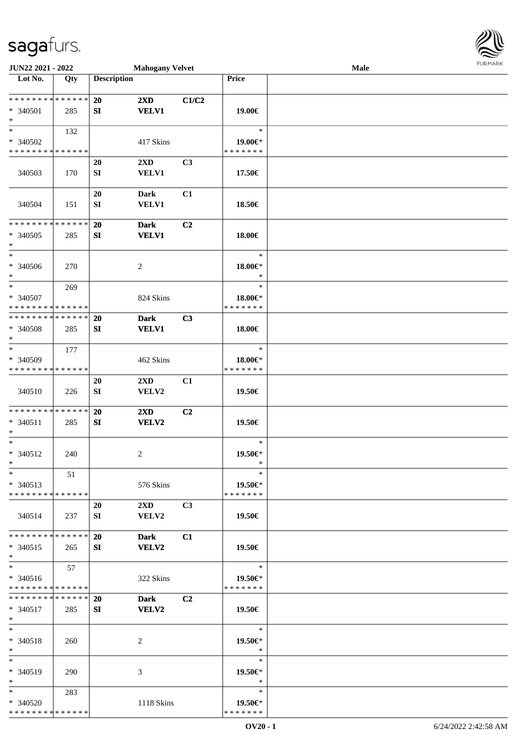

| JUN22 2021 - 2022                                                               |     |                    | <b>Mahogany Velvet</b>                  |                |                                    | Male |  |
|---------------------------------------------------------------------------------|-----|--------------------|-----------------------------------------|----------------|------------------------------------|------|--|
| $\overline{\phantom{1}}$ Lot No.                                                | Qty | <b>Description</b> |                                         |                | Price                              |      |  |
| ******** <mark>******</mark><br>* 340501<br>$\ast$                              | 285 | 20<br>SI           | 2XD<br><b>VELV1</b>                     | C1/C2          | 19.00€                             |      |  |
| $\ast$<br>* 340502<br>* * * * * * * * * * * * * *                               | 132 |                    | 417 Skins                               |                | $\ast$<br>19.00€*<br>* * * * * * * |      |  |
| 340503                                                                          | 170 | 20<br>SI           | 2XD<br><b>VELV1</b>                     | C3             | 17.50€                             |      |  |
| 340504                                                                          | 151 | 20<br>${\bf SI}$   | Dark<br><b>VELV1</b>                    | C1             | 18.50€                             |      |  |
| * * * * * * * * * * * * * *<br>* 340505<br>$\ast$<br>$\overline{\phantom{a}^*}$ | 285 | 20<br>SI           | <b>Dark</b><br><b>VELV1</b>             | C2             | 18.00€                             |      |  |
| $* 340506$<br>$\ast$                                                            | 270 |                    | $\overline{2}$                          |                | $\ast$<br>18.00€*<br>$\ast$        |      |  |
| $\ast$<br>* 340507<br>* * * * * * * * * * * * * *                               | 269 |                    | 824 Skins                               |                | $\ast$<br>18.00€*<br>* * * * * * * |      |  |
| * * * * * * * * * * * * * *<br>* 340508<br>$\ast$                               | 285 | 20<br>SI           | <b>Dark</b><br><b>VELV1</b>             | C3             | 18.00€                             |      |  |
| $\ast$<br>* 340509<br>* * * * * * * * * * * * * *                               | 177 |                    | 462 Skins                               |                | $\ast$<br>18.00€*<br>* * * * * * * |      |  |
| 340510                                                                          | 226 | 20<br>SI           | $2\mathbf{X}\mathbf{D}$<br>VELV2        | C1             | 19.50€                             |      |  |
| * * * * * * * * * * * * * *<br>* 340511<br>$\ast$                               | 285 | 20<br>SI           | 2XD<br><b>VELV2</b>                     | C2             | 19.50€                             |      |  |
| $\ast$<br>$* 340512$<br>$*$                                                     | 240 |                    | $\sqrt{2}$                              |                | $\ast$<br>19.50€*<br>$\ast$        |      |  |
| $\ast$<br>$* 340513$<br>* * * * * * * * * * * * * * *                           | 51  |                    | 576 Skins                               |                | $\ast$<br>19.50€*<br>* * * * * * * |      |  |
| 340514                                                                          | 237 | 20<br>SI           | $2\mathbf{X}\mathbf{D}$<br><b>VELV2</b> | C3             | 19.50€                             |      |  |
| * * * * * * * * * * * * * *<br>$* 340515$<br>$\ast$                             | 265 | 20<br>SI           | <b>Dark</b><br><b>VELV2</b>             | C1             | 19.50€                             |      |  |
| $\ast$<br>* 340516<br>* * * * * * * * * * * * * *                               | 57  |                    | 322 Skins                               |                | $\ast$<br>19.50€*<br>* * * * * * * |      |  |
| * * * * * * * * * * * * * *<br>$* 340517$<br>$*$                                | 285 | <b>20</b><br>SI    | Dark<br>VELV2                           | C <sub>2</sub> | 19.50€                             |      |  |
| $*$<br>* 340518<br>$*$                                                          | 260 |                    | 2                                       |                | $\ast$<br>19.50€*<br>$\ast$        |      |  |
| $\ast$<br>* 340519<br>$*$                                                       | 290 |                    | 3                                       |                | $\ast$<br>19.50€*<br>$\ast$        |      |  |
| $*$<br>* 340520<br>* * * * * * * * * * * * * *                                  | 283 |                    | 1118 Skins                              |                | $\ast$<br>19.50€*<br>* * * * * * * |      |  |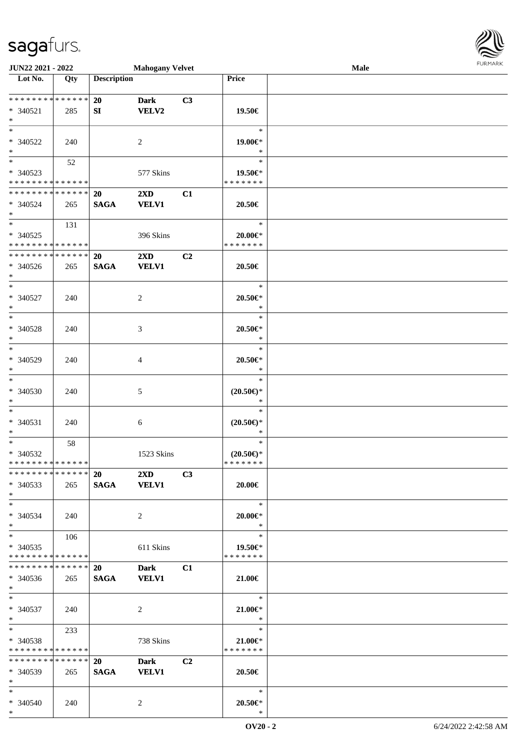\*

| <b>JUN22 2021 - 2022</b>                               |             |                    | <b>Mahogany Velvet</b>      |                |                                | Male | <b>FUNITANN</b> |
|--------------------------------------------------------|-------------|--------------------|-----------------------------|----------------|--------------------------------|------|-----------------|
| Lot No.                                                | Qty         | <b>Description</b> |                             |                | <b>Price</b>                   |      |                 |
|                                                        |             |                    |                             |                |                                |      |                 |
| * * * * * * * * <mark>* * * * * * *</mark>             |             | <b>20</b>          | <b>Dark</b>                 | C3             |                                |      |                 |
| $* 340521$                                             | 285         | SI                 | <b>VELV2</b>                |                | 19.50€                         |      |                 |
| $\ast$                                                 |             |                    |                             |                |                                |      |                 |
| $\ast$                                                 |             |                    |                             |                | $\ast$                         |      |                 |
| * 340522                                               | 240         |                    | 2                           |                | 19.00€*                        |      |                 |
| $*$                                                    |             |                    |                             |                | $\ast$                         |      |                 |
| $*$                                                    | 52          |                    |                             |                | $\ast$                         |      |                 |
| * 340523                                               |             |                    | 577 Skins                   |                | 19.50€*                        |      |                 |
| * * * * * * * * * * * * * *                            |             |                    |                             |                | * * * * * * *                  |      |                 |
| * * * * * * * * <mark>* * * * * * *</mark>             |             | 20                 | $2\mathbf{X}\mathbf{D}$     | C1             |                                |      |                 |
| $* 340524$                                             | 265         | <b>SAGA</b>        | <b>VELV1</b>                |                | 20.50€                         |      |                 |
| $*$<br>$\overline{\mathbf{r}}$                         |             |                    |                             |                | $\ast$                         |      |                 |
|                                                        | 131         |                    |                             |                |                                |      |                 |
| * 340525<br>* * * * * * * * <mark>* * * * * * *</mark> |             |                    | 396 Skins                   |                | $20.00 \in$ *<br>* * * * * * * |      |                 |
| * * * * * * * * <mark>* * * * * * *</mark>             |             | 20                 | $2\mathbf{X}\mathbf{D}$     | C <sub>2</sub> |                                |      |                 |
| * 340526                                               | 265         | <b>SAGA</b>        | <b>VELV1</b>                |                | 20.50€                         |      |                 |
| $\ast$                                                 |             |                    |                             |                |                                |      |                 |
| $\ddot{x}$                                             |             |                    |                             |                | $\ast$                         |      |                 |
| * 340527                                               | 240         |                    | 2                           |                | 20.50€*                        |      |                 |
| $*$                                                    |             |                    |                             |                | $\ast$                         |      |                 |
|                                                        |             |                    |                             |                | $\ast$                         |      |                 |
| * 340528                                               | 240         |                    | 3                           |                | $20.50 \in$ *                  |      |                 |
| $*$                                                    |             |                    |                             |                | $\ast$                         |      |                 |
| $\ast$                                                 |             |                    |                             |                | $\ast$                         |      |                 |
| * 340529                                               | 240         |                    | 4                           |                | $20.50 \in$ *                  |      |                 |
| $\ast$                                                 |             |                    |                             |                | $\ast$                         |      |                 |
| $\overline{\ast}$                                      |             |                    |                             |                | $\ast$                         |      |                 |
| $* 340530$                                             | 240         |                    | 5                           |                | $(20.50\epsilon)$ *            |      |                 |
| $\ast$<br>$\ast$                                       |             |                    |                             |                | $\ast$                         |      |                 |
| * 340531                                               |             |                    |                             |                | $\ast$                         |      |                 |
| $*$                                                    | 240         |                    | 6                           |                | $(20.50\epsilon)$ *<br>$\ast$  |      |                 |
| $*$                                                    | 58          |                    |                             |                | $\ast$                         |      |                 |
| $* 340532$                                             |             |                    | 1523 Skins                  |                | $(20.50\epsilon)$ *            |      |                 |
| * * * * * * * * <mark>* * * * * * *</mark>             |             |                    |                             |                | * * * * * * *                  |      |                 |
| * * * * * * * * * * * * * * <mark>*</mark>             |             | 20                 | $2\mathbf{X}\mathbf{D}$     | C3             |                                |      |                 |
| $* 340533$                                             | 265         |                    | SAGA VELV1                  |                | 20.00€                         |      |                 |
| $*$                                                    |             |                    |                             |                |                                |      |                 |
| $\ast$                                                 |             |                    |                             |                | $\ast$                         |      |                 |
| $* 340534$                                             | 240         |                    | $\overline{2}$              |                | $20.00 \in$ *                  |      |                 |
| $*$                                                    |             |                    |                             |                | $*$                            |      |                 |
| $*$                                                    | 106         |                    |                             |                | $\ast$                         |      |                 |
| * 340535<br>* * * * * * * * <mark>* * * * * *</mark>   |             |                    | 611 Skins                   |                | 19.50€*<br>* * * * * * *       |      |                 |
| * * * * * * * *                                        | * * * * * * | <b>20</b>          |                             |                |                                |      |                 |
| $* 340536$                                             | 265         | <b>SAGA</b>        | <b>Dark</b><br><b>VELV1</b> | C1             | 21.00€                         |      |                 |
| $\ast$                                                 |             |                    |                             |                |                                |      |                 |
| $*$                                                    |             |                    |                             |                | $\ast$                         |      |                 |
| * 340537                                               | 240         |                    | 2                           |                | $21.00 \in$                    |      |                 |
| $*$                                                    |             |                    |                             |                | $\ast$                         |      |                 |
| $*$ $-$                                                | 233         |                    |                             |                | $\ast$                         |      |                 |
| * 340538                                               |             |                    | 738 Skins                   |                | 21.00€*                        |      |                 |
| * * * * * * * * * * * * * * *                          |             |                    |                             |                | * * * * * * *                  |      |                 |
| * * * * * * * * * * * * * * <mark>*</mark>             |             | <b>20</b>          | <b>Dark</b>                 | C <sub>2</sub> |                                |      |                 |
| * 340539                                               | 265         | <b>SAGA</b>        | <b>VELV1</b>                |                | 20.50€                         |      |                 |
| $*$ $-$<br>$\ast$                                      |             |                    |                             |                | $\ast$                         |      |                 |
|                                                        |             |                    |                             |                |                                |      |                 |
| * 340540                                               | 240         |                    | $\overline{2}$              |                | $20.50 \in$ *                  |      |                 |

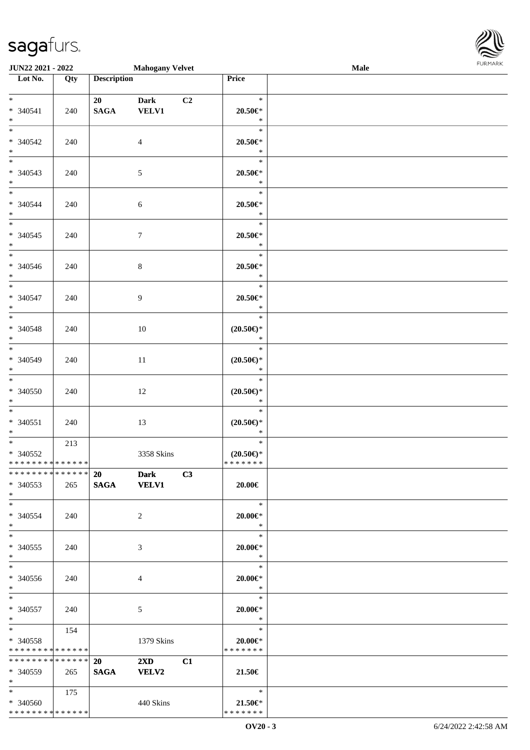| JUN22 2021 - 2022                |     |                    | <b>Mahogany Velvet</b>  |    |                               | Male | 10111111111 |
|----------------------------------|-----|--------------------|-------------------------|----|-------------------------------|------|-------------|
| $\overline{\phantom{1}}$ Lot No. | Qty | <b>Description</b> |                         |    | Price                         |      |             |
|                                  |     |                    |                         |    |                               |      |             |
| $*$ and $*$                      |     | 20                 | <b>Dark</b>             | C2 | $\ast$                        |      |             |
| * 340541<br>$*$                  | 240 | <b>SAGA</b>        | <b>VELV1</b>            |    | $20.50 \in$ *<br>$\ast$       |      |             |
| $*$                              |     |                    |                         |    | $\ast$                        |      |             |
| $* 340542$                       | 240 |                    | $\overline{4}$          |    | $20.50 \in$ *                 |      |             |
| $*$                              |     |                    |                         |    | $\ast$                        |      |             |
|                                  |     |                    |                         |    | $\ast$                        |      |             |
| * 340543                         | 240 |                    | $\mathfrak{S}$          |    | $20.50 \in$ *                 |      |             |
| $*$                              |     |                    |                         |    | $\ast$                        |      |             |
| $*$                              |     |                    |                         |    | $\ast$                        |      |             |
| $* 340544$                       | 240 |                    | 6                       |    | $20.50 \in$ *                 |      |             |
| $*$                              |     |                    |                         |    | $\ast$                        |      |             |
|                                  |     |                    |                         |    | $\ast$                        |      |             |
| $* 340545$                       | 240 |                    | $\boldsymbol{7}$        |    | $20.50 \in$ *                 |      |             |
| $*$                              |     |                    |                         |    | $\ast$                        |      |             |
|                                  |     |                    |                         |    | $\ast$                        |      |             |
| $* 340546$<br>$*$                | 240 |                    | $\,8\,$                 |    | $20.50 \in$ *<br>$\ast$       |      |             |
| $\overline{\ast}$                |     |                    |                         |    | $\ast$                        |      |             |
| * 340547                         | 240 |                    | 9                       |    | 20.50€*                       |      |             |
| $*$                              |     |                    |                         |    | $\ast$                        |      |             |
| $*$                              |     |                    |                         |    | $\ast$                        |      |             |
| $* 340548$                       | 240 |                    | 10                      |    | $(20.50\epsilon)$ *           |      |             |
| $*$                              |     |                    |                         |    | $\ast$                        |      |             |
|                                  |     |                    |                         |    | $\ast$                        |      |             |
| * 340549                         | 240 |                    | 11                      |    | $(20.50\epsilon)$ *           |      |             |
| $*$                              |     |                    |                         |    | $\ast$                        |      |             |
| $\overline{\phantom{0}}$         |     |                    |                         |    | $\ast$                        |      |             |
| $* 340550$                       | 240 |                    | 12                      |    | $(20.50\epsilon)$ *           |      |             |
| $*$<br>$*$                       |     |                    |                         |    | $\ast$                        |      |             |
|                                  |     |                    |                         |    | $\ast$                        |      |             |
| $* 340551$<br>$*$                | 240 |                    | 13                      |    | $(20.50\epsilon)$ *<br>$\ast$ |      |             |
| $*$                              | 213 |                    |                         |    | $\ast$                        |      |             |
| $* 340552$                       |     |                    | 3358 Skins              |    | $(20.50\epsilon)$ *           |      |             |
| * * * * * * * * * * * * * *      |     |                    |                         |    | * * * * * * *                 |      |             |
| * * * * * * * * * * * * * * *    |     |                    | 20 Dark                 | C3 |                               |      |             |
| * 340553                         | 265 |                    | SAGA VELV1              |    | 20.00€                        |      |             |
| $*$ $-$                          |     |                    |                         |    |                               |      |             |
| $*$                              |     |                    |                         |    | $\ast$                        |      |             |
| * 340554                         | 240 |                    | 2                       |    | $20.00 \in$                   |      |             |
| $*$                              |     |                    |                         |    | $\ast$                        |      |             |
| $*$                              |     |                    |                         |    | $\ast$                        |      |             |
| * 340555<br>$*$                  | 240 |                    | 3                       |    | $20.00 \in$<br>$\ast$         |      |             |
| $*$                              |     |                    |                         |    | $\ast$                        |      |             |
| * 340556                         | 240 |                    | 4                       |    | $20.00 \in$ *                 |      |             |
| $*$                              |     |                    |                         |    | $\ast$                        |      |             |
| $*$                              |     |                    |                         |    | $\ast$                        |      |             |
| * 340557                         | 240 |                    | 5                       |    | $20.00 \in$                   |      |             |
| $*$ $*$                          |     |                    |                         |    | $\ast$                        |      |             |
|                                  | 154 |                    |                         |    | $\ast$                        |      |             |
| * 340558                         |     |                    | 1379 Skins              |    | $20.00 \in$ *                 |      |             |
| * * * * * * * * * * * * * *      |     |                    |                         |    | * * * * * * *                 |      |             |
| * * * * * * * * * * * * * * *    |     | 20                 | $2\mathbf{X}\mathbf{D}$ | C1 |                               |      |             |
| $*340559$                        | 265 | <b>SAGA</b>        | <b>VELV2</b>            |    | 21.50€                        |      |             |
| $*$ and $*$<br>$*$ and $*$       |     |                    |                         |    | $\ast$                        |      |             |
| * 340560                         | 175 |                    |                         |    | $21.50 \in$                   |      |             |
| * * * * * * * * * * * * * * *    |     |                    | 440 Skins               |    | * * * * * * *                 |      |             |
|                                  |     |                    |                         |    |                               |      |             |

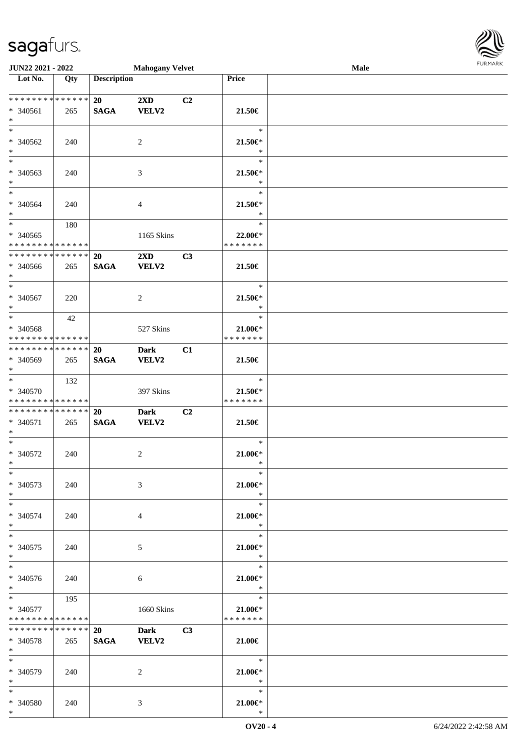\*

| JUN22 2021 - 2022             |     |                    | <b>Mahogany Velvet</b> |    |               | <b>Male</b> | $1 - 21$ and $11$ and $11$ |
|-------------------------------|-----|--------------------|------------------------|----|---------------|-------------|----------------------------|
| Lot No.                       | Qty | <b>Description</b> |                        |    | Price         |             |                            |
|                               |     |                    |                        |    |               |             |                            |
| * * * * * * * * * * * * * *   |     | 20                 | 2XD                    | C2 |               |             |                            |
| * 340561                      | 265 | <b>SAGA</b>        | <b>VELV2</b>           |    | 21.50€        |             |                            |
| $\ast$                        |     |                    |                        |    |               |             |                            |
| $\ast$                        |     |                    |                        |    | $\ast$        |             |                            |
| * 340562                      | 240 |                    | 2                      |    | 21.50€*       |             |                            |
| $\ast$                        |     |                    |                        |    | $\ast$        |             |                            |
| $\overline{\phantom{a}^*}$    |     |                    |                        |    | $\ast$        |             |                            |
| * 340563                      | 240 |                    | $\mathfrak{Z}$         |    | $21.50 \in$   |             |                            |
| $\ast$                        |     |                    |                        |    | $\ast$        |             |                            |
| $\overline{\phantom{a}^*}$    |     |                    |                        |    | $\ast$        |             |                            |
| * 340564                      | 240 |                    | 4                      |    | $21.50 \in$   |             |                            |
| $\ast$                        |     |                    |                        |    | $\ast$        |             |                            |
| $\overline{\phantom{a}^*}$    | 180 |                    |                        |    | $\ast$        |             |                            |
| * 340565                      |     |                    | 1165 Skins             |    | 22.00€*       |             |                            |
| * * * * * * * * * * * * * * * |     |                    |                        |    | * * * * * * * |             |                            |
| **************                |     | 20                 | 2XD                    | C3 |               |             |                            |
| * 340566                      | 265 | <b>SAGA</b>        | <b>VELV2</b>           |    | 21.50€        |             |                            |
| $\ast$                        |     |                    |                        |    |               |             |                            |
| $\overline{\ast}$             |     |                    |                        |    | $\ast$        |             |                            |
| $* 340567$                    | 220 |                    | $\overline{2}$         |    | $21.50 \in$   |             |                            |
| $\ast$                        |     |                    |                        |    | $\ast$        |             |                            |
| $\ast$                        | 42  |                    |                        |    | $\ast$        |             |                            |
| * 340568                      |     |                    | 527 Skins              |    | $21.00 \in$   |             |                            |
| * * * * * * * * * * * * * * * |     |                    |                        |    | * * * * * * * |             |                            |
| * * * * * * * * * * * * * * * |     | 20                 | <b>Dark</b>            | C1 |               |             |                            |
| $* 340569$                    | 265 | <b>SAGA</b>        | <b>VELV2</b>           |    | 21.50€        |             |                            |
| $\ast$                        |     |                    |                        |    |               |             |                            |
| $\ast$                        | 132 |                    |                        |    | $\ast$        |             |                            |
| * 340570                      |     |                    | 397 Skins              |    | $21.50 \in$   |             |                            |
| * * * * * * * * * * * * * *   |     |                    |                        |    | * * * * * * * |             |                            |
| **************                |     | 20                 | <b>Dark</b>            | C2 |               |             |                            |
| * 340571                      | 265 | $\mathbf{SAGA}$    | <b>VELV2</b>           |    | 21.50€        |             |                            |
| $\ast$                        |     |                    |                        |    |               |             |                            |
| $*$                           |     |                    |                        |    | $\ast$        |             |                            |
| $* 340572$                    | 240 |                    | $\overline{2}$         |    | $21.00 \in$   |             |                            |
| $*$ $-$                       |     |                    |                        |    | $\ast$        |             |                            |
| $*$                           |     |                    |                        |    | $\ast$        |             |                            |
| * 340573                      | 240 |                    | 3                      |    | $21.00 \in$   |             |                            |
| $*$ $-$                       |     |                    |                        |    | $\ast$        |             |                            |
| $*$                           |     |                    |                        |    | $\ast$        |             |                            |
| $* 340574$                    | 240 |                    | 4                      |    | $21.00 \in$   |             |                            |
| $*$                           |     |                    |                        |    | $\ast$        |             |                            |
| $*$                           |     |                    |                        |    | $\ast$        |             |                            |
| $* 340575$                    | 240 |                    | 5                      |    | $21.00 \in$   |             |                            |
| $*$                           |     |                    |                        |    | $\ast$        |             |                            |
| $\overline{\phantom{0}}$      |     |                    |                        |    | $\ast$        |             |                            |
| * 340576                      | 240 |                    | 6                      |    | 21.00€*       |             |                            |
| $*$ $*$                       |     |                    |                        |    | $\ast$        |             |                            |
| $*$                           | 195 |                    |                        |    | $\ast$        |             |                            |
| $* 340577$                    |     |                    | 1660 Skins             |    | 21.00€*       |             |                            |
| * * * * * * * * * * * * * *   |     |                    |                        |    | * * * * * * * |             |                            |
| * * * * * * * * * * * * * * * |     | 20                 | Dark C3                |    |               |             |                            |
| * 340578                      | 265 | <b>SAGA</b>        | <b>VELV2</b>           |    | $21.00 \in$   |             |                            |
| $*$ $*$                       |     |                    |                        |    |               |             |                            |
| $*$                           |     |                    |                        |    | $\ast$        |             |                            |
| * 340579                      | 240 |                    | 2                      |    | 21.00€*       |             |                            |
| $*$ $*$                       |     |                    |                        |    | $\ast$        |             |                            |
| $\ast$                        |     |                    |                        |    | $\ast$        |             |                            |
| * 340580                      | 240 |                    | 3                      |    | $21.00 \in$   |             |                            |
|                               |     |                    |                        |    |               |             |                            |

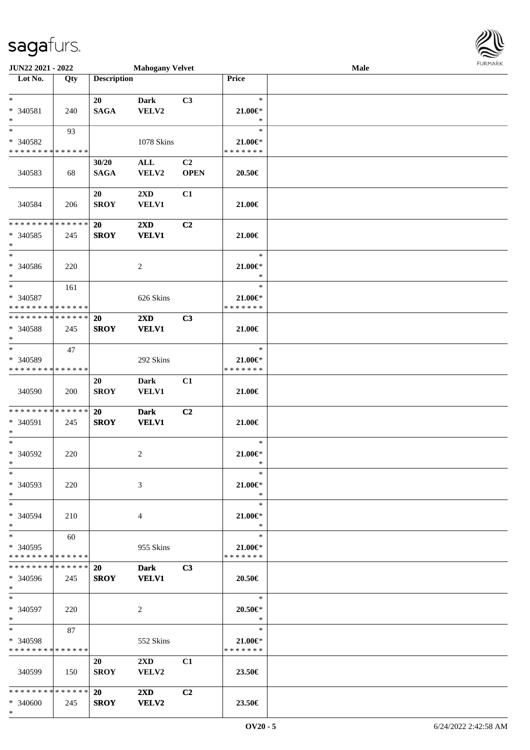| JUN22 2021 - 2022                          |     |                    | <b>Mahogany Velvet</b>  |                |                         | Male | <b>FURMARK</b> |
|--------------------------------------------|-----|--------------------|-------------------------|----------------|-------------------------|------|----------------|
| Lot No.                                    | Qty | <b>Description</b> |                         |                | <b>Price</b>            |      |                |
|                                            |     |                    |                         |                |                         |      |                |
| $*$                                        |     | 20                 | <b>Dark</b>             | C3             | $\ast$                  |      |                |
| * 340581                                   | 240 | <b>SAGA</b>        | VELV2                   |                | $21.00 \in$             |      |                |
| $\ast$<br>$\ast$                           |     |                    |                         |                | $\ast$<br>$\ast$        |      |                |
| * 340582                                   | 93  |                    | 1078 Skins              |                | 21.00€*                 |      |                |
| * * * * * * * * * * * * * *                |     |                    |                         |                | * * * * * * *           |      |                |
|                                            |     | 30/20              | ALL                     | C2             |                         |      |                |
| 340583                                     | 68  | <b>SAGA</b>        | VELV2                   | <b>OPEN</b>    | 20.50€                  |      |                |
|                                            |     |                    |                         |                |                         |      |                |
|                                            |     | 20                 | $2\mathbf{X}\mathbf{D}$ | C1             |                         |      |                |
| 340584                                     | 206 | <b>SROY</b>        | <b>VELV1</b>            |                | 21.00€                  |      |                |
|                                            |     |                    |                         |                |                         |      |                |
| * * * * * * * * * * * * * *                |     | <b>20</b>          | $2\mathbf{X}\mathbf{D}$ | C <sub>2</sub> |                         |      |                |
| * 340585                                   | 245 | <b>SROY</b>        | <b>VELV1</b>            |                | 21.00€                  |      |                |
| $*$<br>$*$                                 |     |                    |                         |                | $\ast$                  |      |                |
| * 340586                                   |     |                    |                         |                | $21.00 \in$             |      |                |
| $\ast$                                     | 220 |                    | 2                       |                | $\ast$                  |      |                |
| $*$                                        | 161 |                    |                         |                | $\ast$                  |      |                |
| $* 340587$                                 |     |                    | 626 Skins               |                | $21.00 \in$             |      |                |
| * * * * * * * * <mark>* * * * * * *</mark> |     |                    |                         |                | * * * * * * *           |      |                |
| * * * * * * * * * * * * * *                |     | 20                 | $2\mathbf{X}\mathbf{D}$ | C3             |                         |      |                |
| * 340588                                   | 245 | <b>SROY</b>        | <b>VELV1</b>            |                | 21.00€                  |      |                |
| $*$                                        |     |                    |                         |                |                         |      |                |
| $*$                                        | 47  |                    |                         |                | $\ast$                  |      |                |
| * 340589                                   |     |                    | 292 Skins               |                | $21.00 \in$             |      |                |
| * * * * * * * * * * * * * *                |     |                    |                         |                | * * * * * * *           |      |                |
|                                            |     | 20                 | Dark<br><b>VELV1</b>    | C1             |                         |      |                |
| 340590                                     | 200 | <b>SROY</b>        |                         |                | 21.00€                  |      |                |
| * * * * * * * * * * * * * *                |     | 20                 | <b>Dark</b>             | C2             |                         |      |                |
| * 340591                                   | 245 | <b>SROY</b>        | <b>VELV1</b>            |                | 21.00€                  |      |                |
| $*$                                        |     |                    |                         |                |                         |      |                |
| $*$                                        |     |                    |                         |                | $\ast$                  |      |                |
| * 340592                                   | 220 |                    | 2                       |                | $21.00 \in$             |      |                |
| $*$                                        |     |                    |                         |                | $*$                     |      |                |
| $*$                                        |     |                    |                         |                | $\ast$                  |      |                |
| * 340593                                   | 220 |                    | 3                       |                | 21.00€*                 |      |                |
| $*$<br>$*$                                 |     |                    |                         |                | $\ast$<br>$\ast$        |      |                |
| * 340594                                   | 210 |                    | $\overline{4}$          |                | 21.00 $\in$ *           |      |                |
| $*$ $-$                                    |     |                    |                         |                | $\ast$                  |      |                |
| $*$ $*$                                    | 60  |                    |                         |                | $\ast$                  |      |                |
| * 340595                                   |     |                    | 955 Skins               |                | $21.00 \in$             |      |                |
| * * * * * * * * * * * * * * *              |     |                    |                         |                | * * * * * * *           |      |                |
| * * * * * * * * * * * * * * *              |     | 20                 | Dark C3                 |                |                         |      |                |
| * 340596                                   | 245 | <b>SROY</b>        | <b>VELV1</b>            |                | 20.50€                  |      |                |
| $*$                                        |     |                    |                         |                |                         |      |                |
| $*$                                        |     |                    |                         |                | $\ast$                  |      |                |
| * 340597<br>$*$                            | 220 |                    | $\overline{2}$          |                | $20.50 \in$ *<br>$\ast$ |      |                |
| $*$ $-$                                    | 87  |                    |                         |                | $\ast$                  |      |                |
| * 340598                                   |     |                    | 552 Skins               |                | $21.00 \in$             |      |                |
| * * * * * * * * * * * * * *                |     |                    |                         |                | * * * * * * *           |      |                |
|                                            |     | 20                 | $2\mathbf{X}\mathbf{D}$ | C1             |                         |      |                |
| 340599                                     | 150 | SROY               | <b>VELV2</b>            |                | 23.50€                  |      |                |
|                                            |     |                    |                         |                |                         |      |                |
|                                            |     |                    | $2\mathbf{X}\mathbf{D}$ | C <sub>2</sub> |                         |      |                |
| * 340600                                   | 245 | <b>SROY</b>        | <b>VELV2</b>            |                | 23.50€                  |      |                |
| $*$                                        |     |                    |                         |                |                         |      |                |

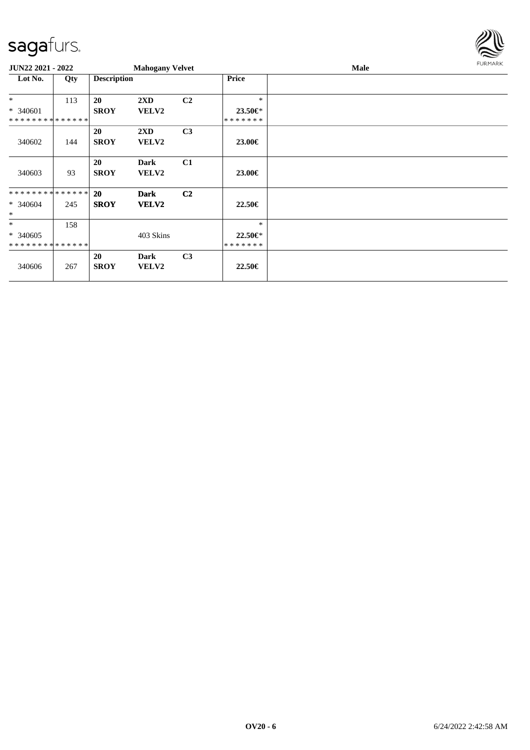

| <b>JUN22 2021 - 2022</b>    |     |                    | <b>Mahogany Velvet</b>  |                |               | <b>Male</b> |  |  |  |
|-----------------------------|-----|--------------------|-------------------------|----------------|---------------|-------------|--|--|--|
| Lot No.                     | Qty | <b>Description</b> |                         |                | Price         |             |  |  |  |
| $*$                         | 113 | 20                 | $2\mathbf{X}\mathbf{D}$ | C <sub>2</sub> | $\ast$        |             |  |  |  |
| * 340601                    |     | <b>SROY</b>        | <b>VELV2</b>            |                | 23.50€*       |             |  |  |  |
| * * * * * * * * * * * * * * |     |                    |                         |                | * * * * * * * |             |  |  |  |
|                             |     | <b>20</b>          | $2\mathbf{X}\mathbf{D}$ | C <sub>3</sub> |               |             |  |  |  |
| 340602                      | 144 | <b>SROY</b>        | <b>VELV2</b>            |                | 23.00€        |             |  |  |  |
|                             |     | <b>20</b>          | <b>Dark</b>             | C1             |               |             |  |  |  |
| 340603                      | 93  | <b>SROY</b>        | <b>VELV2</b>            |                | 23.00€        |             |  |  |  |
|                             |     |                    |                         |                |               |             |  |  |  |
| * * * * * * * * * * * * * * |     | <b>20</b>          | <b>Dark</b>             | C <sub>2</sub> |               |             |  |  |  |
| $* 340604$                  | 245 | <b>SROY</b>        | <b>VELV2</b>            |                | $22.50 \in$   |             |  |  |  |
| $\ast$                      |     |                    |                         |                |               |             |  |  |  |
| $\ast$                      | 158 |                    |                         |                | $\ast$        |             |  |  |  |
| $* 340605$                  |     |                    | 403 Skins               |                | 22.50€*       |             |  |  |  |
| * * * * * * * * * * * * * * |     |                    |                         |                | * * * * * * * |             |  |  |  |
|                             |     | 20                 | <b>Dark</b>             | C <sub>3</sub> |               |             |  |  |  |
| 340606                      | 267 | <b>SROY</b>        | <b>VELV2</b>            |                | 22.50€        |             |  |  |  |
|                             |     |                    |                         |                |               |             |  |  |  |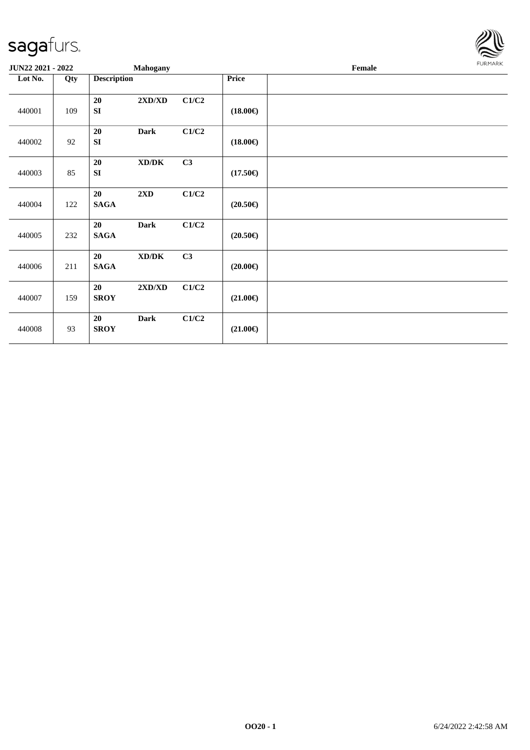

| JUN22 2021 - 2022 |     | Mahogany                                                 |       |                   | Female | FURMARK |
|-------------------|-----|----------------------------------------------------------|-------|-------------------|--------|---------|
| Lot No.           | Qty | <b>Description</b>                                       |       | <b>Price</b>      |        |         |
| 440001            | 109 | $2{\bf X}{\bf D}/{\bf X}{\bf D}$<br>20<br><b>SI</b>      | C1/C2 | $(18.00\epsilon)$ |        |         |
| 440002            | 92  | 20<br><b>Dark</b><br><b>SI</b>                           | C1/C2 | $(18.00\epsilon)$ |        |         |
| 440003            | 85  | 20<br>$\bold{X}\bold{D}/\bold{D}\bold{K}$<br><b>SI</b>   | C3    | $(17.50\epsilon)$ |        |         |
| 440004            | 122 | 2XD<br>20<br><b>SAGA</b>                                 | C1/C2 | $(20.50\epsilon)$ |        |         |
| 440005            | 232 | 20<br><b>Dark</b><br><b>SAGA</b>                         | C1/C2 | $(20.50\epsilon)$ |        |         |
| 440006            | 211 | $\bold{X}\bold{D}/\bold{D}\bold{K}$<br>20<br><b>SAGA</b> | C3    | $(20.00\epsilon)$ |        |         |
| 440007            | 159 | $2{\bf X}{\bf D}/{\bf X}{\bf D}$<br>20<br><b>SROY</b>    | C1/C2 | $(21.00\epsilon)$ |        |         |
| 440008            | 93  | 20<br><b>Dark</b><br><b>SROY</b>                         | C1/C2 | $(21.00\epsilon)$ |        |         |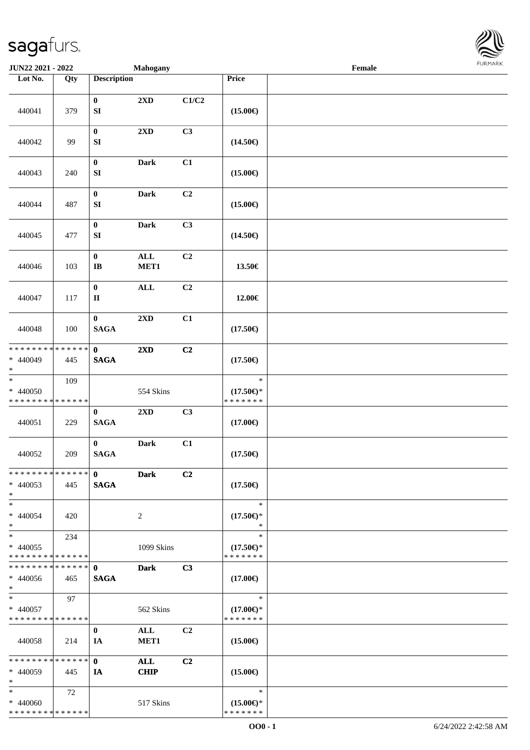

| JUN22 2021 - 2022                                                       |                    |                                      | <b>Mahogany</b>           |       |                                                | Female |  |
|-------------------------------------------------------------------------|--------------------|--------------------------------------|---------------------------|-------|------------------------------------------------|--------|--|
| Lot No.                                                                 | $\overline{Q}$ ty  | <b>Description</b>                   |                           |       | Price                                          |        |  |
| 440041                                                                  | 379                | $\bf{0}$<br>${\bf S}{\bf I}$         | $2{\bf X}{\bf D}$         | C1/C2 | $(15.00\epsilon)$                              |        |  |
| 440042                                                                  | 99                 | $\boldsymbol{0}$<br>${\bf SI}$       | 2XD                       | C3    | $(14.50\epsilon)$                              |        |  |
| 440043                                                                  | 240                | $\boldsymbol{0}$<br>${\bf S}{\bf I}$ | <b>Dark</b>               | C1    | $(15.00\epsilon)$                              |        |  |
| 440044                                                                  | 487                | $\pmb{0}$<br>${\bf S}{\bf I}$        | Dark                      | C2    | $(15.00\epsilon)$                              |        |  |
| 440045                                                                  | 477                | $\pmb{0}$<br>SI                      | Dark                      | C3    | $(14.50\epsilon)$                              |        |  |
| 440046                                                                  | 103                | $\pmb{0}$<br>$\bf IB$                | $\mathbf{ALL}$<br>MET1    | C2    | 13.50€                                         |        |  |
| 440047                                                                  | 117                | $\boldsymbol{0}$<br>$\rm II$         | <b>ALL</b>                | C2    | 12.00€                                         |        |  |
| 440048                                                                  | 100                | $\bf{0}$<br><b>SAGA</b>              | 2XD                       | C1    | $(17.50\epsilon)$                              |        |  |
| * * * * * * * *<br>$* 440049$<br>$\ast$                                 | * * * * * *<br>445 | $\mathbf{0}$<br><b>SAGA</b>          | 2XD                       | C2    | $(17.50\epsilon)$                              |        |  |
| $\overline{\phantom{a}^*}$<br>$* 440050$<br>* * * * * * * * * * * * * * | 109                |                                      | 554 Skins                 |       | $\ast$<br>$(17.50\epsilon)$ *<br>* * * * * * * |        |  |
| 440051                                                                  | 229                | $\bf{0}$<br><b>SAGA</b>              | $2{\bf X}{\bf D}$         | C3    | $(17.00\epsilon)$                              |        |  |
| 440052                                                                  | 209                | $\bf{0}$<br><b>SAGA</b>              | <b>Dark</b>               | C1    | $(17.50\epsilon)$                              |        |  |
| * * * * * * * * * * * * * * *<br>$* 440053$<br>$*$                      | 445                | $\mathbf{0}$<br><b>SAGA</b>          | <b>Dark</b>               | C2    | $(17.50\epsilon)$                              |        |  |
| $*$<br>* 440054<br>$*$                                                  | 420                |                                      | 2                         |       | $\ast$<br>$(17.50\epsilon)$ *<br>$\ast$        |        |  |
| $*$<br>$* 440055$<br>* * * * * * * * * * * * * *                        | 234                |                                      | 1099 Skins                |       | $\ast$<br>$(17.50\epsilon)$ *<br>* * * * * * * |        |  |
| * * * * * * * * * * * * * * *<br>$* 440056$<br>$*$                      | 465                | $\mathbf{0}$<br><b>SAGA</b>          | <b>Dark</b>               | C3    | $(17.00\epsilon)$                              |        |  |
| $*$ $*$<br>$* 440057$<br>* * * * * * * * * * * * * *                    | 97                 |                                      | 562 Skins                 |       | $\ast$<br>$(17.00\epsilon)$ *<br>* * * * * * * |        |  |
| 440058                                                                  | 214                | $\bf{0}$<br>IA                       | ALL<br>MET <sub>1</sub>   | C2    | $(15.00\epsilon)$                              |        |  |
| * * * * * * * * * * * * * * *<br>* 440059<br>$*$                        | 445                | $\mathbf{0}$<br>IA                   | <b>ALL</b><br><b>CHIP</b> | C2    | $(15.00\epsilon)$                              |        |  |
| $*$<br>* 440060<br>* * * * * * * * * * * * * *                          | 72                 |                                      | 517 Skins                 |       | $\ast$<br>$(15.00\epsilon)$ *<br>* * * * * * * |        |  |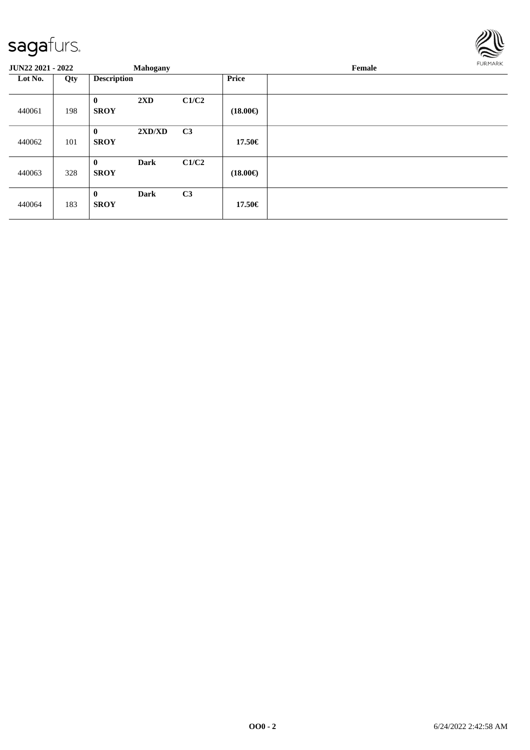

| <b>JUN22 2021 - 2022</b> |     |                         | <b>Mahogany</b> |                |                   | Female |  |  |  |  |
|--------------------------|-----|-------------------------|-----------------|----------------|-------------------|--------|--|--|--|--|
| Lot No.                  | Qty | <b>Description</b>      |                 |                | <b>Price</b>      |        |  |  |  |  |
| 440061                   | 198 | $\bf{0}$<br><b>SROY</b> | 2XD             | C1/C2          | $(18.00\epsilon)$ |        |  |  |  |  |
| 440062                   | 101 | $\bf{0}$<br><b>SROY</b> | 2XD/XD          | C <sub>3</sub> | 17.50€            |        |  |  |  |  |
| 440063                   | 328 | $\bf{0}$<br><b>SROY</b> | <b>Dark</b>     | C1/C2          | $(18.00\epsilon)$ |        |  |  |  |  |
| 440064                   | 183 | $\bf{0}$<br><b>SROY</b> | <b>Dark</b>     | C <sub>3</sub> | 17.50€            |        |  |  |  |  |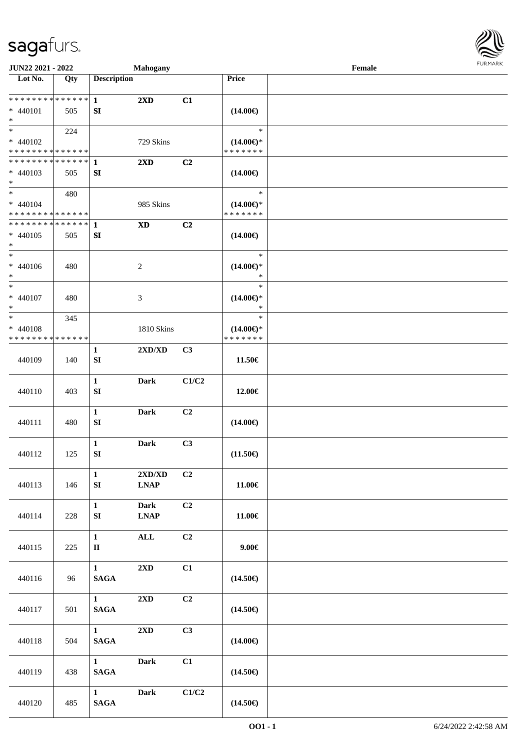

| JUN22 2021 - 2022                                                      |     |                                        | <b>Mahogany</b>                                 |       |                                                | Female |  |
|------------------------------------------------------------------------|-----|----------------------------------------|-------------------------------------------------|-------|------------------------------------------------|--------|--|
| Lot No.                                                                | Qty | <b>Description</b>                     |                                                 |       | Price                                          |        |  |
| ******** <mark>******</mark><br>$* 440101$                             | 505 | $\mathbf{1}$<br>SI                     | $2\mathbf{X}\mathbf{D}$                         | C1    | $(14.00\epsilon)$                              |        |  |
| $\ast$<br>$\overline{\ast}$<br>* 440102<br>* * * * * * * * * * * * * * | 224 |                                        | 729 Skins                                       |       | $\ast$<br>$(14.00\epsilon)$ *<br>* * * * * * * |        |  |
| **************<br>* 440103<br>$*$                                      | 505 | $\mathbf{1}$<br>${\bf SI}$             | 2XD                                             | C2    | $(14.00\epsilon)$                              |        |  |
| $\ast$<br>$* 440104$<br>* * * * * * * * * * * * * *                    | 480 |                                        | 985 Skins                                       |       | $\ast$<br>$(14.00\epsilon)$ *<br>* * * * * * * |        |  |
| * * * * * * * * * * * * * *<br>$* 440105$<br>$\ast$                    | 505 | $\mathbf{1}$<br>SI                     | <b>XD</b>                                       | C2    | $(14.00\epsilon)$                              |        |  |
| $\ast$<br>$* 440106$<br>$\ast$                                         | 480 |                                        | 2                                               |       | $\ast$<br>$(14.00\epsilon)$ *<br>$\ast$        |        |  |
| $\ast$<br>$* 440107$<br>$\ast$                                         | 480 |                                        | 3                                               |       | $\ast$<br>$(14.00\epsilon)$ *<br>$\ast$        |        |  |
| $\ast$<br>$* 440108$<br>* * * * * * * * * * * * * *                    | 345 |                                        | 1810 Skins                                      |       | $\ast$<br>$(14.00\epsilon)$ *<br>* * * * * * * |        |  |
| 440109                                                                 | 140 | 1<br>SI                                | 2XD/XD                                          | C3    | 11.50€                                         |        |  |
| 440110                                                                 | 403 | $\mathbf{1}$<br>${\bf S}{\bf I}$       | <b>Dark</b>                                     | C1/C2 | 12.00€                                         |        |  |
| 440111                                                                 | 480 | $\mathbf 1$<br>SI                      | <b>Dark</b>                                     | C2    | $(14.00\epsilon)$                              |        |  |
| 440112                                                                 | 125 | $\mathbf 1$<br>SI                      | <b>Dark</b>                                     | C3    | $(11.50\epsilon)$                              |        |  |
| 440113                                                                 | 146 | $\mathbf{1}$<br>${\bf SI}$             | $2{\bf X}{\bf D}/{\bf X}{\bf D}$<br><b>LNAP</b> | C2    | $11.00\in$                                     |        |  |
| 440114                                                                 | 228 | $\mathbf{1}$<br>SI                     | <b>Dark</b><br><b>LNAP</b>                      | C2    | 11.00€                                         |        |  |
| 440115                                                                 | 225 | $\mathbf{1}$<br>$\mathbf{I}\mathbf{I}$ | ALL                                             | C2    | $9.00 \in$                                     |        |  |
| 440116                                                                 | 96  | $\mathbf{1}$<br><b>SAGA</b>            | 2XD                                             | C1    | $(14.50\epsilon)$                              |        |  |
| 440117                                                                 | 501 | 1<br><b>SAGA</b>                       | $2{\bf X}{\bf D}$                               | C2    | $(14.50\epsilon)$                              |        |  |
| 440118                                                                 | 504 | 1<br><b>SAGA</b>                       | $2{\bf X}{\bf D}$                               | C3    | $(14.00\epsilon)$                              |        |  |
| 440119                                                                 | 438 | $1 \quad \blacksquare$<br><b>SAGA</b>  | <b>Dark</b>                                     | C1    | $(14.50\epsilon)$                              |        |  |
| 440120                                                                 | 485 | $1 \qquad \qquad$<br>$\mathbf{SAGA}$   | <b>Dark</b>                                     | C1/C2 | $(14.50\epsilon)$                              |        |  |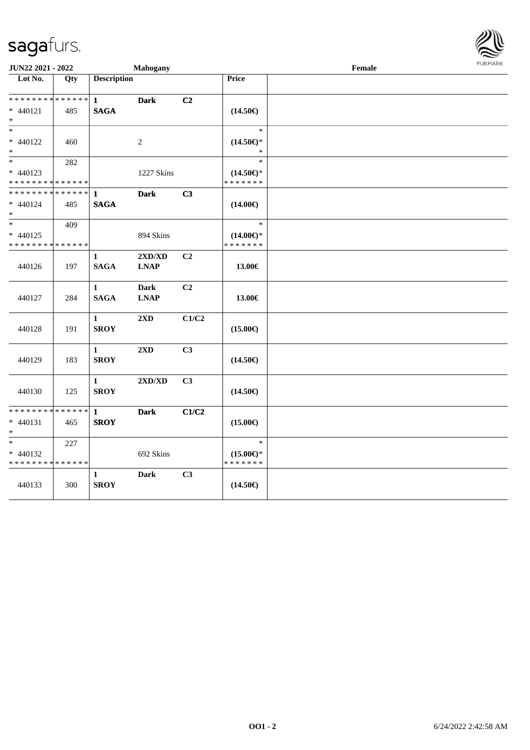

| JUN22 2021 - 2022                         |             | Mahogany           |             |                | Female                               | <b>LOKINGK</b> |  |
|-------------------------------------------|-------------|--------------------|-------------|----------------|--------------------------------------|----------------|--|
| Lot No.                                   | Qty         | <b>Description</b> |             |                | Price                                |                |  |
|                                           |             |                    |             |                |                                      |                |  |
| * * * * * * * * * * * * * * *             |             | $\mathbf{1}$       | <b>Dark</b> | C2             |                                      |                |  |
| * 440121                                  | 485         | <b>SAGA</b>        |             |                | $(14.50\epsilon)$                    |                |  |
| $*$                                       |             |                    |             |                |                                      |                |  |
| $\ast$                                    |             |                    |             |                | $\ast$                               |                |  |
| * 440122                                  | 460         |                    | 2           |                | $(14.50\epsilon)$ *                  |                |  |
| $*$<br>$\ast$                             |             |                    |             |                | $\ast$<br>$\ast$                     |                |  |
|                                           | 282         |                    |             |                |                                      |                |  |
| * 440123<br>* * * * * * * * * * * * * *   |             |                    | 1227 Skins  |                | $(14.50\epsilon)$ *<br>* * * * * * * |                |  |
| * * * * * * * * * * * * * * *             |             | 1                  | <b>Dark</b> | C3             |                                      |                |  |
| * 440124                                  | 485         | <b>SAGA</b>        |             |                | $(14.00\epsilon)$                    |                |  |
| $*$                                       |             |                    |             |                |                                      |                |  |
| $*$                                       | 409         |                    |             |                | $\ast$                               |                |  |
| $* 440125$                                |             |                    | 894 Skins   |                | $(14.00\epsilon)$ *                  |                |  |
| * * * * * * * * * * * * * *               |             |                    |             |                | * * * * * * *                        |                |  |
|                                           |             | 1                  | 2XD/XD      | C2             |                                      |                |  |
| 440126                                    | 197         | <b>SAGA</b>        | <b>LNAP</b> |                | 13.00€                               |                |  |
|                                           |             |                    |             |                |                                      |                |  |
|                                           |             | $\mathbf{1}$       | <b>Dark</b> | C2             |                                      |                |  |
| 440127                                    | 284         | <b>SAGA</b>        | <b>LNAP</b> |                | 13.00€                               |                |  |
|                                           |             |                    |             |                |                                      |                |  |
|                                           |             | $\mathbf{1}$       | 2XD         | C1/C2          |                                      |                |  |
| 440128                                    | 191         | <b>SROY</b>        |             |                | $(15.00\epsilon)$                    |                |  |
|                                           |             |                    |             |                |                                      |                |  |
|                                           |             | $\mathbf{1}$       | 2XD         | C3             |                                      |                |  |
| 440129                                    | 183         | <b>SROY</b>        |             |                | $(14.50\epsilon)$                    |                |  |
|                                           |             |                    |             |                |                                      |                |  |
|                                           |             | $\mathbf{1}$       | 2XD/XD      | C <sub>3</sub> |                                      |                |  |
| 440130                                    | 125         | <b>SROY</b>        |             |                | $(14.50\epsilon)$                    |                |  |
|                                           |             |                    |             |                |                                      |                |  |
| * * * * * * * *                           | * * * * * * | 1                  | <b>Dark</b> | C1/C2          |                                      |                |  |
| $* 440131$<br>$*$                         | 465         | <b>SROY</b>        |             |                | $(15.00\epsilon)$                    |                |  |
| $*$                                       | 227         |                    |             |                | $\ast$                               |                |  |
|                                           |             |                    | 692 Skins   |                |                                      |                |  |
| $* 440132$<br>* * * * * * * * * * * * * * |             |                    |             |                | $(15.00\epsilon)$ *<br>* * * * * * * |                |  |
|                                           |             | 1                  | <b>Dark</b> | C3             |                                      |                |  |
| 440133                                    | 300         | <b>SROY</b>        |             |                | $(14.50\epsilon)$                    |                |  |
|                                           |             |                    |             |                |                                      |                |  |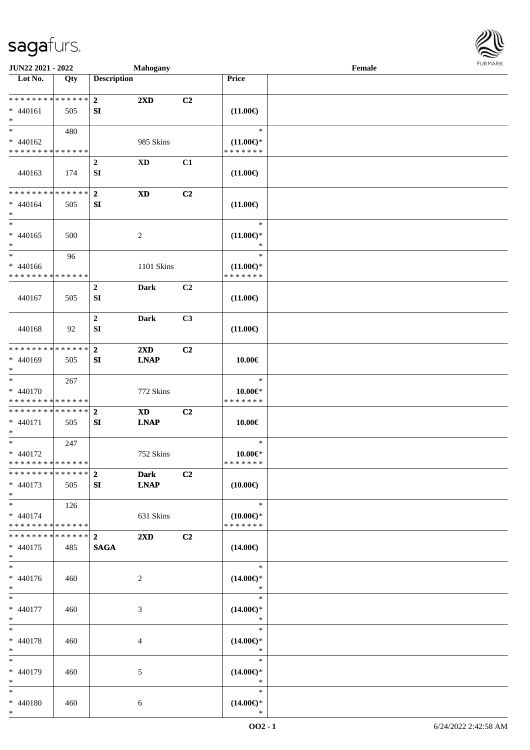

| JUN22 2021 - 2022                  |     |                    | <b>Mahogany</b>         |                |                     | Female |  |
|------------------------------------|-----|--------------------|-------------------------|----------------|---------------------|--------|--|
| Lot No.                            | Qty | <b>Description</b> |                         |                | Price               |        |  |
|                                    |     |                    |                         |                |                     |        |  |
| * * * * * * * * * * * * * * *      |     | $\mathbf{2}$       | $2\mathbf{X}\mathbf{D}$ | C2             |                     |        |  |
| $* 440161$                         | 505 | SI                 |                         |                | $(11.00\epsilon)$   |        |  |
| $\ast$                             |     |                    |                         |                |                     |        |  |
| $\overline{\ast}$                  |     |                    |                         |                | $\ast$              |        |  |
|                                    | 480 |                    |                         |                |                     |        |  |
| $* 440162$                         |     |                    | 985 Skins               |                | $(11.00\epsilon)$ * |        |  |
| * * * * * * * * * * * * * *        |     |                    |                         |                | * * * * * * *       |        |  |
|                                    |     | $\boldsymbol{2}$   | <b>XD</b>               | C1             |                     |        |  |
| 440163                             | 174 | SI                 |                         |                | $(11.00\epsilon)$   |        |  |
|                                    |     |                    |                         |                |                     |        |  |
| **************                     |     | $\overline{2}$     | $\mathbf{X}\mathbf{D}$  | C <sub>2</sub> |                     |        |  |
| $* 440164$                         | 505 | SI                 |                         |                | $(11.00\epsilon)$   |        |  |
| $\ast$                             |     |                    |                         |                |                     |        |  |
| $\ast$                             |     |                    |                         |                | $\ast$              |        |  |
| $* 440165$                         | 500 |                    | 2                       |                | $(11.00\epsilon)$ * |        |  |
| $\ast$                             |     |                    |                         |                | $\ast$              |        |  |
| $\ast$                             |     |                    |                         |                | $\ast$              |        |  |
|                                    | 96  |                    |                         |                |                     |        |  |
| $* 440166$                         |     |                    | 1101 Skins              |                | $(11.00\epsilon)$ * |        |  |
| * * * * * * * * * * * * * *        |     |                    |                         |                | * * * * * * *       |        |  |
|                                    |     | $\overline{2}$     | <b>Dark</b>             | C <sub>2</sub> |                     |        |  |
| 440167                             | 505 | SI                 |                         |                | $(11.00\epsilon)$   |        |  |
|                                    |     |                    |                         |                |                     |        |  |
|                                    |     | $\mathbf 2$        | <b>Dark</b>             | C3             |                     |        |  |
| 440168                             | 92  | SI                 |                         |                | $(11.00\epsilon)$   |        |  |
|                                    |     |                    |                         |                |                     |        |  |
| * * * * * * * * * * * * * *        |     | $\mathbf{2}$       | 2XD                     | C2             |                     |        |  |
|                                    |     |                    |                         |                |                     |        |  |
| * 440169                           | 505 | SI                 | <b>LNAP</b>             |                | $10.00 \in$         |        |  |
| $\ast$<br>$\overline{\phantom{1}}$ |     |                    |                         |                |                     |        |  |
|                                    | 267 |                    |                         |                | $\ast$              |        |  |
| * 440170                           |     |                    | 772 Skins               |                | $10.00 \in$         |        |  |
| * * * * * * * * * * * * * *        |     |                    |                         |                | * * * * * * *       |        |  |
| **************                     |     | $\overline{2}$     | <b>XD</b>               | C2             |                     |        |  |
| $* 440171$                         | 505 | SI                 | <b>LNAP</b>             |                | 10.00€              |        |  |
| $\ast$                             |     |                    |                         |                |                     |        |  |
| $\ast$                             | 247 |                    |                         |                | $\ast$              |        |  |
| * 440172                           |     |                    | 752 Skins               |                | $10.00 \in$         |        |  |
| **************                     |     |                    |                         |                | *******             |        |  |
| * * * * * * * * * * * * * * *      |     | $\overline{2}$     | <b>Dark</b>             | C2             |                     |        |  |
| $* 440173$                         | 505 | SI                 | <b>LNAP</b>             |                | $(10.00\epsilon)$   |        |  |
| $*$                                |     |                    |                         |                |                     |        |  |
|                                    |     |                    |                         |                |                     |        |  |
| $*$                                | 126 |                    |                         |                | $\ast$              |        |  |
| $* 440174$                         |     |                    | 631 Skins               |                | $(10.00\epsilon)$ * |        |  |
| * * * * * * * * * * * * * *        |     |                    |                         |                | * * * * * * *       |        |  |
| * * * * * * * * * * * * * * *      |     | $\mathbf{2}$       | $2\mathbf{X}\mathbf{D}$ | C <sub>2</sub> |                     |        |  |
| $* 440175$                         | 485 | <b>SAGA</b>        |                         |                | $(14.00\epsilon)$   |        |  |
| $*$                                |     |                    |                         |                |                     |        |  |
| $\ast$                             |     |                    |                         |                | $\ast$              |        |  |
| $* 440176$                         | 460 |                    | $\overline{c}$          |                | $(14.00\epsilon)$ * |        |  |
| $*$                                |     |                    |                         |                | $\ast$              |        |  |
| $*$                                |     |                    |                         |                | $\ast$              |        |  |
| $* 440177$                         |     |                    |                         |                |                     |        |  |
|                                    | 460 |                    | 3                       |                | $(14.00\epsilon)$ * |        |  |
| $*$                                |     |                    |                         |                | $\ast$<br>$\ast$    |        |  |
| $\ast$                             |     |                    |                         |                |                     |        |  |
| * 440178                           | 460 |                    | 4                       |                | $(14.00\epsilon)$ * |        |  |
| $\ast$                             |     |                    |                         |                | $\ast$              |        |  |
| $\ast$                             |     |                    |                         |                | $\ast$              |        |  |
| * 440179                           | 460 |                    | 5                       |                | $(14.00\epsilon)$ * |        |  |
| $*$                                |     |                    |                         |                | $\ast$              |        |  |
| $*$                                |     |                    |                         |                | $\ast$              |        |  |
| * 440180                           | 460 |                    | 6                       |                | $(14.00\epsilon)$ * |        |  |
| $*$                                |     |                    |                         |                | $\ast$              |        |  |
|                                    |     |                    |                         |                |                     |        |  |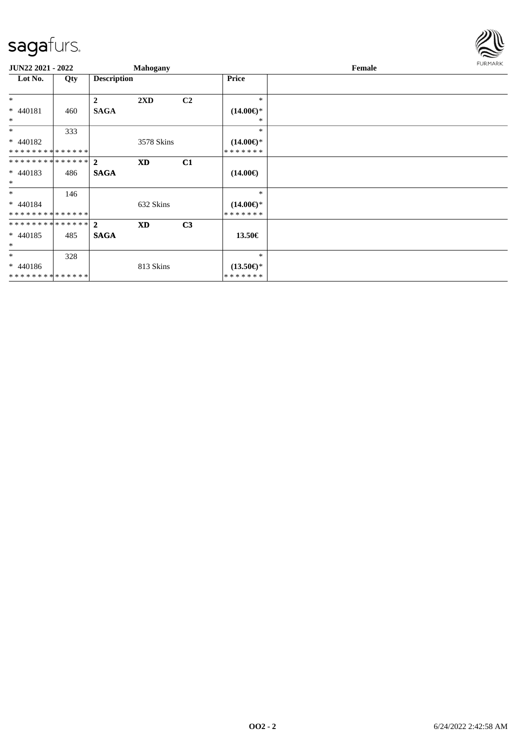

| <b>JUN22 2021 - 2022</b>                    |     |                    | Mahogany   |                |                                      | Female |  |  |  |  |
|---------------------------------------------|-----|--------------------|------------|----------------|--------------------------------------|--------|--|--|--|--|
| Lot No.                                     | Qty | <b>Description</b> |            |                | Price                                |        |  |  |  |  |
| $*$                                         |     | $\boldsymbol{2}$   | 2XD        | C <sub>2</sub> | $\ast$                               |        |  |  |  |  |
| * 440181<br>$\ast$                          | 460 | <b>SAGA</b>        |            |                | $(14.00\epsilon)$ *<br>*             |        |  |  |  |  |
| $*$                                         | 333 |                    |            |                | $*$                                  |        |  |  |  |  |
| $* 440182$<br>* * * * * * * * * * * * * *   |     |                    | 3578 Skins |                | $(14.00\epsilon)$ *<br>* * * * * * * |        |  |  |  |  |
| ************** 2                            |     |                    | <b>XD</b>  | C1             |                                      |        |  |  |  |  |
| $* 440183$<br>$*$                           | 486 | <b>SAGA</b>        |            |                | $(14.00\epsilon)$                    |        |  |  |  |  |
| $*$                                         | 146 |                    |            |                | $*$                                  |        |  |  |  |  |
| * 440184<br>* * * * * * * * * * * * * *     |     |                    | 632 Skins  |                | $(14.00\epsilon)$ *<br>* * * * * * * |        |  |  |  |  |
| ************** 2                            |     |                    | <b>XD</b>  | C <sub>3</sub> |                                      |        |  |  |  |  |
| $* 440185$<br>$*$                           | 485 | <b>SAGA</b>        |            |                | 13.50€                               |        |  |  |  |  |
| $*$                                         | 328 |                    |            |                | $\ast$                               |        |  |  |  |  |
| $* 440186$<br>* * * * * * * * * * * * * * * |     |                    | 813 Skins  |                | $(13.50\epsilon)$ *<br>* * * * * * * |        |  |  |  |  |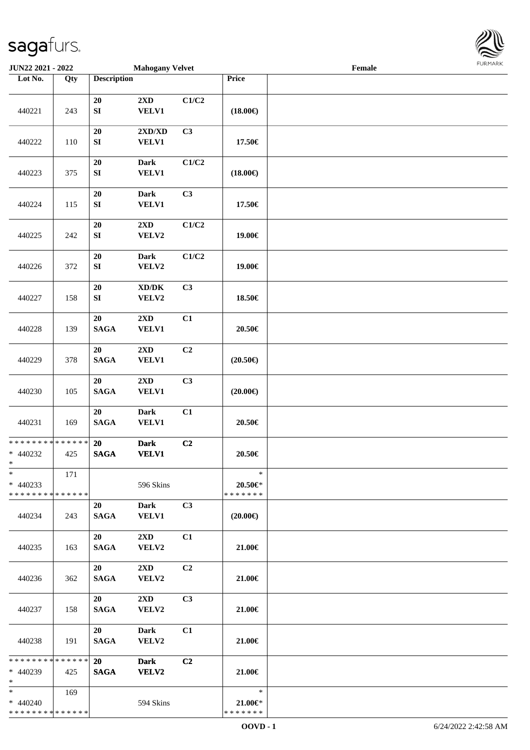

| JUN22 2021 - 2022                                   |     |                                | <b>Mahogany Velvet</b>                       |       |                                          | $\ensuremath{\textnormal{\textbf{Female}}}$ | <b>LOKINKY</b> |
|-----------------------------------------------------|-----|--------------------------------|----------------------------------------------|-------|------------------------------------------|---------------------------------------------|----------------|
| Lot No.                                             | Qty | <b>Description</b>             |                                              |       | Price                                    |                                             |                |
| 440221                                              | 243 | 20<br>${\bf S}{\bf I}$         | $2{\bf X}{\bf D}$<br><b>VELV1</b>            | C1/C2 | $(18.00\epsilon)$                        |                                             |                |
| 440222                                              | 110 | $20\,$<br>${\bf S}{\bf I}$     | $2{\bf X}{\bf D}/{\bf X}{\bf D}$<br>VELV1    | C3    | 17.50€                                   |                                             |                |
| 440223                                              | 375 | 20<br>${\bf S}{\bf I}$         | <b>Dark</b><br><b>VELV1</b>                  | C1/C2 | $(18.00\epsilon)$                        |                                             |                |
| 440224                                              | 115 | 20<br>${\bf S}{\bf I}$         | <b>Dark</b><br><b>VELV1</b>                  | C3    | 17.50€                                   |                                             |                |
| 440225                                              | 242 | ${\bf 20}$<br>${\bf S}{\bf I}$ | $2{\bf X}{\bf D}$<br>VELV2                   | C1/C2 | 19.00€                                   |                                             |                |
| 440226                                              | 372 | $20\,$<br>${\bf S}{\bf I}$     | <b>Dark</b><br>VELV2                         | C1/C2 | 19.00€                                   |                                             |                |
| 440227                                              | 158 | 20<br>${\bf S}{\bf I}$         | $\bold{X}\bold{D}/\bold{D}\bold{K}$<br>VELV2 | C3    | 18.50€                                   |                                             |                |
| 440228                                              | 139 | 20<br>$\mathbf{SAGA}$          | 2XD<br><b>VELV1</b>                          | C1    | 20.50€                                   |                                             |                |
| 440229                                              | 378 | 20<br><b>SAGA</b>              | $2{\bf X}{\bf D}$<br><b>VELV1</b>            | C2    | $(20.50\epsilon)$                        |                                             |                |
| 440230                                              | 105 | 20<br><b>SAGA</b>              | $2{\bf X}{\bf D}$<br><b>VELV1</b>            | C3    | $(20.00\epsilon)$                        |                                             |                |
| 440231                                              | 169 | 20<br><b>SAGA</b>              | <b>Dark</b><br><b>VELV1</b>                  | C1    | 20.50€                                   |                                             |                |
| **************<br>$* 440232$<br>$\star$             | 425 | 20<br><b>SAGA</b>              | <b>Dark</b><br><b>VELV1</b>                  | C2    | $20.50\in$                               |                                             |                |
| $\ast$<br>$* 440233$<br>* * * * * * * * * * * * * * | 171 |                                | 596 Skins                                    |       | $\ast$<br>20.50€*<br>* * * * * * *       |                                             |                |
| 440234                                              | 243 | 20<br><b>SAGA</b>              | Dark<br><b>VELV1</b>                         | C3    | $(20.00\epsilon)$                        |                                             |                |
| 440235                                              | 163 | 20<br><b>SAGA</b>              | $2\mathbf{X}\mathbf{D}$<br>VELV2             | C1    | 21.00€                                   |                                             |                |
| 440236                                              | 362 | 20<br><b>SAGA</b>              | 2XD<br><b>VELV2</b>                          | C2    | 21.00€                                   |                                             |                |
| 440237                                              | 158 | 20<br><b>SAGA</b>              | $2\text{XD}$<br>VELV2                        | C3    | 21.00€                                   |                                             |                |
| 440238                                              | 191 | 20<br><b>SAGA</b>              | <b>Dark</b><br>VELV2                         | C1    | 21.00€                                   |                                             |                |
| * * * * * * * * * * * * * * *<br>* 440239<br>$*$    | 425 | 20<br><b>SAGA</b>              | <b>Dark</b><br>VELV2                         | C2    | 21.00€                                   |                                             |                |
| $\ast$<br>$* 440240$<br>* * * * * * * * * * * * * * | 169 |                                | 594 Skins                                    |       | $\ast$<br>$21.00 \in$ *<br>* * * * * * * |                                             |                |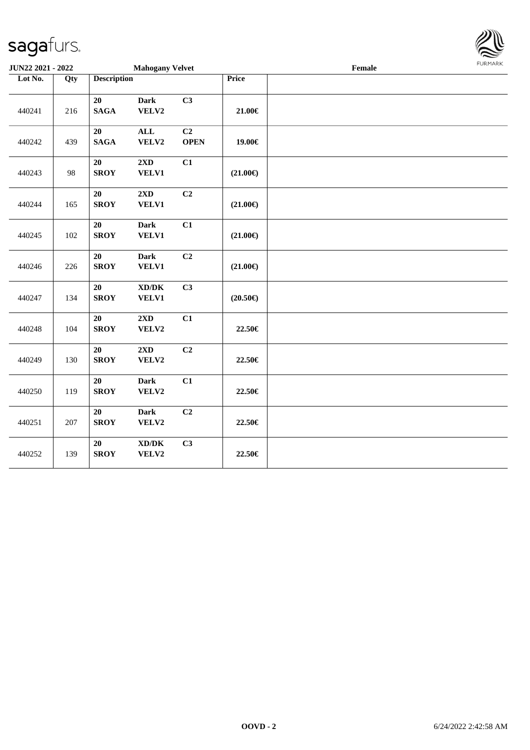| JUN22 2021 - 2022 |     | <b>Mahogany Velvet</b> |                                                     |                   |                   | $\ensuremath{\textnormal{\textbf{Female}}}$ |  |  |  |  |
|-------------------|-----|------------------------|-----------------------------------------------------|-------------------|-------------------|---------------------------------------------|--|--|--|--|
| Lot No.           | Qty | <b>Description</b>     |                                                     |                   | Price             |                                             |  |  |  |  |
| 440241            | 216 | 20<br><b>SAGA</b>      | <b>Dark</b><br>VELV2                                | C3                | $21.00 \in$       |                                             |  |  |  |  |
| 440242            | 439 | 20<br><b>SAGA</b>      | $\mathbf{ALL}$<br>VELV2                             | C2<br><b>OPEN</b> | 19.00€            |                                             |  |  |  |  |
| 440243            | 98  | 20<br><b>SROY</b>      | 2XD<br><b>VELV1</b>                                 | C1                | $(21.00\epsilon)$ |                                             |  |  |  |  |
| 440244            | 165 | 20<br><b>SROY</b>      | 2XD<br><b>VELV1</b>                                 | C2                | $(21.00\epsilon)$ |                                             |  |  |  |  |
| 440245            | 102 | 20<br><b>SROY</b>      | <b>Dark</b><br><b>VELV1</b>                         | C1                | $(21.00\epsilon)$ |                                             |  |  |  |  |
| 440246            | 226 | 20<br><b>SROY</b>      | <b>Dark</b><br><b>VELV1</b>                         | C2                | $(21.00\epsilon)$ |                                             |  |  |  |  |
| 440247            | 134 | 20<br><b>SROY</b>      | $\bold{X}\bold{D}/\bold{D}\bold{K}$<br><b>VELV1</b> | C3                | $(20.50\epsilon)$ |                                             |  |  |  |  |
| 440248            | 104 | 20<br><b>SROY</b>      | 2XD<br>VELV2                                        | C1                | 22.50€            |                                             |  |  |  |  |
| 440249            | 130 | $20\,$<br><b>SROY</b>  | 2XD<br>VELV2                                        | C2                | 22.50€            |                                             |  |  |  |  |
| 440250            | 119 | 20<br><b>SROY</b>      | <b>Dark</b><br>VELV2                                | C1                | 22.50€            |                                             |  |  |  |  |
| 440251            | 207 | 20<br><b>SROY</b>      | <b>Dark</b><br>VELV2                                | C2                | 22.50€            |                                             |  |  |  |  |
| 440252            | 139 | 20<br><b>SROY</b>      | $\bold{X}\bold{D}/\bold{D}\bold{K}$<br>VELV2        | C3                | 22.50€            |                                             |  |  |  |  |

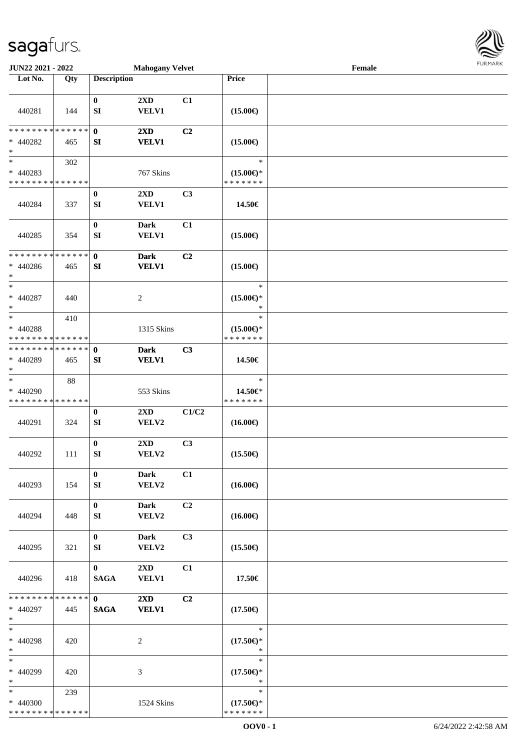

| JUN22 2021 - 2022                                                |     |                                | <b>Mahogany Velvet</b>                  |       |                                                | Female |  |
|------------------------------------------------------------------|-----|--------------------------------|-----------------------------------------|-------|------------------------------------------------|--------|--|
| Lot No.                                                          | Qty | <b>Description</b>             |                                         |       | Price                                          |        |  |
| 440281                                                           | 144 | $\bf{0}$<br>SI                 | 2XD<br><b>VELV1</b>                     | C1    | $(15.00\epsilon)$                              |        |  |
| * * * * * * * * * * * * * *<br>$* 440282$<br>$\ast$              | 465 | $\mathbf 0$<br>SI              | $2\mathbf{X}\mathbf{D}$<br><b>VELV1</b> | C2    | $(15.00\epsilon)$                              |        |  |
| $\overline{\ast}$<br>$* 440283$<br>* * * * * * * * * * * * * *   | 302 |                                | 767 Skins                               |       | $\ast$<br>$(15.00\epsilon)$ *<br>* * * * * * * |        |  |
| 440284                                                           | 337 | $\bf{0}$<br>SI                 | 2XD<br><b>VELV1</b>                     | C3    | 14.50€                                         |        |  |
| 440285                                                           | 354 | $\boldsymbol{0}$<br>SI         | <b>Dark</b><br>VELV1                    | C1    | $(15.00\epsilon)$                              |        |  |
| * * * * * * * * * * * * * *<br>$* 440286$<br>$\ast$              | 465 | $\mathbf 0$<br>SI              | <b>Dark</b><br><b>VELV1</b>             | C2    | $(15.00\epsilon)$                              |        |  |
| $\ast$<br>$* 440287$<br>$\ast$                                   | 440 |                                | $\overline{c}$                          |       | $\ast$<br>$(15.00\epsilon)$ *<br>$\ast$        |        |  |
| $\ast$<br>* 440288<br>* * * * * * * * <mark>* * * * * * *</mark> | 410 |                                | 1315 Skins                              |       | $\ast$<br>$(15.00\epsilon)$ *<br>* * * * * * * |        |  |
| * * * * * * * * * * * * * *<br>* 440289<br>$\ast$                | 465 | $\mathbf 0$<br>SI              | <b>Dark</b><br><b>VELV1</b>             | C3    | 14.50€                                         |        |  |
| $\ast$<br>* 440290<br>* * * * * * * * * * * * * *                | 88  |                                | 553 Skins                               |       | $\ast$<br>14.50€*<br>* * * * * * *             |        |  |
| 440291                                                           | 324 | $\boldsymbol{0}$<br>${\bf SI}$ | 2XD<br>VELV2                            | C1/C2 | $(16.00\epsilon)$                              |        |  |
| 440292                                                           | 111 | $\bf{0}$<br>SI                 | 2XD<br>VELV2                            | C3    | $(15.50\epsilon)$                              |        |  |
| 440293                                                           | 154 | $\bf{0}$<br>SI                 | <b>Dark</b><br>VELV2                    | C1    | $(16.00\epsilon)$                              |        |  |
| 440294                                                           | 448 | $\bf{0}$<br>SI                 | Dark<br>VELV2                           | C2    | $(16.00\epsilon)$                              |        |  |
| 440295                                                           | 321 | $\bf{0}$<br>SI                 | Dark<br>VELV2                           | C3    | $(15.50\epsilon)$                              |        |  |
| 440296                                                           | 418 | $\mathbf{0}$<br><b>SAGA</b>    | 2XD<br><b>VELV1</b>                     | C1    | 17.50€                                         |        |  |
| * * * * * * * * * * * * * * *<br>* 440297<br>$\ast$              | 445 | $\mathbf{0}$<br><b>SAGA</b>    | $2\mathbf{X}\mathbf{D}$<br><b>VELV1</b> | C2    | $(17.50\in)$                                   |        |  |
| $\ast$<br>* 440298<br>$\ast$                                     | 420 |                                | $\overline{c}$                          |       | $\ast$<br>$(17.50\epsilon)$ *<br>$\ast$        |        |  |
| $\ast$<br>* 440299<br>$\ast$                                     | 420 |                                | 3                                       |       | $\ast$<br>$(17.50\epsilon)$ *<br>$\ast$        |        |  |
| $*$<br>* 440300<br>* * * * * * * * * * * * * *                   | 239 |                                | 1524 Skins                              |       | $\ast$<br>$(17.50\epsilon)$ *<br>* * * * * * * |        |  |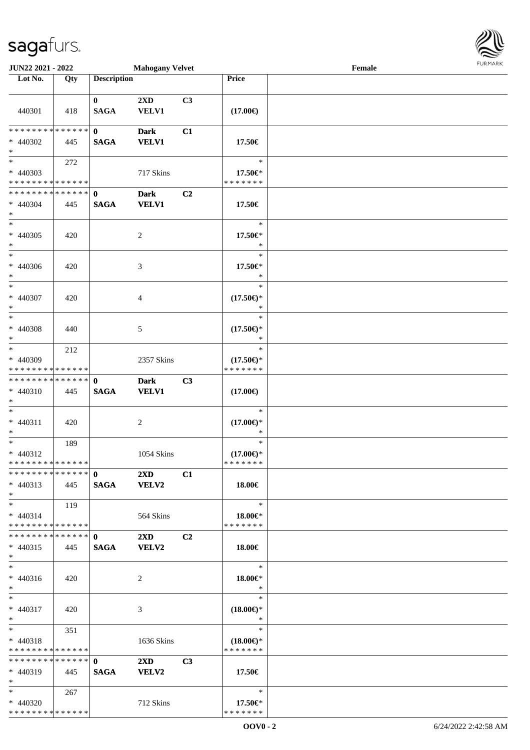| JUN22 2021 - 2022                                        |       |                             | <b>Mahogany Velvet</b>                  |                |                                                | Female | 1.91111111 |
|----------------------------------------------------------|-------|-----------------------------|-----------------------------------------|----------------|------------------------------------------------|--------|------------|
| Lot No.                                                  | Qty   | <b>Description</b>          |                                         |                | Price                                          |        |            |
| 440301                                                   | 418   | $\mathbf{0}$<br><b>SAGA</b> | 2XD<br>VELV1                            | C3             | $(17.00\epsilon)$                              |        |            |
| * * * * * * * * * * * * * * *<br>$* 440302$<br>$*$       | 445   | $\mathbf{0}$<br><b>SAGA</b> | <b>Dark</b><br><b>VELV1</b>             | C1             | 17.50€                                         |        |            |
| $*$<br>$* 440303$<br>* * * * * * * * * * * * * *         | 272   |                             | 717 Skins                               |                | $\ast$<br>17.50€*<br>* * * * * * *             |        |            |
| * * * * * * * * * * * * * * *<br>$* 440304$<br>$*$       | 445   | $\mathbf{0}$<br><b>SAGA</b> | <b>Dark</b><br><b>VELV1</b>             | C <sub>2</sub> | 17.50€                                         |        |            |
| $\overline{\phantom{0}}$<br>$* 440305$<br>$*$            | 420   |                             | 2                                       |                | $\ast$<br>17.50€*<br>$\ast$                    |        |            |
| $*$<br>$* 440306$<br>$*$                                 | 420   |                             | $\mathfrak{Z}$                          |                | $\ast$<br>17.50€*<br>$\ast$                    |        |            |
| $*$<br>* 440307<br>$*$                                   | 420   |                             | 4                                       |                | $\ast$<br>$(17.50\epsilon)$ *<br>$\ast$        |        |            |
| $\ast$<br>$* 440308$<br>$*$                              | 440   |                             | 5                                       |                | $\ast$<br>$(17.50\epsilon)$ *<br>$\ast$        |        |            |
| $*$<br>* 440309<br>* * * * * * * * * * * * * *           | 212   |                             | 2357 Skins                              |                | $\ast$<br>$(17.50\epsilon)$ *<br>* * * * * * * |        |            |
| * * * * * * * * * * * * * * *<br>* 440310<br>$*$         | 445   | $\mathbf{0}$<br><b>SAGA</b> | <b>Dark</b><br><b>VELV1</b>             | C3             | $(17.00\epsilon)$                              |        |            |
| $*$<br>$* 440311$<br>$*$                                 | 420   |                             | 2                                       |                | $\ast$<br>$(17.00\epsilon)$ *<br>$\ast$        |        |            |
| $*$<br>$* 440312$<br>* * * * * * * * * * * * * *         | 189   |                             | 1054 Skins                              |                | $\ast$<br>$(17.00\epsilon)$ *<br>* * * * * * * |        |            |
| * * * * * * * * * * * * * * *<br>$* 440313$<br>$*$ $-$   | 445   | $\mathbf{0}$<br><b>SAGA</b> | $2\mathbf{X}\mathbf{D}$<br><b>VELV2</b> | C1             | 18.00€                                         |        |            |
| $*$<br>$* 440314$<br>* * * * * * * * * * * * * * *       | 119   |                             | 564 Skins                               |                | $\ast$<br>18.00€*<br>* * * * * * *             |        |            |
| ************** 0<br>$* 440315$<br>$*$                    | 445   | <b>SAGA</b>                 | $2\mathbf{X}\mathbf{D}$<br><b>VELV2</b> | C2             | 18.00€                                         |        |            |
| $*$<br>$* 440316$<br>$*$                                 | 420   |                             | 2                                       |                | $\ast$<br>18.00€*<br>$\ast$                    |        |            |
| $*$<br>* 440317<br>$*$                                   | 420   |                             | 3                                       |                | $\ast$<br>$(18.00\epsilon)$ *<br>$\ast$        |        |            |
| $*$ $*$<br>* 440318<br>* * * * * * * * * * * * * *       | 351   |                             | 1636 Skins                              |                | $\ast$<br>$(18.00\epsilon)$ *<br>* * * * * * * |        |            |
| * * * * * * * * * * * * * * *<br>$* 440319$<br>$*$       | - 445 | $\mathbf{0}$<br><b>SAGA</b> | $2\mathbf{X}\mathbf{D}$<br><b>VELV2</b> | C <sub>3</sub> | 17.50€                                         |        |            |
| $*$ and $*$<br>$* 440320$<br>* * * * * * * * * * * * * * | 267   |                             | 712 Skins                               |                | $\ast$<br>17.50 $\in$ *<br>* * * * * * *       |        |            |

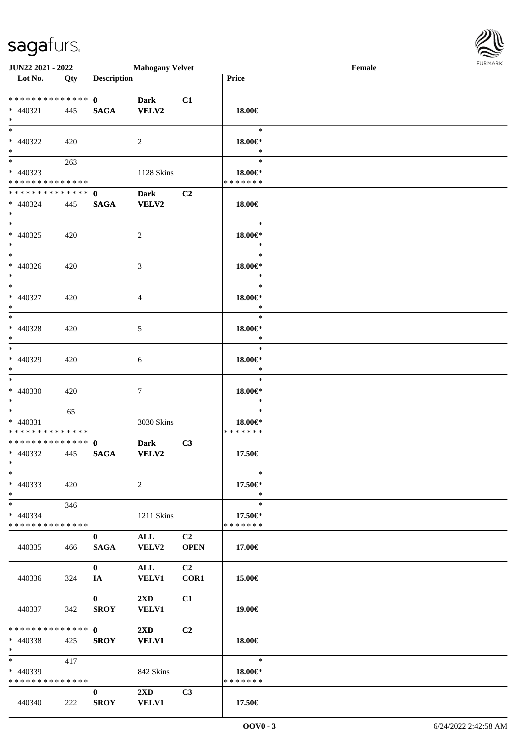| <b>JUN22 2021 - 2022</b>                                                        |     |                             | <b>Mahogany Velvet</b>                  |                               |                                    | Female |  |
|---------------------------------------------------------------------------------|-----|-----------------------------|-----------------------------------------|-------------------------------|------------------------------------|--------|--|
| Lot No.                                                                         | Qty | <b>Description</b>          |                                         |                               | Price                              |        |  |
| * 440321                                                                        | 445 | $\mathbf{0}$<br><b>SAGA</b> | <b>Dark</b><br>VELV2                    | C1                            | 18.00€                             |        |  |
| $*$<br>* 440322<br>$\ast$                                                       | 420 |                             | 2                                       |                               | $\ast$<br>18.00€*<br>$\ast$        |        |  |
| $\overline{\mathbf{r}}$<br>* 440323<br>* * * * * * * * <mark>* * * * * *</mark> | 263 |                             | 1128 Skins                              |                               | $\ast$<br>18.00€*<br>* * * * * * * |        |  |
| * * * * * * * * * * * * * * <mark>*</mark><br>* 440324<br>$*$                   | 445 | $\mathbf{0}$<br><b>SAGA</b> | <b>Dark</b><br><b>VELV2</b>             | C <sub>2</sub>                | 18.00€                             |        |  |
| * 440325<br>$*$                                                                 | 420 |                             | 2                                       |                               | $\ast$<br>18.00€*<br>$\ast$        |        |  |
| $*$<br>* 440326<br>$*$                                                          | 420 |                             | 3                                       |                               | $\ast$<br>$18.00 \in$<br>$\ast$    |        |  |
| $\ast$<br>* 440327<br>$*$                                                       | 420 |                             | $\overline{4}$                          |                               | $\ast$<br>18.00€*<br>$\ast$        |        |  |
| $\ast$<br>$* 440328$<br>$\ast$                                                  | 420 |                             | 5                                       |                               | $\ast$<br>18.00€*<br>$\ast$        |        |  |
| $*$<br>* 440329<br>$\ast$                                                       | 420 |                             | 6                                       |                               | $\ast$<br>18.00€*<br>$\ast$        |        |  |
| $\ddot{\ast}$<br>* 440330<br>$*$                                                | 420 |                             | $\tau$                                  |                               | $\ast$<br>18.00€*<br>$\ast$        |        |  |
| $\ast$<br>* 440331<br>* * * * * * * * <mark>* * * * * *</mark>                  | 65  |                             | 3030 Skins                              |                               | $\ast$<br>18.00€*<br>*******       |        |  |
| * * * * * * * * * * * * * * <mark>*</mark><br>* 440332<br>$*$ $-$               | 445 | $\mathbf{0}$<br><b>SAGA</b> | <b>Dark</b><br><b>VELV2</b>             | C3                            | 17.50€                             |        |  |
| $\ast$<br>* 440333<br>$\ast$                                                    | 420 |                             | 2                                       |                               | $\ast$<br>17.50€*<br>$\ast$        |        |  |
| $\ast$<br>$* 440334$<br>* * * * * * * * * * * * * * *                           | 346 |                             | 1211 Skins                              |                               | $\ast$<br>17.50€*<br>* * * * * * * |        |  |
| 440335                                                                          | 466 | $\bf{0}$<br><b>SAGA</b>     | <b>ALL</b><br>VELV2                     | C <sub>2</sub><br><b>OPEN</b> | 17.00€                             |        |  |
| 440336                                                                          | 324 | $\mathbf{0}$<br><b>IA</b>   | ALL<br><b>VELV1</b>                     | C2<br>COR1                    | 15.00€                             |        |  |
| 440337                                                                          | 342 | $\mathbf{0}$<br><b>SROY</b> | $2\mathbf{X}\mathbf{D}$<br><b>VELV1</b> | C1                            | 19.00€                             |        |  |
| * * * * * * * * * * * * * * <mark>*</mark><br>$* 440338$<br>$*$                 | 425 | $\mathbf{0}$<br><b>SROY</b> | $2\mathbf{X}\mathbf{D}$<br><b>VELV1</b> | C <sub>2</sub>                | 18.00€                             |        |  |
| $\ast$<br>* 440339<br>* * * * * * * * * * * * * * *                             | 417 |                             | 842 Skins                               |                               | $\ast$<br>18.00€*<br>*******       |        |  |
| 440340                                                                          | 222 | $\bf{0}$<br><b>SROY</b>     | $2\mathbf{X}\mathbf{D}$<br><b>VELV1</b> | C3                            | 17.50€                             |        |  |

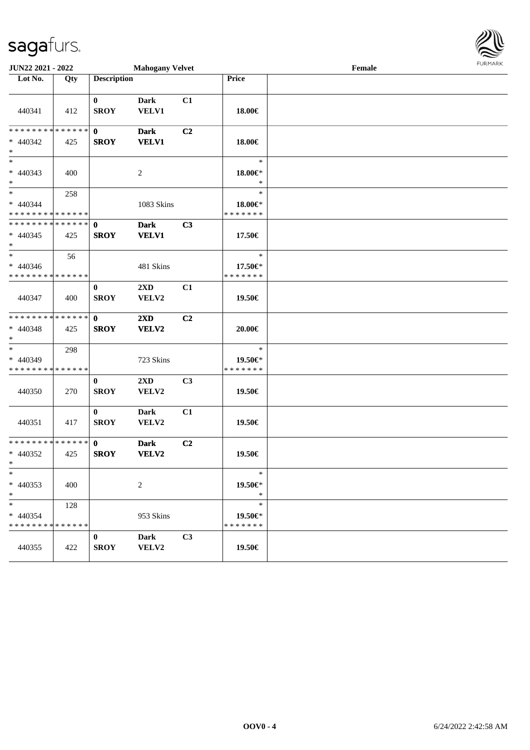| JUN22 2021 - 2022<br><b>Mahogany Velvet</b>                           |     |                             |                                  |    |                                    | Female | <b>FURPIARA</b> |
|-----------------------------------------------------------------------|-----|-----------------------------|----------------------------------|----|------------------------------------|--------|-----------------|
| Lot No.                                                               | Qty | <b>Description</b>          |                                  |    | Price                              |        |                 |
| 440341                                                                | 412 | $\bf{0}$<br><b>SROY</b>     | Dark<br><b>VELV1</b>             | C1 | 18.00€                             |        |                 |
| * * * * * * * * * * * * * * *<br>$* 440342$<br>$*$                    | 425 | $\mathbf{0}$<br><b>SROY</b> | <b>Dark</b><br><b>VELV1</b>      | C2 | 18.00€                             |        |                 |
| $\ast$<br>$* 440343$<br>$*$                                           | 400 |                             | 2                                |    | $\ast$<br>18.00€*<br>$\ast$        |        |                 |
| $\overline{\phantom{0}}$<br>$* 440344$<br>* * * * * * * * * * * * * * | 258 |                             | 1083 Skins                       |    | $\ast$<br>18.00€*<br>* * * * * * * |        |                 |
| * * * * * * * * * * * * * * *<br>$* 440345$<br>$*$                    | 425 | $\mathbf 0$<br><b>SROY</b>  | <b>Dark</b><br><b>VELV1</b>      | C3 | 17.50€                             |        |                 |
| $\ast$<br>$* 440346$<br>* * * * * * * * * * * * * * *                 | 56  |                             | 481 Skins                        |    | $\ast$<br>17.50€*<br>* * * * * * * |        |                 |
| 440347                                                                | 400 | $\bf{0}$<br><b>SROY</b>     | $2\mathbf{X}\mathbf{D}$<br>VELV2 | C1 | 19.50€                             |        |                 |
| * * * * * * * * * * * * * *<br>$* 440348$<br>$*$                      | 425 | $\mathbf{0}$<br><b>SROY</b> | $2\mathbf{X}\mathbf{D}$<br>VELV2 | C2 | 20.00€                             |        |                 |
| $\ast$<br>$* 440349$<br>* * * * * * * * * * * * * *                   | 298 |                             | 723 Skins                        |    | $\ast$<br>19.50€*<br>* * * * * * * |        |                 |
| 440350                                                                | 270 | $\bf{0}$<br><b>SROY</b>     | 2XD<br>VELV2                     | C3 | 19.50€                             |        |                 |
| 440351                                                                | 417 | $\bf{0}$<br><b>SROY</b>     | <b>Dark</b><br>VELV2             | C1 | 19.50€                             |        |                 |
| * * * * * * * * * * * * * * *<br>$* 440352$<br>$x =$                  | 425 | $\mathbf{0}$<br><b>SROY</b> | <b>Dark</b><br><b>VELV2</b>      | C2 | 19.50€                             |        |                 |
| $\ast$<br>$* 440353$<br>$*$                                           | 400 |                             | $\sqrt{2}$                       |    | $\ast$<br>19.50 $\in$ *<br>$\ast$  |        |                 |
| $\ast$<br>* 440354<br>* * * * * * * * * * * * * *                     | 128 |                             | 953 Skins                        |    | $\ast$<br>19.50€*<br>* * * * * * * |        |                 |
| 440355                                                                | 422 | $\bf{0}$<br><b>SROY</b>     | <b>Dark</b><br>VELV2             | C3 | 19.50€                             |        |                 |

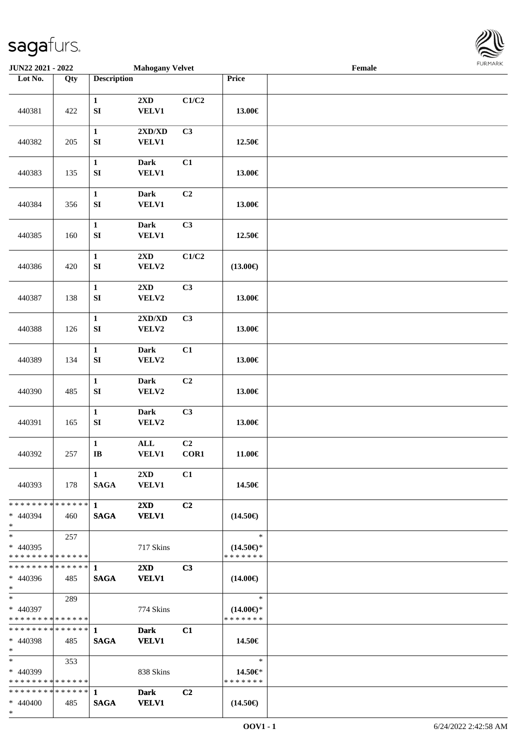

| JUN22 2021 - 2022                                      |     |                                  | <b>Mahogany Velvet</b>                           |                |                                                | $\ensuremath{\textnormal{\textbf{Female}}}$ | 1.91117177 |
|--------------------------------------------------------|-----|----------------------------------|--------------------------------------------------|----------------|------------------------------------------------|---------------------------------------------|------------|
| Lot No.                                                | Qty | <b>Description</b>               |                                                  |                | Price                                          |                                             |            |
| 440381                                                 | 422 | $\mathbf 1$<br>${\bf S}{\bf I}$  | 2XD<br>VELV1                                     | C1/C2          | 13.00€                                         |                                             |            |
| 440382                                                 | 205 | $\mathbf 1$<br>${\bf S}{\bf I}$  | $2{\bf X}{\bf D}/{\bf X}{\bf D}$<br><b>VELV1</b> | C3             | 12.50€                                         |                                             |            |
| 440383                                                 | 135 | $\mathbf 1$<br>${\bf S}{\bf I}$  | <b>Dark</b><br><b>VELV1</b>                      | C1             | 13.00€                                         |                                             |            |
| 440384                                                 | 356 | $\mathbf{1}$<br>${\bf S}{\bf I}$ | <b>Dark</b><br><b>VELV1</b>                      | C2             | 13.00€                                         |                                             |            |
| 440385                                                 | 160 | $\mathbf 1$<br>${\bf S}{\bf I}$  | Dark<br>VELV1                                    | C3             | 12.50€                                         |                                             |            |
| 440386                                                 | 420 | $\mathbf 1$<br>SI                | $2{\bf X}{\bf D}$<br>VELV2                       | C1/C2          | $(13.00\epsilon)$                              |                                             |            |
| 440387                                                 | 138 | $\mathbf 1$<br>SI                | 2XD<br>VELV2                                     | C3             | 13.00€                                         |                                             |            |
| 440388                                                 | 126 | $\mathbf 1$<br>${\bf S}{\bf I}$  | 2XD/XD<br>VELV2                                  | C3             | 13.00€                                         |                                             |            |
| 440389                                                 | 134 | $\mathbf 1$<br>SI                | <b>Dark</b><br>VELV2                             | C1             | 13.00€                                         |                                             |            |
| 440390                                                 | 485 | $\mathbf{1}$<br>SI               | <b>Dark</b><br>VELV2                             | C2             | 13.00€                                         |                                             |            |
| 440391                                                 | 165 | $\mathbf 1$<br>${\bf S}{\bf I}$  | Dark<br>VELV2                                    | C3             | 13.00€                                         |                                             |            |
| 440392                                                 | 257 | $\mathbf 1$<br>$\bf IB$          | $\mathbf{ALL}$<br><b>VELV1</b>                   | C2<br>COR1     | 11.00€                                         |                                             |            |
| 440393                                                 | 178 | 1<br><b>SAGA</b>                 | $2\mathbf{X}\mathbf{D}$<br><b>VELV1</b>          | C1             | 14.50€                                         |                                             |            |
| * * * * * * * * * * * * * * *<br>$* 440394$<br>$*$     | 460 | $\mathbf 1$<br><b>SAGA</b>       | $2\mathbf{X}\mathbf{D}$<br><b>VELV1</b>          | C2             | $(14.50\epsilon)$                              |                                             |            |
| $*$<br>$* 440395$<br>* * * * * * * * * * * * * * *     | 257 |                                  | 717 Skins                                        |                | $\ast$<br>$(14.50\epsilon)$ *<br>* * * * * * * |                                             |            |
| ************** 1<br>$* 440396$<br>$*$                  | 485 | <b>SAGA</b>                      | $2\mathbf{X}\mathbf{D}$<br><b>VELV1</b>          | C <sub>3</sub> | $(14.00\epsilon)$                              |                                             |            |
| $*$<br>* 440397<br>* * * * * * * * * * * * * * *       | 289 |                                  | 774 Skins                                        |                | $\ast$<br>$(14.00\epsilon)$ *<br>* * * * * * * |                                             |            |
| ******** <mark>******</mark> 1<br>* 440398<br>$*$ $-$  | 485 | <b>SAGA</b>                      | <b>Dark</b><br><b>VELV1</b>                      | C1             | 14.50€                                         |                                             |            |
| $*$ and $*$<br>* 440399<br>* * * * * * * * * * * * * * | 353 |                                  | 838 Skins                                        |                | $\ast$<br>14.50 $\in$ *<br>* * * * * * *       |                                             |            |
| * * * * * * * * * * * * * * *<br>$* 440400$<br>$*$     | 485 | $\mathbf{1}$<br><b>SAGA</b>      | <b>Dark</b><br><b>VELV1</b>                      | C2             | $(14.50\epsilon)$                              |                                             |            |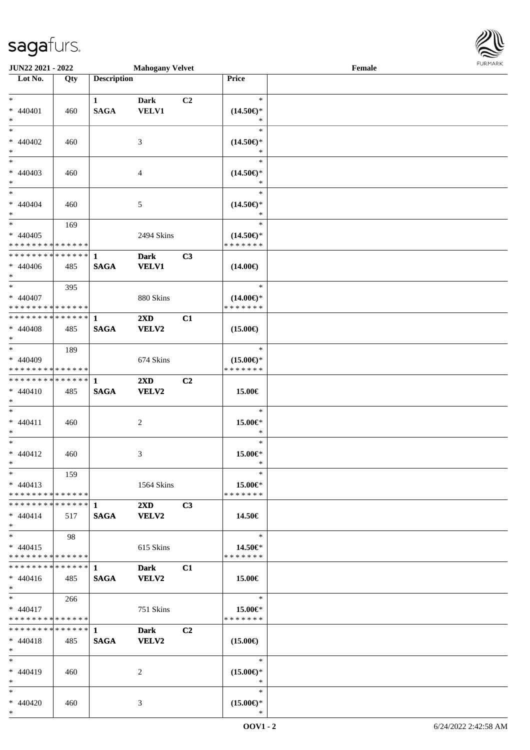| JUN22 2021 - 2022             |     |                    | <b>Mahogany Velvet</b>  |                |                     | Female | <b>FURMAR</b> |
|-------------------------------|-----|--------------------|-------------------------|----------------|---------------------|--------|---------------|
| Lot No.                       | Qty | <b>Description</b> |                         |                | Price               |        |               |
|                               |     |                    |                         |                |                     |        |               |
| $\ast$                        |     | $\mathbf{1}$       | <b>Dark</b>             | C2             | $\ast$              |        |               |
| $* 440401$                    | 460 | <b>SAGA</b>        | <b>VELV1</b>            |                | $(14.50\epsilon)$ * |        |               |
| $\ast$                        |     |                    |                         |                | $\ast$              |        |               |
| $\ast$                        |     |                    |                         |                | $\ast$              |        |               |
| $* 440402$                    | 460 |                    | 3                       |                | $(14.50\epsilon)$ * |        |               |
| $\ast$                        |     |                    |                         |                | $\ast$              |        |               |
| $\overline{\phantom{0}}$      |     |                    |                         |                | $\ast$              |        |               |
| $* 440403$                    | 460 |                    | 4                       |                | $(14.50\epsilon)$ * |        |               |
| $\ast$                        |     |                    |                         |                | $\ast$              |        |               |
| $\ast$                        |     |                    |                         |                | $\ast$              |        |               |
| $* 440404$                    | 460 |                    | 5                       |                | $(14.50\epsilon)$ * |        |               |
| $\ast$                        |     |                    |                         |                | $\ast$              |        |               |
| $\ast$                        | 169 |                    |                         |                | $\ast$              |        |               |
| $* 440405$                    |     |                    | 2494 Skins              |                | $(14.50\epsilon)$ * |        |               |
| ******** <mark>******</mark>  |     |                    |                         |                | * * * * * * *       |        |               |
| * * * * * * * * * * * * * * * |     | $\mathbf{1}$       | <b>Dark</b>             | C3             |                     |        |               |
| $* 440406$                    | 485 | <b>SAGA</b>        | <b>VELV1</b>            |                | $(14.00\epsilon)$   |        |               |
| $*$                           |     |                    |                         |                |                     |        |               |
| $\ast$                        | 395 |                    |                         |                | $\ast$              |        |               |
| $* 440407$                    |     |                    | 880 Skins               |                | $(14.00\epsilon)$ * |        |               |
| * * * * * * * * * * * * * *   |     |                    |                         |                | * * * * * * *       |        |               |
| * * * * * * * * * * * * * * * |     | $\mathbf{1}$       | $2\mathbf{X}\mathbf{D}$ | C1             |                     |        |               |
| $* 440408$                    | 485 | <b>SAGA</b>        | VELV2                   |                | $(15.00\epsilon)$   |        |               |
| $\ast$                        |     |                    |                         |                |                     |        |               |
| $\overline{\phantom{0}}$      | 189 |                    |                         |                | $\ast$              |        |               |
| $* 440409$                    |     |                    | 674 Skins               |                | $(15.00\epsilon)$ * |        |               |
| * * * * * * * * * * * * * *   |     |                    |                         |                | * * * * * * *       |        |               |
| * * * * * * * * * * * * * *   |     | $\mathbf{1}$       | $2\mathbf{X}\mathbf{D}$ | C2             |                     |        |               |
| $* 440410$                    | 485 | <b>SAGA</b>        | <b>VELV2</b>            |                | 15.00€              |        |               |
| $\ast$                        |     |                    |                         |                |                     |        |               |
| $\ast$                        |     |                    |                         |                | $\ast$              |        |               |
| $* 440411$                    | 460 |                    | $\overline{c}$          |                | 15.00€*             |        |               |
| $\ast$                        |     |                    |                         |                | $\ast$              |        |               |
| $\overline{\ast}$             |     |                    |                         |                | $\ast$              |        |               |
| $* 440412$                    | 460 |                    | 3                       |                | 15.00€*             |        |               |
| $\ast$                        |     |                    |                         |                | $\ast$              |        |               |
| $\ast$                        | 159 |                    |                         |                | $\ast$              |        |               |
| $* 440413$                    |     |                    | 1564 Skins              |                | $15.00 \in$ *       |        |               |
| * * * * * * * * * * * * * *   |     |                    |                         |                | * * * * * * *       |        |               |
| * * * * * * * * * * * * * * * |     | $\mathbf{1}$       | 2XD                     | C3             |                     |        |               |
| $* 440414$                    | 517 | <b>SAGA</b>        | <b>VELV2</b>            |                | 14.50€              |        |               |
| $\ast$                        |     |                    |                         |                |                     |        |               |
| $\overline{\ast}$             | 98  |                    |                         |                | $\ast$              |        |               |
| $* 440415$                    |     |                    | 615 Skins               |                | 14.50€*             |        |               |
| * * * * * * * * * * * * * *   |     |                    |                         |                | * * * * * * *       |        |               |
| * * * * * * * * * * * * * *   |     | $\mathbf{1}$       | <b>Dark</b>             | C1             |                     |        |               |
| $* 440416$                    | 485 | <b>SAGA</b>        | VELV2                   |                | 15.00€              |        |               |
| $\ast$                        |     |                    |                         |                |                     |        |               |
| $\ast$                        | 266 |                    |                         |                | $\ast$              |        |               |
| $* 440417$                    |     |                    | 751 Skins               |                | 15.00€*             |        |               |
| * * * * * * * * * * * * * *   |     |                    |                         |                | * * * * * * *       |        |               |
| * * * * * * * * * * * * * *   |     | $\mathbf{1}$       | <b>Dark</b>             | C <sub>2</sub> |                     |        |               |
| $* 440418$                    | 485 | <b>SAGA</b>        | <b>VELV2</b>            |                | $(15.00\epsilon)$   |        |               |
| $\ast$                        |     |                    |                         |                |                     |        |               |
| $\ast$                        |     |                    |                         |                | $\ast$              |        |               |
| $* 440419$                    | 460 |                    | 2                       |                | $(15.00\epsilon)$ * |        |               |
| $\ast$                        |     |                    |                         |                | ∗                   |        |               |
| $\ast$                        |     |                    |                         |                | $\ast$              |        |               |
| $* 440420$                    | 460 |                    | 3                       |                | $(15.00\epsilon)$ * |        |               |
| $\ast$                        |     |                    |                         |                | $\ast$              |        |               |
|                               |     |                    |                         |                |                     |        |               |

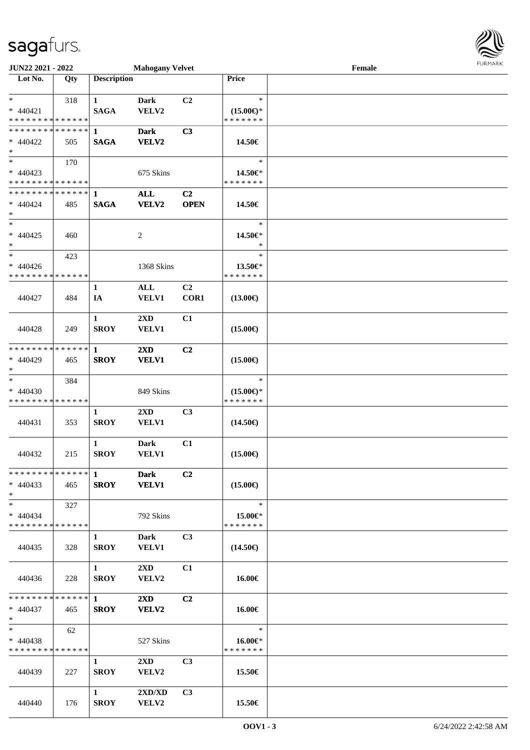| JUN22 2021 - 2022                                   |     |                             | <b>Mahogany Velvet</b>                  |                               |                                                | Female | <b>FURMARK</b> |
|-----------------------------------------------------|-----|-----------------------------|-----------------------------------------|-------------------------------|------------------------------------------------|--------|----------------|
| Lot No.                                             | Qty | <b>Description</b>          |                                         |                               | Price                                          |        |                |
| $\ast$<br>$* 440421$<br>* * * * * * * * * * * * * * | 318 | $\mathbf{1}$<br><b>SAGA</b> | Dark<br>VELV2                           | C <sub>2</sub>                | $\ast$<br>$(15.00\epsilon)$ *<br>* * * * * * * |        |                |
| * * * * * * * * * * * * * * *<br>$* 440422$<br>$*$  | 505 | $\mathbf{1}$<br><b>SAGA</b> | <b>Dark</b><br><b>VELV2</b>             | C3                            | 14.50€                                         |        |                |
| $*$<br>$* 440423$<br>* * * * * * * * * * * * * * *  | 170 |                             | 675 Skins                               |                               | $\ast$<br>14.50€*<br>* * * * * * *             |        |                |
| ************** 1<br>$* 440424$<br>$*$               | 485 | <b>SAGA</b>                 | <b>ALL</b><br><b>VELV2</b>              | C <sub>2</sub><br><b>OPEN</b> | 14.50€                                         |        |                |
| $*$<br>$* 440425$<br>$*$                            | 460 |                             | 2                                       |                               | $\ast$<br>14.50€*<br>$\ast$                    |        |                |
| $*$<br>$* 440426$<br>* * * * * * * * * * * * * *    | 423 |                             | 1368 Skins                              |                               | $\ast$<br>13.50€*<br>* * * * * * *             |        |                |
| 440427                                              | 484 | $\mathbf{1}$<br>IA          | ALL<br><b>VELV1</b>                     | C2<br>COR1                    | $(13.00\epsilon)$                              |        |                |
| 440428                                              | 249 | $\mathbf{1}$<br><b>SROY</b> | 2XD<br><b>VELV1</b>                     | C1                            | $(15.00\epsilon)$                              |        |                |
| * * * * * * * * * * * * * * *<br>* 440429<br>$*$    | 465 | $\mathbf{1}$<br><b>SROY</b> | 2XD<br><b>VELV1</b>                     | C <sub>2</sub>                | $(15.00\epsilon)$                              |        |                |
| $*$<br>$* 440430$<br>* * * * * * * * * * * * * *    | 384 |                             | 849 Skins                               |                               | $\ast$<br>$(15.00\epsilon)$ *<br>* * * * * * * |        |                |
| 440431                                              | 353 | $\mathbf{1}$<br><b>SROY</b> | 2XD<br><b>VELV1</b>                     | C3                            | $(14.50\epsilon)$                              |        |                |
| 440432                                              | 215 | 1<br><b>SROY</b>            | <b>Dark</b><br><b>VELV1</b>             | C1                            | $(15.00\epsilon)$                              |        |                |
| $* 440433$<br>$*$                                   | 465 | <b>SROY</b>                 | <b>Dark</b><br><b>VELV1</b>             | C <sub>2</sub>                | $(15.00\epsilon)$                              |        |                |
| $*$<br>$* 440434$<br>* * * * * * * * * * * * * *    | 327 |                             | 792 Skins                               |                               | $\ast$<br>15.00€*<br>* * * * * * *             |        |                |
| 440435                                              | 328 | $\mathbf{1}$<br><b>SROY</b> | Dark<br><b>VELV1</b>                    | C3                            | $(14.50\epsilon)$                              |        |                |
| 440436                                              | 228 | $\mathbf{1}$<br><b>SROY</b> | $2\mathbf{X}\mathbf{D}$<br><b>VELV2</b> | C1                            | 16.00€                                         |        |                |
| * * * * * * * * * * * * * * *<br>$* 440437$<br>$*$  | 465 | $\mathbf{1}$<br><b>SROY</b> | $2\mathbf{X}\mathbf{D}$<br><b>VELV2</b> | C2                            | 16.00€                                         |        |                |
| $*$<br>* 440438<br>* * * * * * * * * * * * * *      | 62  |                             | 527 Skins                               |                               | $\ast$<br>16.00€*<br>* * * * * * *             |        |                |
| 440439                                              | 227 | 1<br><b>SROY</b>            | $2\mathbf{X}\mathbf{D}$<br><b>VELV2</b> | C <sub>3</sub>                | 15.50€                                         |        |                |
| 440440                                              | 176 | $\mathbf{1}$<br><b>SROY</b> | 2XD/XD<br>VELV2                         | C3                            | 15.50€                                         |        |                |

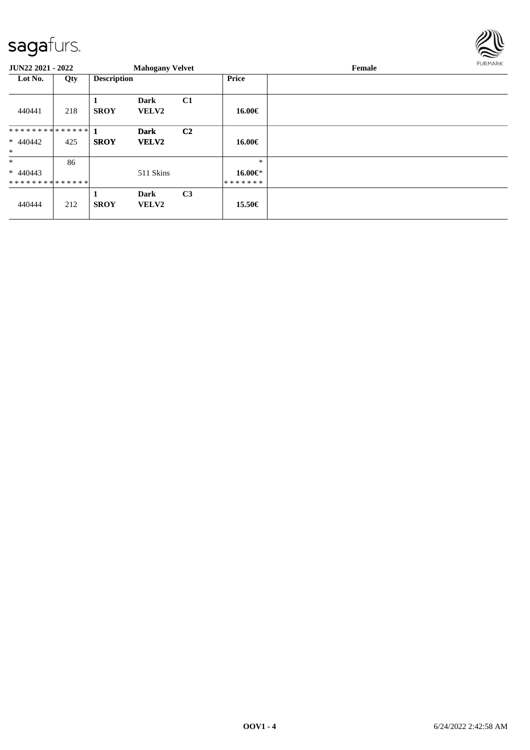

| JUN22 2021 - 2022 |     |                    | <b>Mahogany Velvet</b>      |                |               | Female | <b>FURMARK</b> |
|-------------------|-----|--------------------|-----------------------------|----------------|---------------|--------|----------------|
| Lot No.           | Qty | <b>Description</b> |                             |                | <b>Price</b>  |        |                |
| 440441            | 218 | <b>SROY</b>        | <b>Dark</b><br>VELV2        | C1             | 16.00€        |        |                |
|                   |     |                    | <b>Dark</b>                 | C <sub>2</sub> |               |        |                |
| $* 440442$        | 425 | <b>SROY</b>        | <b>VELV2</b>                |                | 16.00€        |        |                |
| $\ast$            |     |                    |                             |                |               |        |                |
| $\ast$            | 86  |                    |                             |                | $\ast$        |        |                |
| $* 440443$        |     |                    | 511 Skins                   |                | 16.00€*       |        |                |
| **************    |     |                    |                             |                | * * * * * * * |        |                |
| 440444            | 212 | <b>SROY</b>        | <b>Dark</b><br><b>VELV2</b> | C <sub>3</sub> | 15.50€        |        |                |